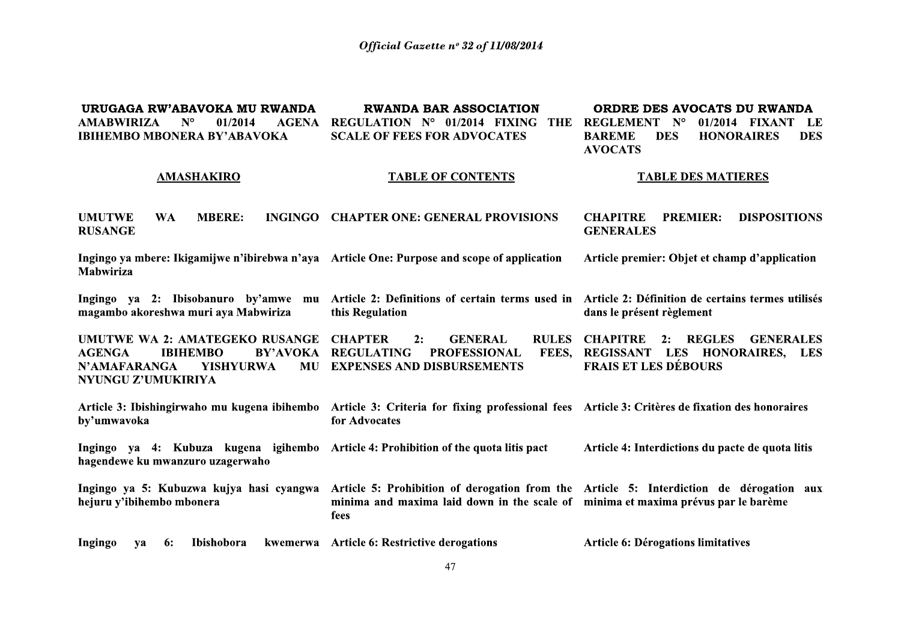**DWANDA RAD ASSOCIATION** 

**ODDDE DES AVOCATS DU DWANDA** 

**IIDIICACA DW'ARAVOKA MII DWANDA** 

| UNUUAUA NW ADAVUINA MU NWANDA                                                               | <u>KWANDA DAK ASSOCIATION</u>                                      | UNDING DGO AVUCATO DU INWANDA                                                  |  |  |
|---------------------------------------------------------------------------------------------|--------------------------------------------------------------------|--------------------------------------------------------------------------------|--|--|
| <b>AMABWIRIZA</b><br>$N^{\circ}$<br>01/2014<br><b>AGENA</b>                                 | REGULATION N°<br>01/2014 FIXING<br>THE                             | $\mathbf{N}^{\mathsf{o}}$<br><b>REGLEMENT</b><br>01/2014<br>FIXANT LE          |  |  |
| <b>IBIHEMBO MBONERA BY'ABAVOKA</b>                                                          | <b>SCALE OF FEES FOR ADVOCATES</b>                                 | <b>HONORAIRES</b><br><b>BAREME</b><br><b>DES</b><br><b>DES</b>                 |  |  |
|                                                                                             |                                                                    | <b>AVOCATS</b>                                                                 |  |  |
| <b>AMASHAKIRO</b>                                                                           | <b>TABLE OF CONTENTS</b>                                           | <b>TABLE DES MATIERES</b>                                                      |  |  |
|                                                                                             |                                                                    |                                                                                |  |  |
| <b>UMUTWE</b><br><b>MBERE:</b><br><b>INGINGO</b><br>WA.                                     | <b>CHAPTER ONE: GENERAL PROVISIONS</b>                             | <b>DISPOSITIONS</b><br><b>CHAPITRE</b><br><b>PREMIER:</b>                      |  |  |
| <b>RUSANGE</b>                                                                              |                                                                    | <b>GENERALES</b>                                                               |  |  |
| Ingingo ya mbere: Ikigamijwe n'ibirebwa n'aya Article One: Purpose and scope of application |                                                                    | Article premier: Objet et champ d'application                                  |  |  |
| <b>Mabwiriza</b>                                                                            |                                                                    |                                                                                |  |  |
|                                                                                             |                                                                    |                                                                                |  |  |
| Ingingo ya 2: Ibisobanuro by'amwe mu<br>magambo akoreshwa muri aya Mabwiriza                | Article 2: Definitions of certain terms used in<br>this Regulation | Article 2: Définition de certains termes utilisés<br>dans le présent règlement |  |  |
|                                                                                             |                                                                    |                                                                                |  |  |
| UMUTWE WA 2: AMATEGEKO RUSANGE                                                              | <b>GENERAL</b><br><b>CHAPTER</b><br><b>RULES</b><br>2:             | <b>CHAPITRE</b><br><b>REGLES</b><br><b>GENERALES</b><br>2:                     |  |  |
| <b>AGENGA</b><br><b>IBIHEMBO</b><br>BY'AVOKA                                                | <b>PROFESSIONAL</b><br><b>REGULATING</b>                           | <b>LES</b><br>FEES. REGISSANT<br><b>HONORAIRES, LES</b>                        |  |  |

**FRAIS ET LES DÉBOURS** N'AMAFARANGA MU EXPENSES AND DISBURSEMENTS **YISHYURWA** NYUNGU Z'UMUKIRIYA Article 3: Ibishingirwaho mu kugena ibihembo Article 3: Criteria for fixing professional fees Article 3: Critères de fixation des honoraires by'umwavoka for Advocates

Ingingo ya 4: Kubuza kugena igihembo Article 4: Prohibition of the quota litis pact Article 4: Interdictions du pacte de quota litis hagendewe ku mwanzuro uzagerwaho

Ingingo ya 5: Kubuzwa kujya hasi cyangwa Article 5: Prohibition of derogation from the Article 5: Interdiction de dérogation aux hejuru y'ibihembo mbonera minima and maxima laid down in the scale of minima et maxima prévus par le barème fees

kwemerwa Article 6: Restrictive derogations Article 6: Dérogations limitatives Ingingo Ibishobora ya 6: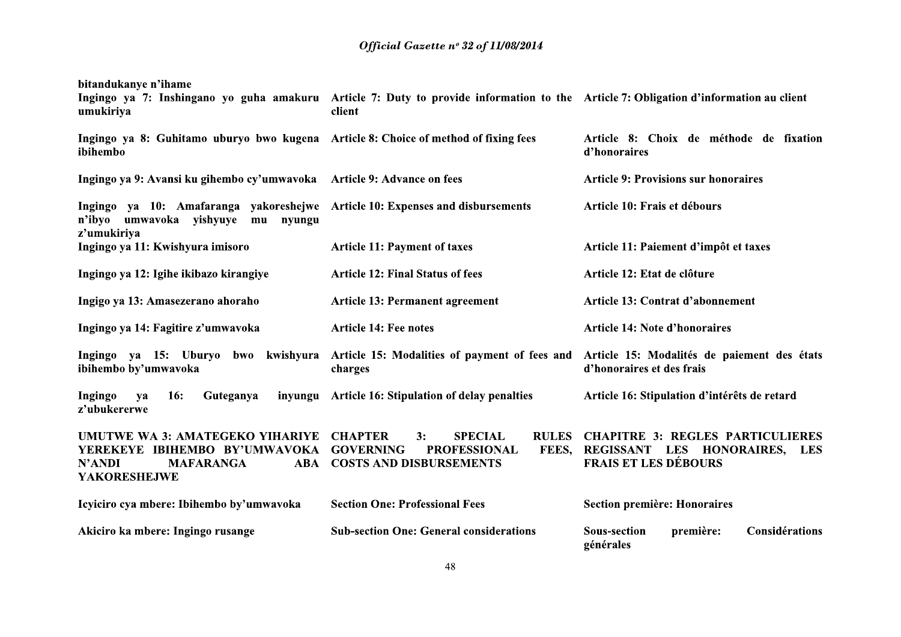| bitandukanye n'ihame<br>umukiriya                                                                                               | Ingingo ya 7: Inshingano yo guha amakuru Article 7: Duty to provide information to the Article 7: Obligation d'information au client<br>client   |                                                                                                                   |  |  |
|---------------------------------------------------------------------------------------------------------------------------------|--------------------------------------------------------------------------------------------------------------------------------------------------|-------------------------------------------------------------------------------------------------------------------|--|--|
| Ingingo ya 8: Guhitamo uburyo bwo kugena Article 8: Choice of method of fixing fees<br>ibihembo                                 |                                                                                                                                                  | Article 8: Choix de méthode de fixation<br>d'honoraires                                                           |  |  |
| Ingingo ya 9: Avansi ku gihembo cy'umwavoka Article 9: Advance on fees                                                          |                                                                                                                                                  | <b>Article 9: Provisions sur honoraires</b>                                                                       |  |  |
| Ingingo ya 10: Amafaranga yakoreshejwe Article 10: Expenses and disbursements<br>n'ibyo<br>umwavoka<br>yishyuye<br>mu<br>nyungu |                                                                                                                                                  | Article 10: Frais et débours                                                                                      |  |  |
| z'umukiriya<br>Ingingo ya 11: Kwishyura imisoro                                                                                 | <b>Article 11: Payment of taxes</b>                                                                                                              | Article 11: Paiement d'impôt et taxes                                                                             |  |  |
| Ingingo ya 12: Igihe ikibazo kirangiye                                                                                          | <b>Article 12: Final Status of fees</b>                                                                                                          | Article 12: Etat de clôture                                                                                       |  |  |
| Ingigo ya 13: Amasezerano ahoraho                                                                                               | <b>Article 13: Permanent agreement</b>                                                                                                           | Article 13: Contrat d'abonnement                                                                                  |  |  |
| Ingingo ya 14: Fagitire z'umwavoka                                                                                              | <b>Article 14: Fee notes</b>                                                                                                                     | <b>Article 14: Note d'honoraires</b>                                                                              |  |  |
| Ingingo ya 15: Uburyo<br>bwo<br>ibihembo by'umwavoka                                                                            | kwishyura Article 15: Modalities of payment of fees and<br>charges                                                                               | Article 15: Modalités de paiement des états<br>d'honoraires et des frais                                          |  |  |
| <b>Ingingo</b><br><b>16:</b><br>Guteganya<br>ya<br>z'ubukererwe                                                                 | inyungu Article 16: Stipulation of delay penalties                                                                                               | Article 16: Stipulation d'intérêts de retard                                                                      |  |  |
| UMUTWE WA 3: AMATEGEKO YIHARIYE<br>YEREKEYE IBIHEMBO BY'UMWAVOKA<br><b>N'ANDI</b><br><b>MAFARANGA</b><br><b>YAKORESHEJWE</b>    | <b>SPECIAL</b><br><b>RULES</b><br><b>CHAPTER</b><br>3:<br><b>GOVERNING</b><br><b>PROFESSIONAL</b><br>FEES,<br><b>ABA COSTS AND DISBURSEMENTS</b> | <b>CHAPITRE 3: REGLES PARTICULIERES</b><br>REGISSANT LES HONORAIRES,<br><b>LES</b><br><b>FRAIS ET LES DÉBOURS</b> |  |  |
| Icyiciro cya mbere: Ibihembo by'umwavoka                                                                                        | <b>Section One: Professional Fees</b>                                                                                                            | Section première: Honoraires                                                                                      |  |  |
| Akiciro ka mbere: Ingingo rusange                                                                                               | <b>Sub-section One: General considerations</b>                                                                                                   | Considérations<br><b>Sous-section</b><br>première:<br>générales                                                   |  |  |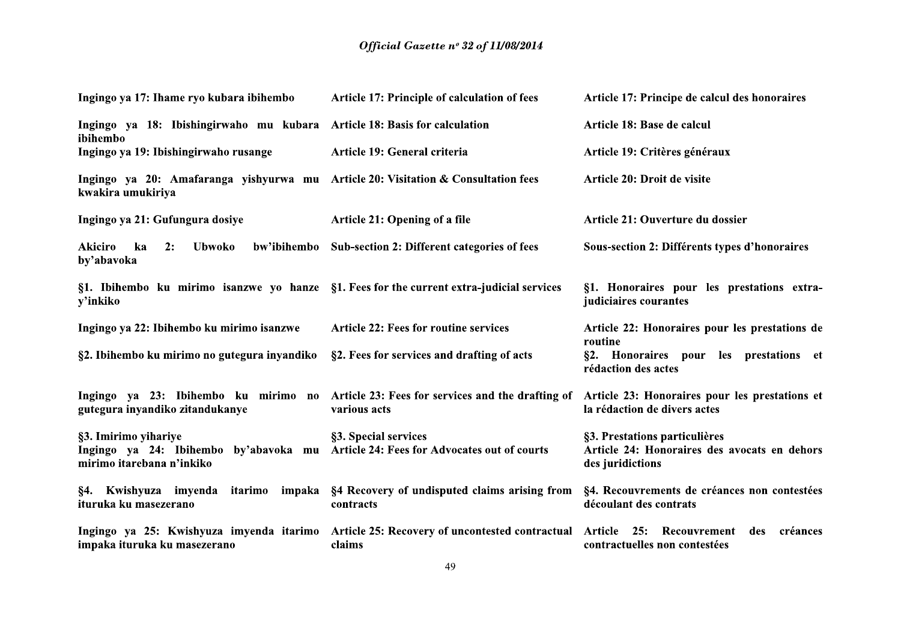| Ingingo ya 17: Ihame ryo kubara ibihembo                                                               | <b>Article 17: Principle of calculation of fees</b>                         | Article 17: Principe de calcul des honoraires                                                     |
|--------------------------------------------------------------------------------------------------------|-----------------------------------------------------------------------------|---------------------------------------------------------------------------------------------------|
| Ingingo ya 18: Ibishingirwaho mu kubara Article 18: Basis for calculation<br>ibihembo                  |                                                                             | Article 18: Base de calcul                                                                        |
| Ingingo ya 19: Ibishingirwaho rusange                                                                  | Article 19: General criteria                                                | Article 19: Critères généraux                                                                     |
| Ingingo ya 20: Amafaranga yishyurwa mu Article 20: Visitation & Consultation fees<br>kwakira umukiriya |                                                                             | Article 20: Droit de visite                                                                       |
| Ingingo ya 21: Gufungura dosiye                                                                        | Article 21: Opening of a file                                               | Article 21: Ouverture du dossier                                                                  |
| Akiciro<br>ka<br>2:<br><b>Ubwoko</b><br>bw'ibihembo<br>by'abavoka                                      | Sub-section 2: Different categories of fees                                 | Sous-section 2: Différents types d'honoraires                                                     |
| §1. Ibihembo ku mirimo isanzwe yo hanze §1. Fees for the current extra-judicial services<br>y'inkiko   |                                                                             | §1. Honoraires pour les prestations extra-<br>judiciaires courantes                               |
| Ingingo ya 22: Ibihembo ku mirimo isanzwe                                                              | <b>Article 22: Fees for routine services</b>                                | Article 22: Honoraires pour les prestations de<br>routine                                         |
| §2. Ibihembo ku mirimo no gutegura inyandiko                                                           | §2. Fees for services and drafting of acts                                  | §2. Honoraires pour les prestations et<br>rédaction des actes                                     |
| Ingingo ya 23: Ibihembo ku mirimo no<br>gutegura inyandiko zitandukanye                                | Article 23: Fees for services and the drafting of<br>various acts           | Article 23: Honoraires pour les prestations et<br>la rédaction de divers actes                    |
| §3. Imirimo yihariye<br>Ingingo ya 24: Ibihembo by'abavoka mu<br>mirimo itarebana n'inkiko             | §3. Special services<br><b>Article 24: Fees for Advocates out of courts</b> | §3. Prestations particulières<br>Article 24: Honoraires des avocats en dehors<br>des juridictions |
| §4. Kwishyuza imyenda itarimo impaka<br>ituruka ku masezerano                                          | §4 Recovery of undisputed claims arising from<br>contracts                  | §4. Recouvrements de créances non contestées<br>découlant des contrats                            |
| Ingingo ya 25: Kwishyuza imyenda itarimo<br>impaka ituruka ku masezerano                               | Article 25: Recovery of uncontested contractual<br>claims                   | 25:<br>Recouvrement<br>créances<br>Article<br>des<br>contractuelles non contestées                |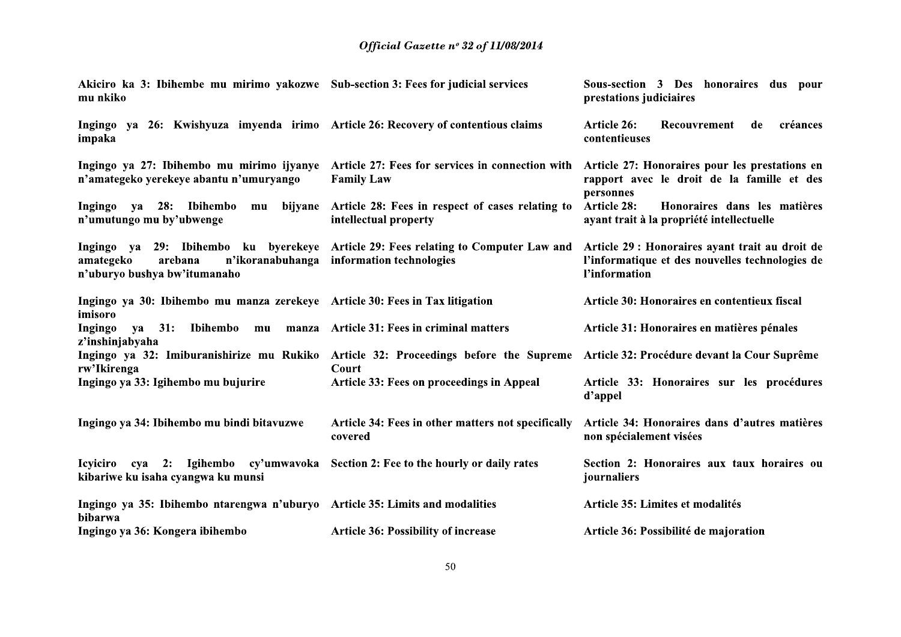| Akiciro ka 3: Ibihembe mu mirimo yakozwe Sub-section 3: Fees for judicial services<br>mu nkiko |                                                                                                                                 | Sous-section 3 Des honoraires dus pour<br>prestations judiciaires                                                   |  |  |
|------------------------------------------------------------------------------------------------|---------------------------------------------------------------------------------------------------------------------------------|---------------------------------------------------------------------------------------------------------------------|--|--|
| Ingingo ya 26: Kwishyuza imyenda irimo Article 26: Recovery of contentious claims<br>impaka    |                                                                                                                                 | Recouvrement<br><b>Article 26:</b><br>de<br>créances<br>contentieuses                                               |  |  |
| n'amategeko yerekeye abantu n'umuryango                                                        | Ingingo ya 27: Ibihembo mu mirimo ijyanye Article 27: Fees for services in connection with<br><b>Family Law</b>                 | Article 27: Honoraires pour les prestations en<br>rapport avec le droit de la famille et des<br>personnes           |  |  |
| Ingingo ya 28: Ibihembo<br>mu<br>n'umutungo mu by'ubwenge                                      | bijyane Article 28: Fees in respect of cases relating to<br>intellectual property                                               | <b>Article 28:</b><br>Honoraires dans les matières<br>ayant trait à la propriété intellectuelle                     |  |  |
| amategeko<br>arebana<br>n'uburyo bushya bw'itumanaho                                           | Ingingo ya 29: Ibihembo ku byerekeye Article 29: Fees relating to Computer Law and<br>n'ikoranabuhanga information technologies | Article 29 : Honoraires ayant trait au droit de<br>l'informatique et des nouvelles technologies de<br>l'information |  |  |
| Ingingo ya 30: Ibihembo mu manza zerekeye Article 30: Fees in Tax litigation<br>imisoro        |                                                                                                                                 | Article 30: Honoraires en contentieux fiscal                                                                        |  |  |
| Ingingo<br>31:<br>Ibihembo<br><b>va</b><br>mu<br>z'inshinjabyaha                               | manza Article 31: Fees in criminal matters                                                                                      | Article 31: Honoraires en matières pénales                                                                          |  |  |
| rw'Ikirenga                                                                                    | Ingingo ya 32: Imiburanishirize mu Rukiko Article 32: Proceedings before the Supreme<br>Court                                   | Article 32: Procédure devant la Cour Suprême                                                                        |  |  |
| Ingingo ya 33: Igihembo mu bujurire                                                            | Article 33: Fees on proceedings in Appeal                                                                                       | Article 33: Honoraires sur les procédures<br>d'appel                                                                |  |  |
| Ingingo ya 34: Ibihembo mu bindi bitavuzwe                                                     | Article 34: Fees in other matters not specifically<br>covered                                                                   | Article 34: Honoraires dans d'autres matières<br>non spécialement visées                                            |  |  |
| <b>Icyiciro</b><br>kibariwe ku isaha cyangwa ku munsi                                          | cya 2: Igihembo cy'umwavoka Section 2: Fee to the hourly or daily rates                                                         | Section 2: Honoraires aux taux horaires ou<br>journaliers                                                           |  |  |
| Ingingo ya 35: Ibihembo ntarengwa n'uburyo Article 35: Limits and modalities<br>bibarwa        |                                                                                                                                 | Article 35: Limites et modalités                                                                                    |  |  |
| Ingingo ya 36: Kongera ibihembo                                                                | <b>Article 36: Possibility of increase</b>                                                                                      | Article 36: Possibilité de majoration                                                                               |  |  |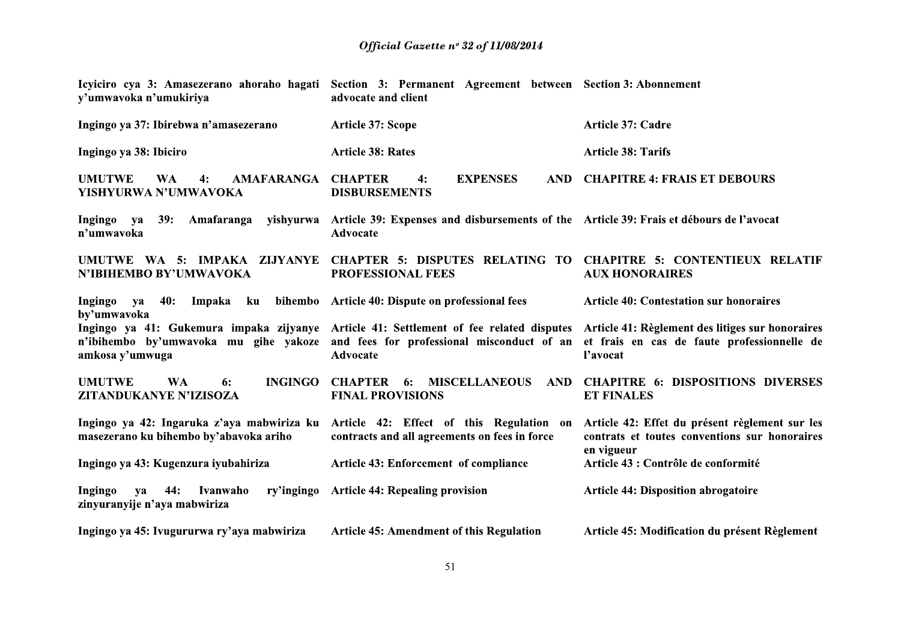| y'umwavoka n'umukiriya                                                         | Icyiciro cya 3: Amasezerano ahoraho hagati Section 3: Permanent Agreement between Section 3: Abonnement<br>advocate and client                                                                           |                                                                                                               |
|--------------------------------------------------------------------------------|----------------------------------------------------------------------------------------------------------------------------------------------------------------------------------------------------------|---------------------------------------------------------------------------------------------------------------|
| Ingingo ya 37: Ibirebwa n'amasezerano                                          | <b>Article 37: Scope</b>                                                                                                                                                                                 | Article 37: Cadre                                                                                             |
| Ingingo ya 38: Ibiciro                                                         | <b>Article 38: Rates</b>                                                                                                                                                                                 | <b>Article 38: Tarifs</b>                                                                                     |
| <b>UMUTWE</b><br><b>WA</b><br><b>AMAFARANGA</b><br>4:<br>YISHYURWA N'UMWAVOKA  | <b>CHAPTER</b><br><b>EXPENSES</b><br><b>AND</b><br>4:<br><b>DISBURSEMENTS</b>                                                                                                                            | <b>CHAPITRE 4: FRAIS ET DEBOURS</b>                                                                           |
| Ingingo<br>39:<br>Amafaranga<br>ya<br>n'umwavoka                               | yishyurwa Article 39: Expenses and disbursements of the Article 39: Frais et débours de l'avocat<br><b>Advocate</b>                                                                                      |                                                                                                               |
| UMUTWE WA 5: IMPAKA ZIJYANYE<br>N'IBIHEMBO BY'UMWAVOKA                         | <b>CHAPTER 5: DISPUTES RELATING TO</b><br><b>PROFESSIONAL FEES</b>                                                                                                                                       | <b>CHAPITRE 5: CONTENTIEUX RELATIF</b><br><b>AUX HONORAIRES</b>                                               |
| 40:<br>Impaka<br>Ingingo<br>ku<br><b>va</b><br>by'umwavoka                     | bihembo Article 40: Dispute on professional fees                                                                                                                                                         | <b>Article 40: Contestation sur honoraires</b>                                                                |
| n'ibihembo by'umwavoka mu gihe yakoze<br>amkosa y'umwuga                       | Ingingo ya 41: Gukemura impaka zijyanye Article 41: Settlement of fee related disputes Article 41: Règlement des litiges sur honoraires<br>and fees for professional misconduct of an<br><b>Advocate</b> | et frais en cas de faute professionnelle de<br>l'avocat                                                       |
| <b>UMUTWE</b><br><b>WA</b><br><b>INGINGO</b><br>6:<br>ZITANDUKANYE N'IZISOZA   | <b>CHAPTER</b><br><b>MISCELLANEOUS</b><br>AND<br>6:<br><b>FINAL PROVISIONS</b>                                                                                                                           | <b>CHAPITRE 6: DISPOSITIONS DIVERSES</b><br><b>ET FINALES</b>                                                 |
| masezerano ku bihembo by'abavoka ariho                                         | Ingingo ya 42: Ingaruka z'aya mabwiriza ku Article 42: Effect of this Regulation on<br>contracts and all agreements on fees in force                                                                     | Article 42: Effet du présent règlement sur les<br>contrats et toutes conventions sur honoraires<br>en vigueur |
| Ingingo ya 43: Kugenzura iyubahiriza                                           | <b>Article 43: Enforcement of compliance</b>                                                                                                                                                             | Article 43 : Contrôle de conformité                                                                           |
| Ingingo<br>44:<br>Ivanwaho<br>ry'ingingo<br>ya<br>zinyuranyije n'aya mabwiriza | <b>Article 44: Repealing provision</b>                                                                                                                                                                   | <b>Article 44: Disposition abrogatoire</b>                                                                    |
| Ingingo ya 45: Ivugururwa ry'aya mabwiriza                                     | <b>Article 45: Amendment of this Regulation</b>                                                                                                                                                          | Article 45: Modification du présent Règlement                                                                 |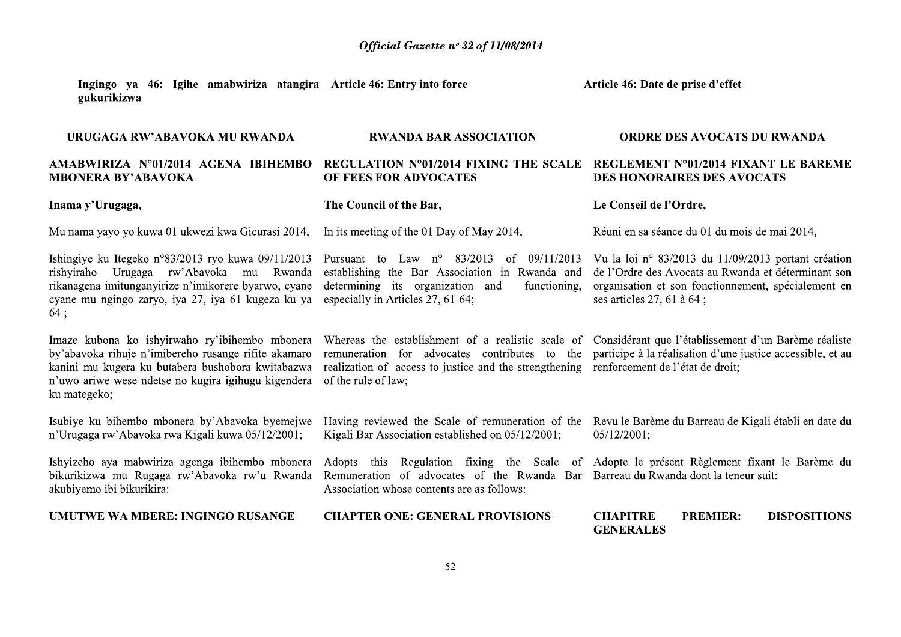Article 46: Date de prise d'effet

Ingingo va 46: Igihe amabwiriza atangira Article 46: Entry into force gukurikizwa

URUGAGA RW'ABAVOKA MU RWANDA **RWANDA BAR ASSOCIATION ORDRE DES AVOCATS DU RWANDA** AMABWIRIZA N°01/2014 AGENA IBIHEMBO REGULATION N°01/2014 FIXING THE SCALE REGLEMENT N°01/2014 FIXANT LE BAREME **MBONERA BY'ABAVOKA** OF FEES FOR ADVOCATES **DES HONORAIRES DES AVOCATS** Inama y'Urugaga, The Council of the Bar, Le Conseil de l'Ordre, Mu nama yayo yo kuwa 01 ukwezi kwa Gicurasi 2014, In its meeting of the 01 Day of May 2014, Réuni en sa séance du 01 du mois de mai 2014, Ishingiye ku Itegeko n°83/2013 ryo kuwa 09/11/2013 Pursuant to Law  $n^{\circ}$  83/2013 of 09/11/2013 Vu la loi  $n^{\circ}$  83/2013 du 11/09/2013 portant création rishyiraho Urugaga rw'Abavoka mu Rwanda establishing the Bar Association in Rwanda and de l'Ordre des Avocats au Rwanda et déterminant son rikanagena imitunganvirize n'imikorere byarwo, cyane determining its organization and functioning. organisation et son fonctionnement, spécialement en cyane mu ngingo zaryo, iya 27, iya 61 kugeza ku ya especially in Articles 27, 61-64; ses articles 27, 61 à 64;  $64:$ Imaze kubona ko ishyirwaho ry'ibihembo mbonera Whereas the establishment of a realistic scale of Considérant que l'établissement d'un Barème réaliste by'abavoka rihuje n'imibereho rusange rifite akamaro remuneration for advocates contributes to the participe à la réalisation d'une justice accessible, et au kanini mu kugera ku butabera bushobora kwitabazwa realization of access to justice and the strengthening renforcement de l'état de droit: n'uwo ariwe wese ndetse no kugira igihugu kigendera of the rule of law: ku mategeko; Isubiye ku bihembo mbonera by'Abavoka byemejwe Having reviewed the Scale of remuneration of the Revu le Barème du Barreau de Kigali établi en date du n'Urugaga rw'Abavoka rwa Kigali kuwa 05/12/2001; Kigali Bar Association established on 05/12/2001;  $05/12/2001$ ; Ishyizeho aya mabwiriza agenga ibihembo mbonera Adopts this Regulation fixing the Scale of Adopte le présent Règlement fixant le Barème du bikurikizwa mu Rugaga rw'Abavoka rw'u Rwanda Remuneration of advocates of the Rwanda Bar Barreau du Rwanda dont la teneur suit: akubiyemo ibi bikurikira: Association whose contents are as follows: **IJMUTWE WA MBERE: INGINGO RUSANGE CHAPTER ONE: GENERAL PROVISIONS CHAPITRE PREMIER: DISPOSITIONS GENERALES**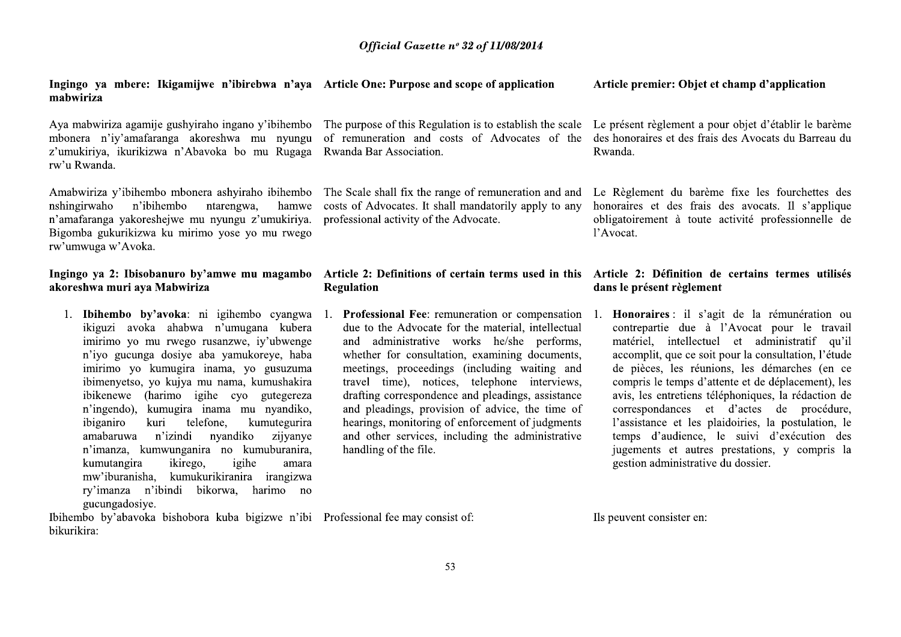Ingingo ya mbere: Ikigamijwe n'ibirebwa n'aya Article One: Purpose and scope of application mabwiriza

Aya mabwiriza agamije gushyiraho ingano y'ibihembo The purpose of this Regulation is to establish the scale Le présent règlement a pour objet d'établir le barème mbonera n'iy'amafaranga akoreshwa mu nyungu z'umukiriya, ikurikizwa n'Abayoka bo mu Rugaga rw'u Rwanda.

Amabwiriza y'ibihembo mbonera ashyiraho ibihembo ntarengwa, nshingirwaho n'ibihembo hamwe n'amafaranga yakoreshejwe mu nyungu z'umukiriya. Bigomba gukurikizwa ku mirimo vose vo mu rwego rw'umwuga w'Avoka.

# Ingingo ya 2: Ibisobanuro by'amwe mu magambo Article 2: Definitions of certain terms used in this Article 2: Définition de certains termes utilisés akoreshwa muri ava Mabwiriza

1. Ibihembo by'avoka: ni igihembo cyangwa ikiguzi avoka ahabwa n'umugana kubera imirimo yo mu rwego rusanzwe, iy'ubwenge n'ivo gucunga dosive aba vamukoreve, haba imirimo yo kumugira inama, yo gusuzuma ibimenyetso, yo kujya mu nama, kumushakira ibikenewe (harimo igihe cyo gutegereza n'ingendo), kumugira inama mu nyandiko, ibiganiro kuri telefone. kumutegurira n'izindi nyandiko amabaruwa zijvanye n'imanza, kumwunganira no kumuburanira, ikirego. kumutangira igihe amara mw'iburanisha, kumukurikiranira irangizwa ry'imanza n'ibindi bikorwa, harimo no gucungadosiye.

Rwanda Bar Association.

costs of Advocates. It shall mandatorily apply to any honoraires et des frais des avocats. Il s'applique professional activity of the Advocate.

# Regulation

due to the Advocate for the material, intellectual and administrative works he/she performs, whether for consultation, examining documents, meetings, proceedings (including waiting and travel time), notices, telephone interviews, drafting correspondence and pleadings, assistance and pleadings, provision of advice, the time of hearings, monitoring of enforcement of judgments and other services, including the administrative handling of the file.

# Article premier: Objet et champ d'application

of remuneration and costs of Advocates of the des honoraires et des frais des Avocats du Barreau du Rwanda.

The Scale shall fix the range of remuneration and and Le Règlement du barème fixe les fourchettes des obligatoirement à toute activité professionnelle de l'Avocat.

# dans le présent règlement

1. Professional Fee: remuneration or compensation 1. Honoraires : il s'agit de la rémunération ou contrepartie due à l'Avocat pour le travail matériel, intellectuel et administratif qu'il accomplit, que ce soit pour la consultation, l'étude de pièces, les réunions, les démarches (en ce compris le temps d'attente et de déplacement), les avis, les entretiens téléphoniques, la rédaction de correspondances et d'actes de procédure, l'assistance et les plaidoiries, la postulation, le temps d'audience, le suivi d'exécution des jugements et autres prestations, y compris la gestion administrative du dossier.

Ibihembo by'abavoka bishobora kuba bigizwe n'ibi Professional fee may consist of: bikurikira:

Ils peuvent consister en: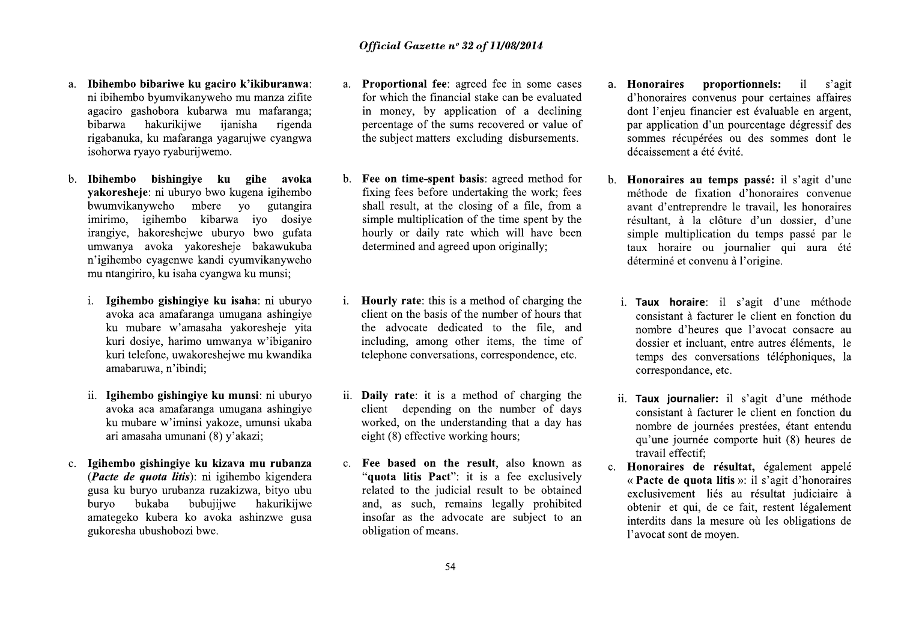- a. Ibihembo bibariwe ku gaciro k'ikiburanwa: ni ibihembo byumvikanyweho mu manza zifite agaciro gashobora kubarwa mu mafaranga; bibarwa hakurikiiwe iianisha rigenda rigabanuka, ku mafaranga yagarujwe cyangwa isohorwa ryayo ryaburijwemo.
- b. Ibihembo bishingive ku gihe avoka vakoresheje: ni uburyo bwo kugena igihembo bwumvikanyweho mbere yo gutangira imirimo, igihembo kibarwa iyo dosiye irangiye, hakoreshejwe uburyo bwo gufata umwanya avoka yakoresheje bakawukuba n'igihembo cyagenwe kandi cyumvikanyweho mu ntangiriro, ku isaha cyangwa ku munsi;
	- i. Igihembo gishingiye ku isaha: ni uburyo avoka aca amafaranga umugana ashingiye ku mubare w'amasaha yakoresheje yita kuri dosiye, harimo umwanya w'ibiganiro kuri telefone, uwakoresheiwe mu kwandika amabaruwa, n'ibindi;
	- ii. Igihembo gishingiye ku munsi: ni uburyo avoka aca amafaranga umugana ashingiye ku mubare w'iminsi yakoze, umunsi ukaba ari amasaha umunani (8) y'akazi;
- c. Igihembo gishingiye ku kizava mu rubanza (Pacte de quota litis): ni igihembo kigendera gusa ku buryo urubanza ruzakizwa, bityo ubu bubuiiiwe bukaba hakurikiiwe buryo amategeko kubera ko avoka ashinzwe gusa gukoresha ubushobozi bwe.
- a. Proportional fee: agreed fee in some cases for which the financial stake can be evaluated in money, by application of a declining percentage of the sums recovered or value of the subject matters excluding disbursements.
- b. Fee on time-spent basis: agreed method for fixing fees before undertaking the work; fees shall result, at the closing of a file, from a simple multiplication of the time spent by the hourly or daily rate which will have been determined and agreed upon originally:
- **Hourly rate:** this is a method of charging the  $\mathbf{i}$ . client on the basis of the number of hours that the advocate dedicated to the file, and including, among other items, the time of telephone conversations, correspondence, etc.
- ii. **Daily rate:** it is a method of charging the client depending on the number of days worked, on the understanding that a day has eight (8) effective working hours;
- c. Fee based on the result, also known as "quota litis Pact": it is a fee exclusively related to the judicial result to be obtained and, as such, remains legally prohibited insofar as the advocate are subject to an obligation of means.
- a. Honoraires proportionnels:  $\mathbf{il}$ s'agit d'honoraires convenus pour certaines affaires dont l'enjeu financier est évaluable en argent, par application d'un pourcentage dégressif des sommes récupérées ou des sommes dont le décaissement a été évité.
- b. Honoraires au temps passé: il s'agit d'une méthode de fixation d'honoraires convenue avant d'entreprendre le travail, les honoraires résultant, à la clôture d'un dossier, d'une simple multiplication du temps passé par le taux horaire ou journalier qui aura été déterminé et convenu à l'origine.
	- i. Taux horaire: il s'agit d'une méthode consistant à facturer le client en fonction du nombre d'heures que l'avocat consacre au dossier et incluant, entre autres éléments, le temps des conversations téléphoniques, la correspondance, etc.
	- ii. Taux journalier: il s'agit d'une méthode consistant à facturer le client en fonction du nombre de journées prestées, étant entendu qu'une journée comporte huit (8) heures de travail effectif;
- c. Honoraires de résultat, également appelé « Pacte de quota litis »: il s'agit d'honoraires exclusivement liés au résultat judiciaire à obtenir et qui, de ce fait, restent légalement interdits dans la mesure où les obligations de l'avocat sont de moyen.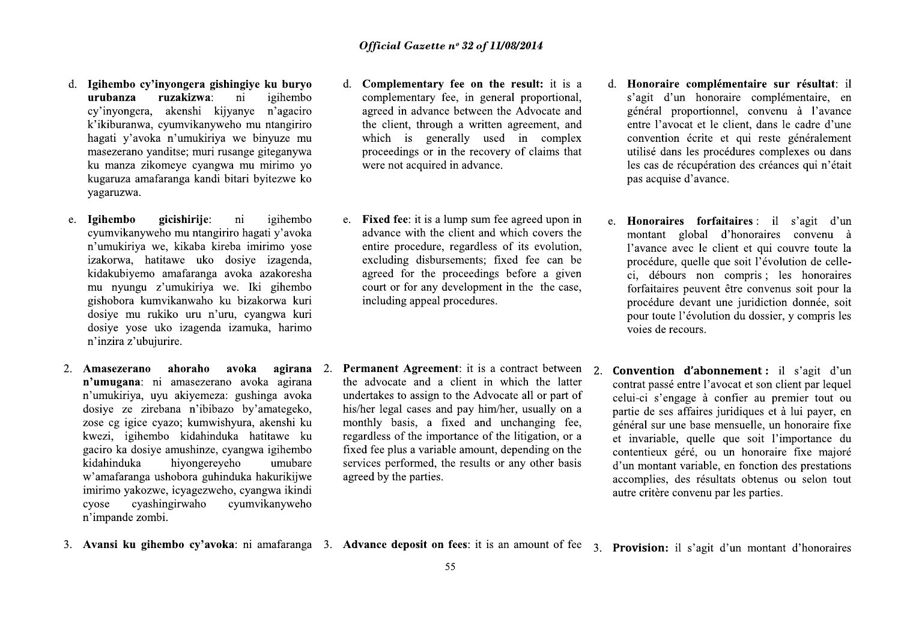- *Official Gase*<br> **Official Gase**<br> **Complements**<br> **Complements**<br> **Complementary**<br> **Complementary**<br> **Complementary**<br> **Complementary**<br> **Complementary**<br> **Complementary**<br> **Complementary**<br> **Complementary**<br> **Complementary**<br> **Com gishingiye ku buryo**<br>
a: ni igihembo<br>
kijyanye n'agaciro agreed in advano<br>
myweho mu ntangiriro the client, throu<br>
iriza we binyuze mu which is gen<br>
ingwa mu mirimo yo were not acquire<br>
maji bitari byitezwe ko<br>
e: ni igih **gishingiye ku buryo**<br>
a: ni igihembo<br>
kijyanye n'agaciro agreed in advano<br>
myweho mu ntangiriro interesting agreed in advano<br>
iriya we binyuze mu which is gen<br>
iri rusange giteganywa proceedings or interest interest angle
- **The Markon Complementary (and the complementary)**<br> **The complementary**<br>
Cy'inyongera, akenshi kijyanye n'agaciro agreed in adventary k'ikiburanova, cyumvikanyweho mu ntangiriro the client, the hand a material provide mas e: ni igihembo e. **Fixed fee**: it is a<br>
ngiriro hagati y'avoka advance with the<br>
kireba imirimo yose<br>
co dosiye izagenda, excluding disbu<br>
ga avoka azakoresha agreed for the<br>
court or for any<br>
n'uru, cyangwa kuri<br>
nda izam Example to the intention of the same of the same of the same of the same of the same of the same of the same of the same of the same of the same of the same of the same of the same of the same of the same of the same of th mgiriro hagati y'avoka<br>
kireba imirimo yose<br>
co dosiye izagenda,<br>
ga avoka azakoresha<br>
agreed for the<br>
court or for any<br>
o ku bizakorwa kuri<br>
n'uru, cyangwa kuri<br>
n'uru, cyangwa kuri<br>
nda izamuka, harimo<br> **o avoka agirana**
- w amararanga ushoo<br>imirimo yakozwe, icy<br>cyose cyashingiry<br>n'impande zombi.<br>3. Avansi ku gihembo n'umukiriya we, kikaba kireba imirimo yose<br>
izakorwa, hatifawe uko dosiye izagenda, excluding disa<br>
izdakubiyemo amafaranga avoka azakoresha exceeding disa<br>
muyungu z'umukiriya we. Iki gihembo court or for are gishobora ku zose cg igice cyazo; kumwishyura, akenshi ku monthly basis, a kwezi, igihembo kidahinduka hatitawe ku regardless of the igaciro ka dosiye amushinze, cyangwa igihembo fixed fee plus a va kidahinduka hatitawe wandaranga usho New Articles and a clipsed and a clipsed is gushing a voka<br>
20 by amategeko, his/her legal cases and p<br>
120 by amategeko, his/her legal cases and p<br>
120 hyura, akenshi ku monthly basis, a fixed regardless of the importal<br> Example a undertakes to assign to the by 'amategeko,<br>
Example 16 his/her legal cases and p<br>
hyura, akenshi ku monthly basis, a fixed<br>
inka hatitawe ku regardless of the importary<br>
example in the services performed, the p<br> bibazo by'amategeko, his/her legal cases a<br>
induka hatitawe ku monthly basis, a<br>
induka hatitawe ku regardless of the imp<br>
ze, cyangwa igihembo fixed fee plus a varia<br>
services performed,<br>
induka hakurikijwe agreed by the
- **Official Gazette n° 32 of 1**<br>give ku buryo d. Complementary fee on the igihembo<br>in igihembo complementary fee, in ger<br>or in agaciro agreed in advance between<br>in mu ntangiriro the client, through a writte<br>re binyuze mu wh **Official Gazette n° 32 of 11/**<br> **ku buryo** d. **Complementary fee on the iginembo** complementary fee, in gener n'agaciro agreed in advance between the ntangiriro the client, through a written nyuze mu which is generally u **Official Gazette nº 32 of 11/08/2014**<br> **u buryo**<br> **d. Complementary fee on the result:**<br>
gihembo<br>
complementary fee, in general propo.<br>
in agreed in advance between the Advocation<br>
tangiriro<br>
the client, through a writte **Official Gazette nº 32 of 11/08/2014**<br>d. **Complementary fee on the result:** i<br>complementary fee, in general propor<br>agreed in advance between the Advocat<br>the client, through a written agreemen<br>which is generally used in c **Official Gazette n° 32 of 11/08/2014**<br>
d. **Complementary fee on the result:** it is a<br>
d. **Honor**<br>
complementary fee, in general proportional, s'agit<br>
agreed in advance between the Advocate and<br>
the client, through a writ *Official Gazette n° 32 of 11/08/2014*<br>
ningive ku buryo<br>
ninginementary fee on the result: it is a<br>
igliembo<br>
igninementary fee, in general proportional, saigli d'un h<br>
igliembo<br>
are not acquirement, through a written ag
- a; in igihembo complementary fce, in general proportional, s'agit d'un kiyayeve me di general advance between the Advocate and enteral grooted in explane the dient, through a written agreement, and enter l'avocate in the c
- services performed, the results of any other the<br>agreed by the parties.<br>Advance deposit on fees: it is an amount of<br>55 kircha imirino yose contier procedure, regardless of its scouliding displayerands, and a secure and a secure and a secure and a secure of the procedures and a secure of the procedures are a be procedure and a secure of the wishyura, akenshi ku monthly basis, a fixed and unchanging fee,<br>
induka hatitawe ku regardless of the importance of the litigation, or a et invariable, que<br>
zer, cyangwa iglientho<br>
ereyeho unubare services performed, the r
- **11/08/2014**<br> **the result:** it is a **d. Honoraire complémentaire sur résultat**: il<br>
oneral proportional, s'agit d'un honoraire complémentaire, en<br>
en el Advocate and général proportionnel, convenu à l'avance<br>
eien agreeme **Frequit:** it is a d. **Honoraire complément**<br>
represent, and général proportionnel,<br>
in complex convention écrite et qu<br>
in complex convention écrite et qu<br>
rof claims that utilisé dans les procédur<br>
les cas de récupératio
- meral proportional,<br>
s'agit d'un honoraire complémentaire, en<br>
en Advocate and entre l'avocat et le client, dans le cadre d'une<br>
sed in complex<br>
enter l'avocat et le client, dans le cadre d'une<br>
set d'une<br>
exerce d'une con
- Contract between<br>
in the late of the state of the state of the state of the state of the state of the state of the case,<br>
in the the case,<br>
in the the case,<br>
in the the case,<br>
in the the case,<br>
in the the case,<br>
in the the alless of its evolution,<br>
Its, fixed free can be<br>
procédure, quelle que soit l'évolution de cle-<br>
distribution de cle-<br>
distribution de distribution du dossier, y compris les<br>
soies de recours soit pour toute l'évolution d ocate all or part of celui-ci s'engage à con<br>
vher, usually on a partie de ses affaires jure<br>
unchanging fee, général sur une base met<br>
the litigation, or a et invariable, quelle que contentieux géré, ou un<br>
or any other b Vher, usually on a<br>
unchanging fee,<br>
the litigation, or a<br>
et invariable, quelle quelle quelle que<br>
or any other basis<br>
d'un montant variable, en<br>
accomplies, des résultat<br>
autre critère convenu par<br>
an amount of fee 3. **P** and unchanging fee, général sur une base mensuelle, un honoraire fixe<br>
of the litigation, or a<br>
ortentieux effec, ou un honoraire fixe majoré<br>
count, depending on the contentieux géré, ou un honoraire fixe majoré<br>
d'un mon
	-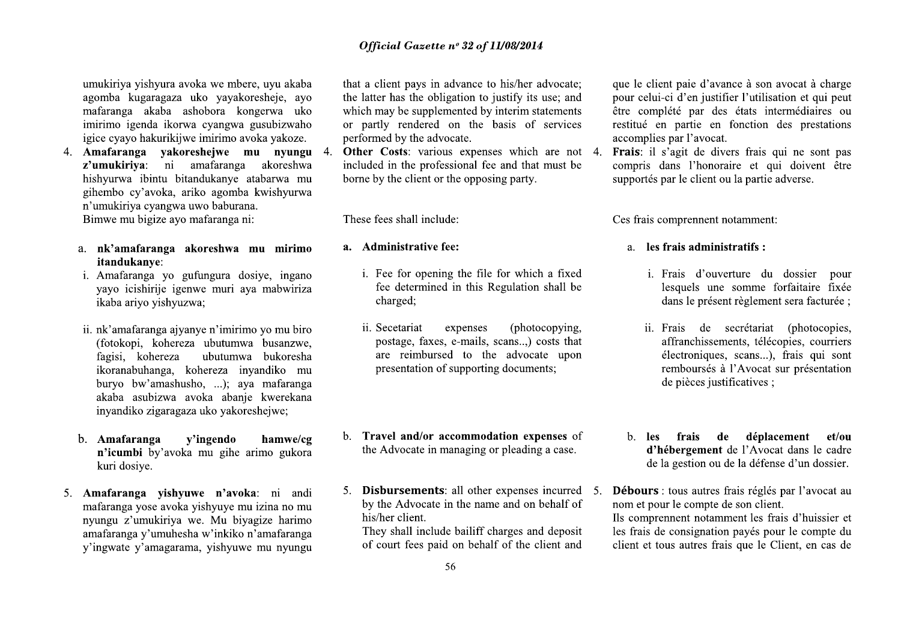umukiriya yishyura avoka we mbere, uyu akaba agomba kugaragaza uko yayakoresheje, ayo mafaranga akaba ashobora kongerwa uko imirimo igenda ikorwa cyangwa gusubizwaho igice cyayo hakurikijwe imirimo avoka yakoze.

4. Amafaranga vakoreshejwe mu nyungu 4. z'umukiriya: ni amafaranga akoreshwa hishyurwa ibintu bitandukanye atabarwa mu gihembo cy'avoka, ariko agomba kwishyurwa n'umukiriya cyangwa uwo baburana.

Bimwe mu bigize ayo mafaranga ni:

- a. nk'amafaranga akoreshwa mu mirimo itandukanye:
- i. Amafaranga yo gufungura dosiye, ingano yayo icishirije igenwe muri aya mabwiriza ikaba ariyo yishyuzwa;
- ii. nk'amafaranga ajyanye n'imirimo yo mu biro (fotokopi, kohereza ubutumwa busanzwe, fagisi, kohereza ubutumwa bukoresha ikoranabuhanga, kohereza inyandiko mu buryo bw'amashusho, ...); aya mafaranga akaba asubizwa avoka abanie kwerekana inyandiko zigaragaza uko yakoreshejwe;
- v'ingendo hamwe/cg b. Amafaranga n'icumbi by'avoka mu gihe arimo gukora kuri dosiye.
- 5. Amafaranga vishyuwe n'avoka: ni andi mafaranga yose avoka yishyuye mu izina no mu nyungu z'umukiriya we. Mu biyagize harimo amafaranga v'umuhesha w'inkiko n'amafaranga y'ingwate y'amagarama, yishyuwe mu nyungu

that a client pays in advance to his/her advocate; the latter has the obligation to justify its use; and which may be supplemented by interim statements or partly rendered on the basis of services performed by the advocate.

Other Costs: various expenses which are not 4. included in the professional fee and that must be borne by the client or the opposing party.

These fees shall include:

## a. Administrative fee:

- i. Fee for opening the file for which a fixed fee determined in this Regulation shall be charged;
- ii. Secetariat expenses (photocopying, postage, faxes, e-mails, scans..,) costs that are reimbursed to the advocate upon presentation of supporting documents;
- b. Travel and/or accommodation expenses of the Advocate in managing or pleading a case.
- 5. **Disbursements:** all other expenses incurred 5. by the Advocate in the name and on behalf of his/her client.

They shall include bailiff charges and deposit of court fees paid on behalf of the client and que le client paie d'avance à son avocat à charge pour celui-ci d'en justifier l'utilisation et qui peut être complété par des états intermédiaires ou restitué en partie en fonction des prestations accomplies par l'avocat.

Frais: il s'agit de divers frais qui ne sont pas compris dans l'honoraire et qui doivent être supportés par le client ou la partie adverse.

Ces frais comprennent notamment:

## a. les frais administratifs :

- i. Frais d'ouverture du dossier pour lesquels une somme forfaitaire fixée dans le présent règlement sera facturée ;
- ii. Frais de secrétariat (photocopies, affranchissements, télécopies, courriers électroniques, scans...), frais qui sont remboursés à l'Avocat sur présentation de pièces justificatives ;
- b. les frais de déplacement et/ou d'hébergement de l'Avocat dans le cadre de la gestion ou de la défense d'un dossier.
- Débours : tous autres frais réglés par l'avocat au nom et pour le compte de son client. Ils comprennent notamment les frais d'huissier et les frais de consignation payés pour le compte du client et tous autres frais que le Client, en cas de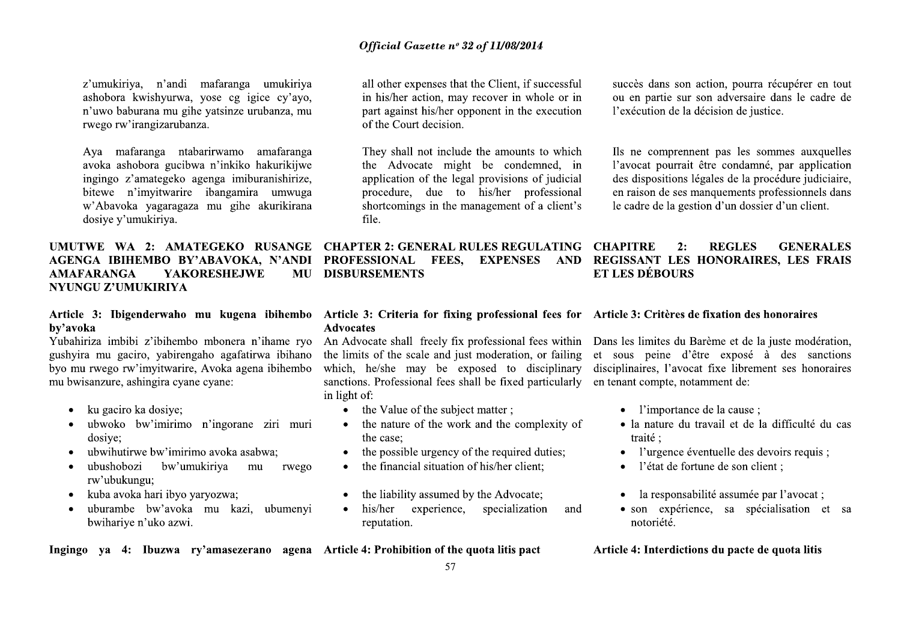z'umukiriya, n'andi mafaranga umukiriya ashobora kwishyurwa, yose cg igice cy'ayo, n'uwo baburana mu gihe yatsinze urubanza, mu rwego rw'irangizarubanza.

Ava mafaranga ntabarirwamo amafaranga avoka ashobora gucibwa n'inkiko hakurikijwe ingingo z'amategeko agenga imiburanishirize, bitewe n'imvitwarire ibangamira umwuga w'Abavoka yagaragaza mu gihe akurikirana dosiye y'umukiriya.

## AGENGA IBIHEMBO BY'ABAVOKA, N'ANDI **AMAFARANGA YAKORESHEJWE MU** NYUNGU Z'UMUKIRIYA

# by'avoka

Yubahiriza imbibi z'ibihembo mbonera n'ihame ryo gushvira mu gaciro, vabirengaho agafatirwa ibihano byo mu rwego rw'imyitwarire, Avoka agena ibihembo mu bwisanzure, ashingira cyane cyane:

- ku gaciro ka dosiye;
- ubwoko bw'imirimo n'ingorane ziri muri  $\bullet$ dosiye;
- ubwihutirwe bw'imirimo avoka asabwa:
- ubushobozi bw'umukiriya mu rwego  $\bullet$ rw'ubukungu;
- kuba avoka hari ibyo yaryozwa;  $\bullet$
- uburambe bw'avoka mu kazi, ubumenyi  $\bullet$ bwihariye n'uko azwi.

all other expenses that the Client, if successful in his/her action, may recover in whole or in part against his/her opponent in the execution of the Court decision.

They shall not include the amounts to which the Advocate might be condemned, in application of the legal provisions of judicial procedure, due to his/her professional shortcomings in the management of a client's file.

UMUTWE WA 2: AMATEGEKO RUSANGE CHAPTER 2: GENERAL RULES REGULATING CHAPITRE **PROFESSIONAL FEES. EXPENSES DISBURSEMENTS** 

## Article 3: Ibigenderwaho mu kugena ibihembo Article 3: Criteria for fixing professional fees for Article 3: Critères de fixation des honoraires **Advocates**

An Advocate shall freely fix professional fees within Dans les limites du Barème et de la juste modération, sanctions. Professional fees shall be fixed particularly en tenant compte, notamment de: in light of:

- the Value of the subject matter;
- the nature of the work and the complexity of  $\bullet$ the case:
- the possible urgency of the required duties;  $\bullet$
- the financial situation of his/her client:  $\bullet$
- the liability assumed by the Advocate;
- his/her experience, specialization  $\bullet$ and reputation.

Ingingo ya 4: Ibuzwa ry'amasezerano agena Article 4: Prohibition of the quota litis pact

succès dans son action, pourra récupérer en tout ou en partie sur son adversaire dans le cadre de l'exécution de la décision de justice.

Ils ne comprennent pas les sommes auxquelles l'avocat pourrait être condamné, par application des dispositions légales de la procédure judiciaire. en raison de ses manquements professionnels dans le cadre de la gestion d'un dossier d'un client.

## $2:$ **REGLES GENERALES** AND REGISSANT LES HONORAIRES. LES FRAIS **ET LES DÉBOURS**

the limits of the scale and just moderation, or failing et sous peine d'être exposé à des sanctions which, he/she may be exposed to disciplinary disciplinaires, l'avocat fixe librement ses honoraires

- l'importance de la cause ;
- · la nature du travail et de la difficulté du cas traité :
- l'urgence éventuelle des devoirs requis ;
- l'état de fortune de son client :  $\bullet$
- la responsabilité assumée par l'avocat;
- son expérience, sa spécialisation et sa notoriété.

Article 4: Interdictions du pacte de quota litis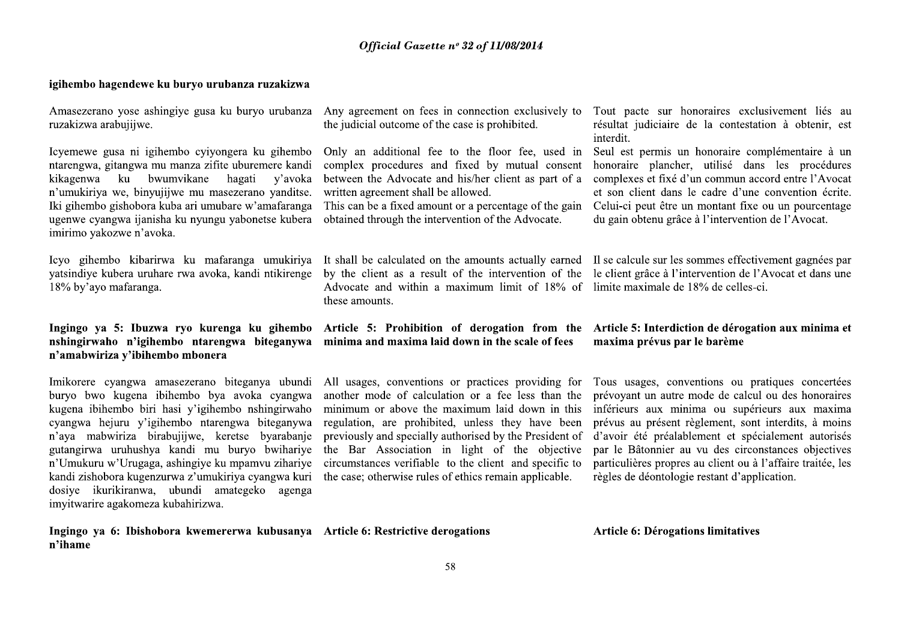## igihembo hagendewe ku buryo urubanza ruzakizwa

Amasezerano vose ashingive gusa ku buryo urubanza Any agreement on fees in connection exclusively to Tout pacte sur honoraires exclusivement liés au ruzakizwa arabujijwe.

Icyemewe gusa ni igihembo cyiyongera ku gihembo ntarengwa, gitangwa mu manza zifite uburemere kandi kikagenwa ku bwumvikane hagati v'avoka n'umukiriya we, binyujijwe mu masezerano yanditse. Iki gihembo gishobora kuba ari umubare w'amafaranga ugenwe cyangwa ijanisha ku nyungu yabonetse kubera imirimo yakozwe n'avoka.

vatsindive kubera uruhare rwa avoka, kandi ntikirenge 18% by'ayo mafaranga.

Ingingo ya 5: Ibuzwa ryo kurenga ku gihembo nshingirwaho n'igihembo ntarengwa biteganywa n'amabwiriza v'ibihembo mbonera

Imikorere cyangwa amasezerano biteganya ubundi buryo bwo kugena ibihembo bya avoka cyangwa kugena ibihembo biri hasi y'igihembo nshingirwaho cyangwa hejuru y'igihembo ntarengwa biteganywa n'aya mabwiriza birabujijwe, keretse byarabanje gutangirwa uruhushya kandi mu buryo bwihariye n'Umukuru w'Urugaga, ashingiye ku mpamvu zihariye kandi zishobora kugenzurwa z'umukiriya cyangwa kuri dosiye ikurikiranwa, ubundi amategeko agenga imyitwarire agakomeza kubahirizwa.

Ingingo ya 6: Ibishobora kwemererwa kubusanya Article 6: Restrictive derogations n'ihame

the judicial outcome of the case is prohibited.

Only an additional fee to the floor fee, used in Seul est permis un honoraire complémentaire à un complex procedures and fixed by mutual consent between the Advocate and his/her client as part of a written agreement shall be allowed.

obtained through the intervention of the Advocate.

Advocate and within a maximum limit of 18% of limite maximale de 18% de celles-ci. these amounts.

minima and maxima laid down in the scale of fees

All usages, conventions or practices providing for another mode of calculation or a fee less than the minimum or above the maximum laid down in this regulation, are prohibited, unless they have been previously and specially authorised by the President of the Bar Association in light of the objective circumstances verifiable to the client and specific to the case; otherwise rules of ethics remain applicable.

résultat judiciaire de la contestation à obtenir, est interdit.

honoraire plancher, utilisé dans les procédures complexes et fixé d'un commun accord entre l'Avocat et son client dans le cadre d'une convention écrite. This can be a fixed amount or a percentage of the gain Celui-ci peut être un montant fixe ou un pourcentage du gain obtenu grâce à l'intervention de l'Avocat.

Icyo gihembo kibarirwa ku mafaranga umukiriya It shall be calculated on the amounts actually earned II se calcule sur les sommes effectivement gagnées par by the client as a result of the intervention of the le client grâce à l'intervention de l'Avocat et dans une

## Article 5: Prohibition of derogation from the Article 5: Interdiction de dérogation aux minima et maxima prévus par le barème

Tous usages, conventions ou pratiques concertées prévoyant un autre mode de calcul ou des honoraires inférieurs aux minima ou supérieurs aux maxima prévus au présent règlement, sont interdits, à moins d'avoir été préalablement et spécialement autorisés par le Bâtonnier au vu des circonstances objectives particulières propres au client ou à l'affaire traitée, les règles de déontologie restant d'application.

Article 6: Dérogations limitatives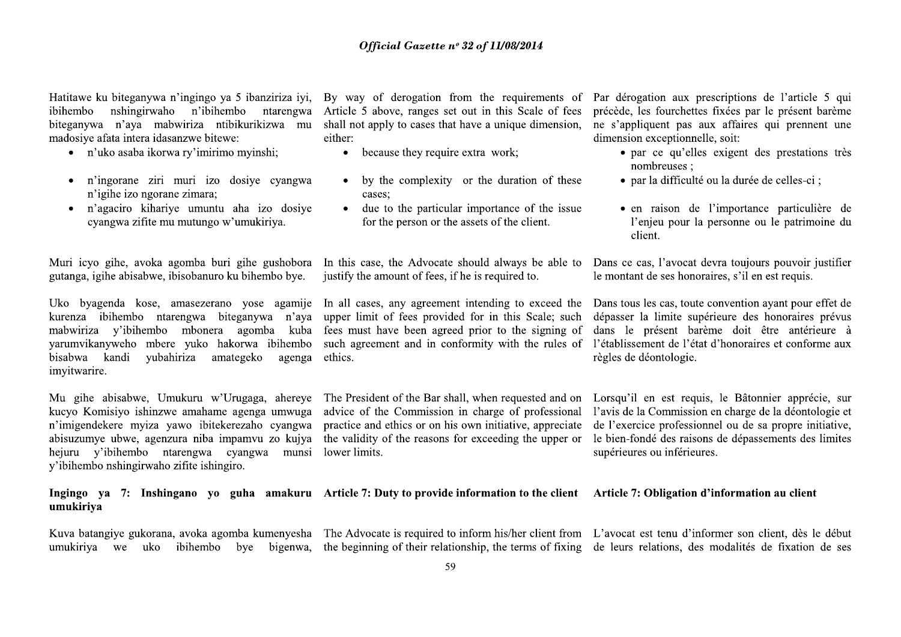nshingirwaho n'ibihembo ntarengwa ibihembo biteganywa n'aya mabwiriza ntibikurikizwa mu madosiye afata intera idasanzwe bitewe:

- n'uko asaba ikorwa ry'imirimo mvinshi:
- n'ingorane ziri muri izo dosive cyangwa n'igihe izo ngorane zimara;
- n'agaciro kihariye umuntu aha izo dosiye  $\bullet$ cyangwa zifite mu mutungo w'umukiriya.

Muri icyo gihe, avoka agomba buri gihe gushobora gutanga, igihe abisabwe, ibisobanuro ku bihembo bye.

Uko byagenda kose, amasezerano yose agamije kurenza ibihembo ntarengwa biteganywa n'aya mabwiriza y'ibihembo mbonera agomba kuba yarumvikanyweho mbere yuko hakorwa ibihembo bisabwa kandi yubahiriza amategeko agenga imvitwarire.

Mu gihe abisabwe, Umukuru w'Urugaga, ahereye kucyo Komisiyo ishinzwe amahame agenga umwuga n'imigendekere myiza yawo ibitekerezaho cyangwa abisuzumye ubwe, agenzura niba impamvu zo kujya hejuru y'ibihembo ntarengwa cyangwa munsi y'ibihembo nshingirwaho zifite ishingiro.

either:

- because they require extra work:
- by the complexity or the duration of these cases:
- due to the particular importance of the issue for the person or the assets of the client.

justify the amount of fees, if he is required to.

upper limit of fees provided for in this Scale; such fees must have been agreed prior to the signing of ethics.

The President of the Bar shall, when requested and on advice of the Commission in charge of professional practice and ethics or on his own initiative, appreciate the validity of the reasons for exceeding the upper or lower limits.

Hatitawe ku biteganywa n'ingingo ya 5 ibanziriza iyi, By way of derogation from the requirements of Par dérogation aux prescriptions de l'article 5 qui Article 5 above, ranges set out in this Scale of fees précède, les fourchettes fixées par le présent barème shall not apply to cases that have a unique dimension, ne s'appliquent pas aux affaires qui prennent une dimension exceptionnelle, soit:

- par ce qu'elles exigent des prestations très nombreuses:
- · par la difficulté ou la durée de celles-ci ;
- en raison de l'importance particulière de l'enjeu pour la personne ou le patrimoine du client.

In this case, the Advocate should always be able to Dans ce cas, l'avocat devra toujours pouvoir justifier le montant de ses honoraires, s'il en est requis.

In all cases, any agreement intending to exceed the Dans tous les cas, toute convention ayant pour effet de dépasser la limite supérieure des honoraires prévus dans le présent barème doit être antérieure à such agreement and in conformity with the rules of l'établissement de l'état d'honoraires et conforme aux règles de déontologie.

> Lorsqu'il en est requis, le Bâtonnier apprécie, sur l'avis de la Commission en charge de la déontologie et de l'exercice professionnel ou de sa propre initiative, le bien-fondé des raisons de dépassements des limites supérieures ou inférieures.

# Ingingo ya 7: Inshingano yo guha amakuru Article 7: Duty to provide information to the client Article 7: Obligation d'information au client umukiriya

Kuva batangiye gukorana, avoka agomba kumenyesha umukiriya we uko ibihembo bye bigenwa,

The Advocate is required to inform his/her client from L'avocat est tenu d'informer son client, dès le début

the beginning of their relationship, the terms of fixing de leurs relations, des modalités de fixation de ses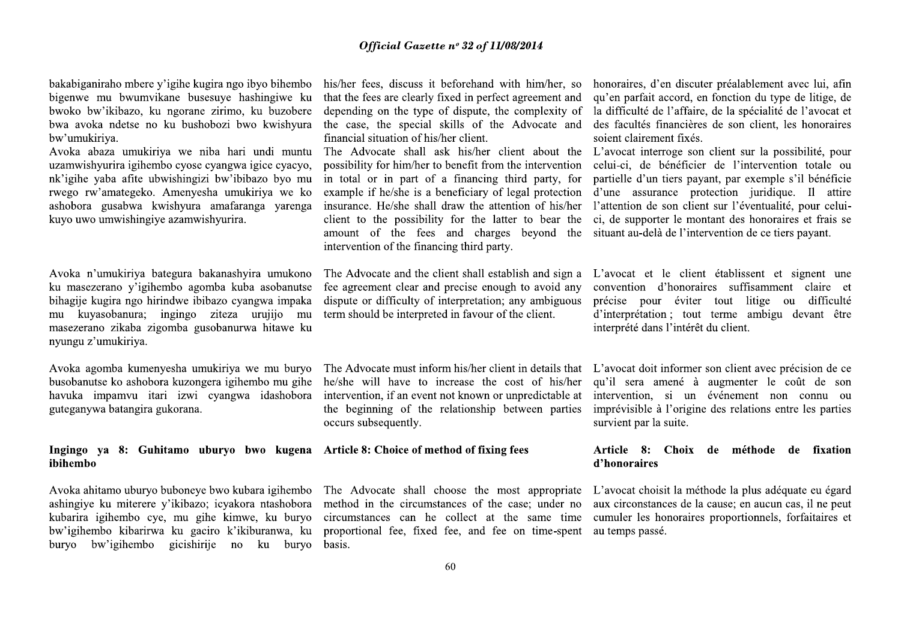bakabiganiraho mbere y'igihe kugira ngo ibyo bihembo bigenwe mu bwumvikane busesuye hashingiwe ku bwoko bw'ikibazo, ku ngorane zirimo, ku buzobere bwa avoka ndetse no ku bushobozi bwo kwishyura bw'umukiriya.

Avoka abaza umukiriya we niba hari undi muntu uzamwishyurira igihembo cyose cyangwa igice cyacyo, nk'igihe yaba afite ubwishingizi bw'ibibazo byo mu rwego rw'amategeko. Amenyesha umukiriya we ko ashobora gusabwa kwishyura amafaranga yarenga kuyo uwo umwishingiye azamwishyurira.

Avoka n'umukiriya bategura bakanashyira umukono ku masezerano v'igihembo agomba kuba asobanutse bihagije kugira ngo hirindwe ibibazo cyangwa impaka mu kuyasobanura; ingingo ziteza urujijo mu masezerano zikaba zigomba gusobanurwa hitawe ku nyungu z'umukiriya.

Avoka agomba kumenyesha umukiriya we mu buryo busobanutse ko ashobora kuzongera igihembo mu gihe havuka impamvu itari izwi cyangwa idashobora guteganywa batangira gukorana.

## Ingingo ya 8: Guhitamo uburyo bwo kugena ibihembo

Avoka ahitamo uburyo buboneye bwo kubara igihembo ashingiye ku miterere y'ikibazo; icyakora ntashobora kubarira igihembo cye, mu gihe kimwe, ku buryo bw'igihembo kibarirwa ku gaciro k'ikiburanwa, ku buryo bw'igihembo gicishirije no ku buryo

that the fees are clearly fixed in perfect agreement and depending on the type of dispute, the complexity of the case, the special skills of the Advocate and financial situation of his/her client.

The Advocate shall ask his/her client about the L'avocat interroge son client sur la possibilité, pour possibility for him/her to benefit from the intervention in total or in part of a financing third party, for example if he/she is a beneficiary of legal protection insurance. He/she shall draw the attention of his/her amount of the fees and charges beyond the situant au-delà de l'intervention de ce tiers payant. intervention of the financing third party.

The Advocate and the client shall establish and sign a fee agreement clear and precise enough to avoid any dispute or difficulty of interpretation; any ambiguous term should be interpreted in favour of the client.

The Advocate must inform his/her client in details that L'avocat doit informer son client avec précision de ce he/she will have to increase the cost of his/her intervention, if an event not known or unpredictable at the beginning of the relationship between parties occurs subsequently.

## Article 8: Choice of method of fixing fees

The Advocate shall choose the most appropriate L'avocat choisit la méthode la plus adéquate eu égard proportional fee, fixed fee, and fee on time-spent basis.

his/her fees, discuss it beforehand with him/her, so honoraires, d'en discuter préalablement avec lui, afin qu'en parfait accord, en fonction du type de litige, de la difficulté de l'affaire, de la spécialité de l'avocat et des facultés financières de son client, les honoraires soient clairement fixés.

celui-ci, de bénéficier de l'intervention totale ou partielle d'un tiers payant, par exemple s'il bénéficie d'une assurance protection juridique. Il attire l'attention de son client sur l'éventualité, pour celuiclient to the possibility for the latter to bear the ci, de supporter le montant des honoraires et frais se

> L'avocat et le client établissent et signent une convention d'honoraires suffisamment claire et précise pour éviter tout litige ou difficulté d'interprétation ; tout terme ambigu devant être interprété dans l'intérêt du client.

> qu'il sera amené à augmenter le coût de son intervention, si un événement non connu ou imprévisible à l'origine des relations entre les parties survient par la suite.

## Article 8: Choix de méthode de fixation d'honoraires

method in the circumstances of the case; under no aux circonstances de la cause; en aucun cas, il ne peut circumstances can he collect at the same time cumuler les honoraires proportionnels, forfaitaires et au temps passé.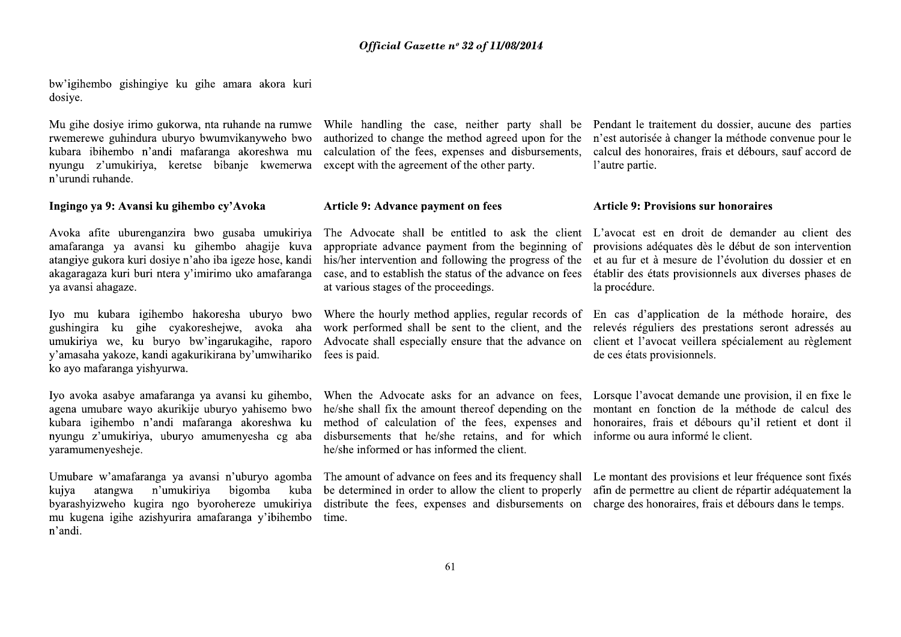bw'igihembo gishingiye ku gihe amara akora kuri dosiye.

Mu gihe dosiye irimo gukorwa, nta ruhande na rumwe rwemerewe guhindura uburyo bwumvikanyweho bwo kubara ibihembo n'andi mafaranga akoreshwa mu nyungu z'umukiriya, keretse bibanie kwemerwa n'urundi ruhande.

## Ingingo ya 9: Avansi ku gihembo cy'Avoka

Avoka afite uburenganzira bwo gusaba umukiriya amafaranga ya avansi ku gihembo ahagije kuva atangiye gukora kuri dosiye n'aho iba igeze hose, kandi akagaragaza kuri buri ntera y'imirimo uko amafaranga va avansi ahagaze.

Iyo mu kubara igihembo hakoresha uburyo bwo gushingira ku gihe cyakoreshejwe, avoka aha umukiriya we, ku buryo bw'ingarukagihe, raporo y'amasaha yakoze, kandi agakurikirana by'umwihariko ko ayo mafaranga yishyurwa.

Iyo avoka asabye amafaranga ya avansi ku gihembo, agena umubare wayo akurikije uburyo yahisemo bwo kubara igihembo n'andi mafaranga akoreshwa ku nyungu z'umukiriya, uburyo amumenyesha cg aba yaramumenyesheje.

Umubare w'amafaranga ya avansi n'uburyo agomba atangwa n'umukiriya bigomba kuiva kuba byarashyizweho kugira ngo byorohereze umukiriya mu kugena igihe azishyurira amafaranga y'ibihembo n'andi.

While handling the case, neither party shall be Pendant le traitement du dossier, aucune des parties calculation of the fees, expenses and disbursements, except with the agreement of the other party.

## Article 9: Advance payment on fees

appropriate advance payment from the beginning of provisions adéquates dès le début de son intervention his/her intervention and following the progress of the et au fur et à mesure de l'évolution du dossier et en case, and to establish the status of the advance on fees établir des états provisionnels aux diverses phases de at various stages of the proceedings.

fees is paid.

he/she shall fix the amount thereof depending on the montant en fonction de la méthode de calcul des method of calculation of the fees, expenses and honoraires, frais et débours qu'il retient et dont il disbursements that he/she retains, and for which informe ou aura informé le client. he/she informed or has informed the client.

distribute the fees, expenses and disbursements on charge des honoraires, frais et débours dans le temps. time.

authorized to change the method agreed upon for the n'est autorisée à changer la méthode convenue pour le calcul des honoraires, frais et débours, sauf accord de l'autre partie.

## **Article 9: Provisions sur honoraires**

The Advocate shall be entitled to ask the client L'avocat est en droit de demander au client des la procédure.

Where the hourly method applies, regular records of En cas d'application de la méthode horaire, des work performed shall be sent to the client, and the relevés réguliers des prestations seront adressés au Advocate shall especially ensure that the advance on client et l'avocat veillera spécialement au règlement de ces états provisionnels.

When the Advocate asks for an advance on fees. Lorsque l'avocat demande une provision, il en fixe le

The amount of advance on fees and its frequency shall Le montant des provisions et leur fréquence sont fixés be determined in order to allow the client to properly afin de permettre au client de répartir adéquatement la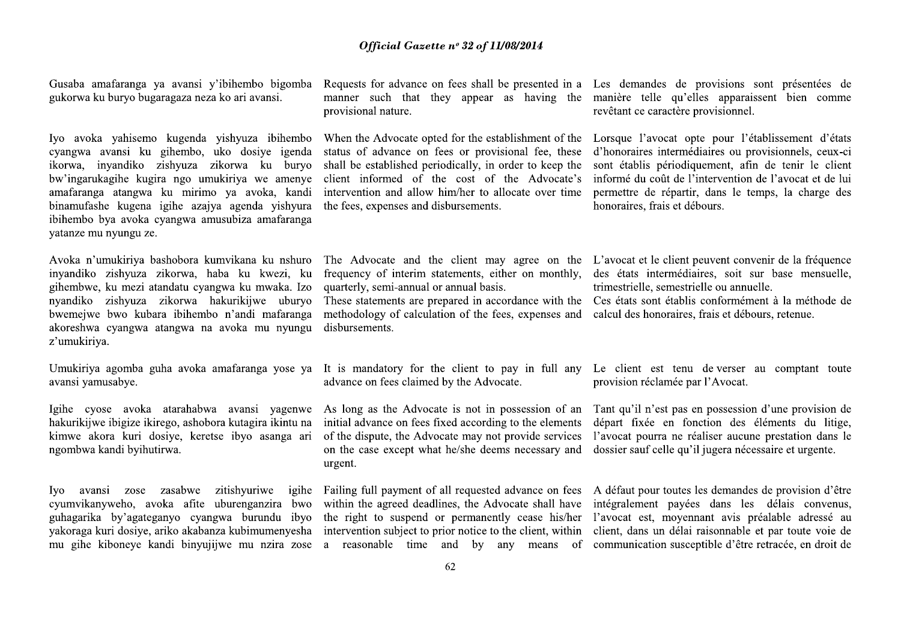Gusaba amafaranga ya avansi y'ibihembo bigomba gukorwa ku buryo bugaragaza neza ko ari avansi.

Iyo avoka yahisemo kugenda yishyuza ibihembo cyangwa avansi ku gihembo, uko dosiye igenda ikorwa, invandiko zishyuza zikorwa ku buryo bw'ingarukagihe kugira ngo umukiriya we amenye amafaranga atangwa ku mirimo ya avoka, kandi binamufashe kugena igihe azajya agenda yishyura ibihembo bya avoka cyangwa amusubiza amafaranga yatanze mu nyungu ze.

Avoka n'umukiriya bashobora kumvikana ku nshuro inyandiko zishyuza zikorwa, haba ku kwezi, ku gihembwe, ku mezi atandatu cyangwa ku mwaka. Izo nyandiko zishyuza zikorwa hakurikijwe uburyo bwemejwe bwo kubara ibihembo n'andi mafaranga akoreshwa cyangwa atangwa na avoka mu nyungu z'umukiriya.

Umukiriya agomba guha avoka amafaranga yose ya avansi yamusabye.

Igihe cyose avoka atarahabwa avansi yagenwe hakurikijwe ibigize ikirego, ashobora kutagira ikintu na kimwe akora kuri dosiye, keretse ibyo asanga ari ngombwa kandi byihutirwa.

Iyo avansi zose zasabwe zitishyuriwe igihe cyumvikanyweho, avoka afite uburenganzira bwo guhagarika by'agateganyo cyangwa burundu ibyo yakoraga kuri dosiye, ariko akabanza kubimumenyesha mu gihe kiboneye kandi binyujijwe mu nzira zose provisional nature.

status of advance on fees or provisional fee, these shall be established periodically, in order to keep the intervention and allow him/her to allocate over time the fees, expenses and disbursements.

quarterly, semi-annual or annual basis.

methodology of calculation of the fees, expenses and calcul des honoraires, frais et débours, retenue. disbursements.

advance on fees claimed by the Advocate.

As long as the Advocate is not in possession of an initial advance on fees fixed according to the elements of the dispute, the Advocate may not provide services on the case except what he/she deems necessary and dossier sauf celle qu'il jugera nécessaire et urgente. urgent.

within the agreed deadlines, the Advocate shall have integralement payers dans les délais convenus, the right to suspend or permanently cease his/her l'avocat est, moyennant avis préalable adressé au intervention subject to prior notice to the client, within client, dans un délai raisonnable et par toute voie de

Requests for advance on fees shall be presented in a Les demandes de provisions sont présentées de manner such that they appear as having the manière telle qu'elles apparaissent bien comme revêtant ce caractère provisionnel.

When the Advocate opted for the establishment of the Lorsque l'avocat opte pour l'établissement d'états d'honoraires intermédiaires ou provisionnels, ceux-ci sont établis périodiquement, afin de tenir le client client informed of the cost of the Advocate's informé du coût de l'intervention de l'avocat et de lui permettre de répartir, dans le temps, la charge des honoraires, frais et débours.

The Advocate and the client may agree on the L'avocat et le client peuvent convenir de la fréquence frequency of interim statements, either on monthly, des états intermédiaires, soit sur base mensuelle, trimestrielle, semestrielle ou annuelle.

These statements are prepared in accordance with the Ces états sont établis conformément à la méthode de

It is mandatory for the client to pay in full any Le client est tenu de verser au comptant toute provision réclamée par l'Avocat.

> Tant qu'il n'est pas en possession d'une provision de départ fixée en fonction des éléments du litige, l'avocat pourra ne réaliser aucune prestation dans le

Failing full payment of all requested advance on fees A défaut pour toutes les demandes de provision d'être a reasonable time and by any means of communication susceptible d'être retracée, en droit de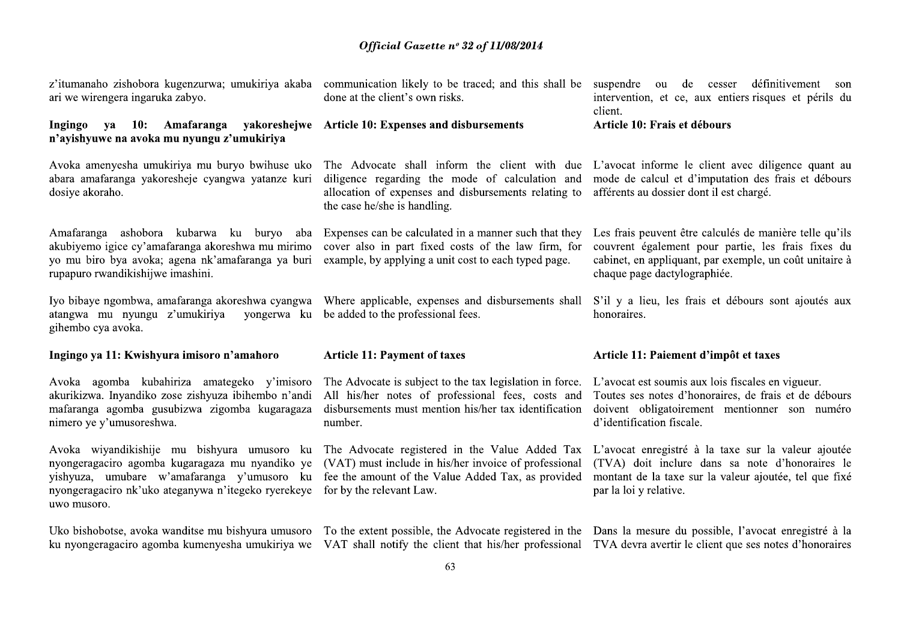| z'itumanaho zishobora kugenzurwa; umukiriya akaba<br>ari we wirengera ingaruka zabyo.                                                                                                                               | done at the client's own risks.                                                                                                                                                           | communication likely to be traced; and this shall be suspendre ou de cesser définitivement son<br>intervention, et ce, aux entiers risques et périls du<br>client.                                       |  |
|---------------------------------------------------------------------------------------------------------------------------------------------------------------------------------------------------------------------|-------------------------------------------------------------------------------------------------------------------------------------------------------------------------------------------|----------------------------------------------------------------------------------------------------------------------------------------------------------------------------------------------------------|--|
| ya 10: Amafaranga yakoreshejwe Article 10: Expenses and disbursements<br>Ingingo<br>n'ayishyuwe na avoka mu nyungu z'umukiriya                                                                                      |                                                                                                                                                                                           | Article 10: Frais et débours                                                                                                                                                                             |  |
| Avoka amenyesha umukiriya mu buryo bwihuse uko<br>abara amafaranga yakoresheje cyangwa yatanze kuri<br>dosiye akoraho.                                                                                              | diligence regarding the mode of calculation and<br>allocation of expenses and disbursements relating to<br>the case he/she is handling.                                                   | The Advocate shall inform the client with due L'avocat informe le client avec diligence quant au<br>mode de calcul et d'imputation des frais et débours<br>afférents au dossier dont il est chargé.      |  |
| Amafaranga ashobora kubarwa ku buryo aba<br>akubiyemo igice cy'amafaranga akoreshwa mu mirimo<br>yo mu biro bya avoka; agena nk'amafaranga ya buri<br>rupapuro rwandikishijwe imashini.                             | Expenses can be calculated in a manner such that they<br>cover also in part fixed costs of the law firm, for<br>example, by applying a unit cost to each typed page.                      | Les frais peuvent être calculés de manière telle qu'ils<br>couvrent également pour partie, les frais fixes du<br>cabinet, en appliquant, par exemple, un coût unitaire à<br>chaque page dactylographiée. |  |
| Iyo bibaye ngombwa, amafaranga akoreshwa cyangwa<br>atangwa mu nyungu z'umukiriya<br>yongerwa ku                                                                                                                    | Where applicable, expenses and disbursements shall<br>be added to the professional fees.                                                                                                  | S'il y a lieu, les frais et débours sont ajoutés aux<br>honoraires.                                                                                                                                      |  |
| gihembo cya avoka.                                                                                                                                                                                                  |                                                                                                                                                                                           |                                                                                                                                                                                                          |  |
| Ingingo ya 11: Kwishyura imisoro n'amahoro                                                                                                                                                                          | <b>Article 11: Payment of taxes</b>                                                                                                                                                       | Article 11: Paiement d'impôt et taxes                                                                                                                                                                    |  |
| Avoka agomba kubahiriza amategeko y'imisoro<br>akurikizwa. Inyandiko zose zishyuza ibihembo n'andi<br>mafaranga agomba gusubizwa zigomba kugaragaza<br>nimero ye y'umusoreshwa.                                     | The Advocate is subject to the tax legislation in force.<br>All his/her notes of professional fees, costs and<br>disbursements must mention his/her tax identification<br>number.         | L'avocat est soumis aux lois fiscales en vigueur.<br>Toutes ses notes d'honoraires, de frais et de débours<br>doivent obligatoirement mentionner son numéro<br>d'identification fiscale.                 |  |
| Avoka wiyandikishije mu bishyura umusoro ku<br>nyongeragaciro agomba kugaragaza mu nyandiko ye<br>yishyuza, umubare w'amafaranga y'umusoro ku<br>nyongeragaciro nk'uko ateganywa n'itegeko ryerekeye<br>uwo musoro. | The Advocate registered in the Value Added Tax<br>(VAT) must include in his/her invoice of professional<br>fee the amount of the Value Added Tax, as provided<br>for by the relevant Law. | L'avocat enregistré à la taxe sur la valeur ajoutée<br>(TVA) doit inclure dans sa note d'honoraires le<br>montant de la taxe sur la valeur ajoutée, tel que fixé<br>par la loi y relative.               |  |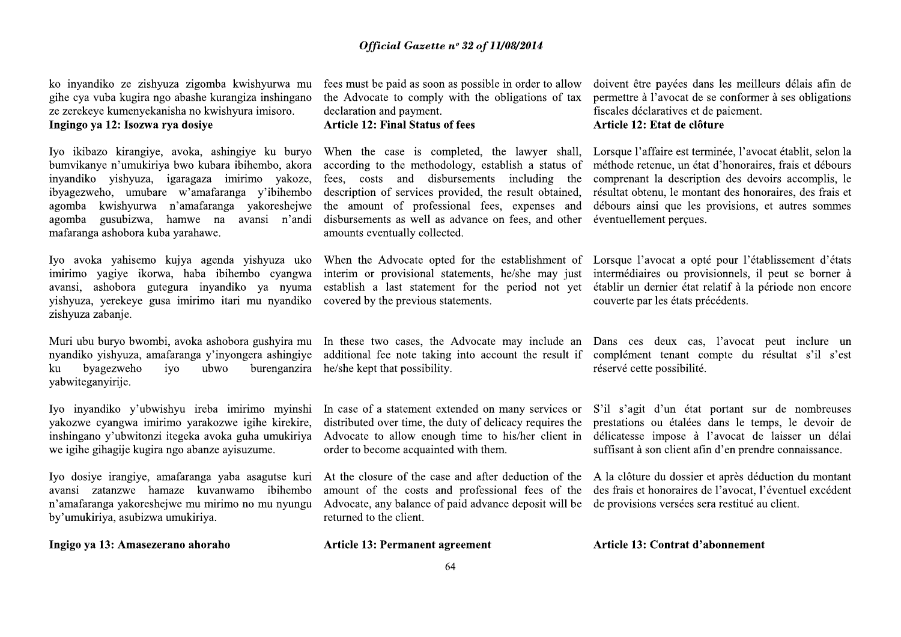ko inyandiko ze zishyuza zigomba kwishyurwa mu gihe cya vuba kugira ngo abashe kurangiza inshingano ze zerekeye kumenyekanisha no kwishyura imisoro. Ingingo ya 12: Isozwa rya dosiye

Iyo ikibazo kirangiye, avoka, ashingiye ku buryo bumvikanye n'umukiriya bwo kubara ibihembo, akora invandiko vishvuza, igaragaza imirimo vakoze, ibyagezweho, umubare w'amafaranga y'ibihembo agomba kwishyurwa n'amafaranga yakoreshejwe agomba gusubizwa, hamwe na avansi n'andi mafaranga ashobora kuba yarahawe.

Iyo avoka yahisemo kujya agenda yishyuza uko imirimo yagiye ikorwa, haba ibihembo cyangwa avansi, ashobora gutegura inyandiko ya nyuma yishyuza, yerekeye gusa imirimo itari mu nyandiko zishyuza zabanje.

Muri ubu buryo bwombi, avoka ashobora gushyira mu nvandiko vishvuza, amafaranga v'invongera ashingive byagezweho burenganzira ku ivo ubwo yabwiteganyirije.

Iyo inyandiko y'ubwishyu ireba imirimo myinshi yakozwe cyangwa imirimo yarakozwe igihe kirekire, inshingano y'ubwitonzi itegeka avoka guha umukiriya we igihe gihagije kugira ngo abanze ayisuzume.

Iyo dosiye irangiye, amafaranga yaba asagutse kuri avansi zatanzwe hamaze kuvanwamo ibihembo n'amafaranga vakoreshejwe mu mirimo no mu nyungu by'umukiriya, asubizwa umukiriya.

Ingigo ya 13: Amasezerano ahoraho

fees must be paid as soon as possible in order to allow the Advocate to comply with the obligations of tax declaration and payment.

# **Article 12: Final Status of fees**

according to the methodology, establish a status of fees, costs and disbursements including the description of services provided, the result obtained, the amount of professional fees, expenses and disbursements as well as advance on fees, and other éventuellement percues. amounts eventually collected.

covered by the previous statements.

In these two cases, the Advocate may include an Dans ces deux cas, l'avocat peut inclure un additional fee note taking into account the result if complément tenant compte du résultat s'il s'est he/she kept that possibility.

distributed over time, the duty of delicacy requires the order to become acquainted with them.

amount of the costs and professional fees of the des frais et honoraires de l'avocat, l'éventuel excédent Advocate, any balance of paid advance deposit will be de provisions versées sera restitué au client. returned to the client.

**Article 13: Permanent agreement** 

doivent être payées dans les meilleurs délais afin de permettre à l'avocat de se conformer à ses obligations fiscales déclaratives et de paiement. Article 12: Etat de clôture

When the case is completed, the lawyer shall, Lorsque l'affaire est terminée, l'avocat établit, selon la méthode retenue, un état d'honoraires, frais et débours comprenant la description des devoirs accomplis, le résultat obtenu, le montant des honoraires, des frais et débours ainsi que les provisions, et autres sommes

When the Advocate opted for the establishment of Lorsque l'avocat a opté pour l'établissement d'états interim or provisional statements, he/she may just intermédiaires ou provisionnels, il peut se borner à establish a last statement for the period not vet établir un dernier état relatif à la période non encore couverte par les états précédents.

réservé cette possibilité.

In case of a statement extended on many services or S'il s'agit d'un état portant sur de nombreuses prestations ou étalées dans le temps, le devoir de Advocate to allow enough time to his/her client in délicatesse impose à l'avocat de laisser un délai suffisant à son client afin d'en prendre connaissance.

At the closure of the case and after deduction of the A la clôture du dossier et après déduction du montant

Article 13: Contrat d'abonnement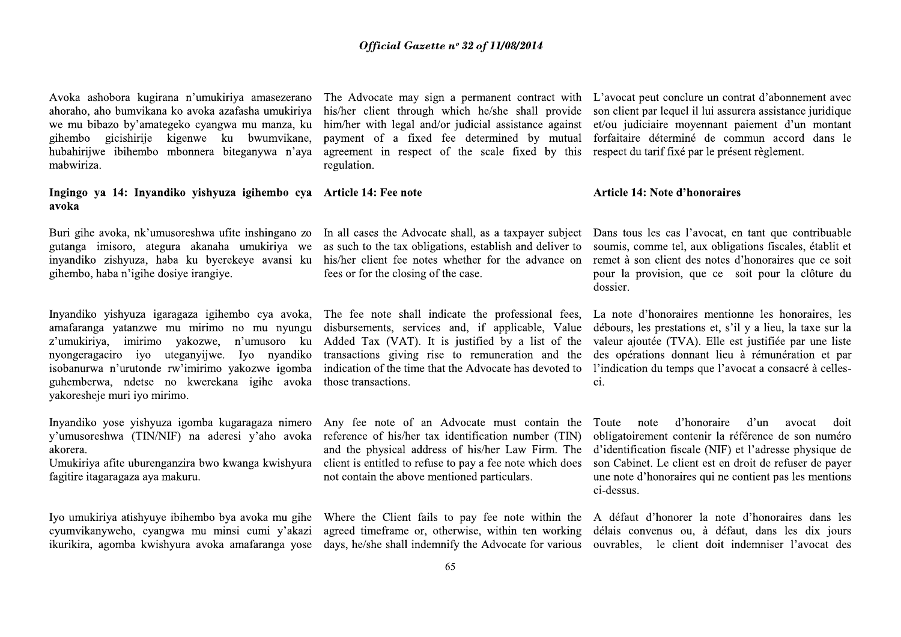Avoka ashobora kugirana n'umukiriya amasezerano ahoraho, aho bumvikana ko avoka azafasha umukiriya we mu bibazo by'amategeko cyangwa mu manza, ku gihembo gicishirije kigenwe ku bwumvikane. hubahirijwe ibihembo mbonnera biteganywa n'aya mabwiriza.

## Ingingo ya 14: Inyandiko yishyuza igihembo cya Article 14: Fee note avoka

Buri gihe avoka, nk'umusoreshwa ufite inshingano zo gutanga imisoro, ategura akanaha umukiriya we inyandiko zishyuza, haba ku byerekeye avansi ku gihembo, haba n'igihe dosiye irangiye.

Inyandiko yishyuza igaragaza igihembo cya avoka, amafaranga yatanzwe mu mirimo no mu nyungu z'umukiriya, imirimo yakozwe, n'umusoro ku nyongeragaciro iyo uteganyiiwe. Iyo nyandiko isobanurwa n'urutonde rw'imirimo yakozwe igomba guhemberwa, ndetse no kwerekana igihe avoka vakoresheje muri iyo mirimo.

Inyandiko yose yishyuza igomba kugaragaza nimero y'umusoreshwa (TIN/NIF) na aderesi y'aho avoka akorera.

Umukiriya afite uburenganzira bwo kwanga kwishyura fagitire itagaragaza aya makuru.

Iyo umukiriya atishyuye ibihembo bya avoka mu gihe cyumvikanyweho, cyangwa mu minsi cumi y'akazi ikurikira, agomba kwishyura avoka amafaranga yose

payment of a fixed fee determined by mutual agreement in respect of the scale fixed by this respect du tarif fixe par le présent règlement. regulation.

as such to the tax obligations, establish and deliver to soumis, comme tel, aux obligations fiscales, établit et his/her client fee notes whether for the advance on fees or for the closing of the case.

disbursements, services and, if applicable, Value débours, les prestations et, s'il y a lieu, la taxe sur la Added Tax (VAT). It is justified by a list of the transactions giving rise to remuneration and the indication of the time that the Advocate has devoted to l'indication du temps que l'avocat a consacré à cellesthose transactions.

Any fee note of an Advocate must contain the reference of his/her tax identification number (TIN) client is entitled to refuse to pay a fee note which does not contain the above mentioned particulars.

The Advocate may sign a permanent contract with L'avocat peut conclure un contrat d'abonnement avec his/her client through which he/she shall provide son client par lequel il lui assurera assistance juridique him/her with legal and/or judicial assistance against et/ou judiciaire movennant paiement d'un montant forfaitaire déterminé de commun accord dans le

## **Article 14: Note d'honoraires**

In all cases the Advocate shall, as a taxpayer subject Dans tous les cas l'avocat, en tant que contribuable remet à son client des notes d'honoraires que ce soit pour la provision, que ce soit pour la clôture du dossier.

The fee note shall indicate the professional fees, La note d'honoraires mentionne les honoraires, les valeur ajoutée (TVA). Elle est justifiée par une liste des opérations donnant lieu à rémunération et par ci.

d'honoraire  $d'un$ Toute note avocat doit obligatoirement contenir la référence de son numéro and the physical address of his/her Law Firm. The d'identification fiscale (NIF) et l'adresse physique de son Cabinet. Le client est en droit de refuser de payer une note d'honoraires qui ne contient pas les mentions ci-dessus.

Where the Client fails to pay fee note within the A défaut d'honorer la note d'honoraires dans les agreed timeframe or, otherwise, within ten working délais convenus ou, à défaut, dans les dix jours days, he/she shall indemnify the Advocate for various ouvrables, le client doit indemniser l'avocat des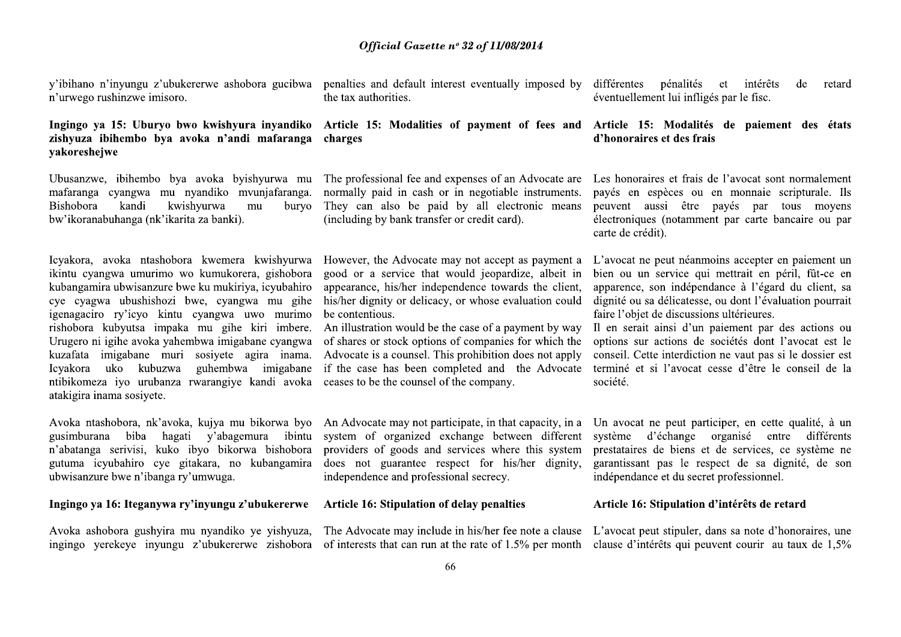y'ibihano n'inyungu z'ubukererwe ashobora gucibwa n'urwego rushinzwe imisoro.

# Ingingo va 15: Uburyo bwo kwishyura inyandiko zishyuza ibihembo bya avoka n'andi mafaranga vakoreshejwe

Ubusanzwe, ibihembo bya avoka byishyurwa mu mafaranga cyangwa mu nyandiko mvunjafaranga. kwishyurwa Bishobora kandi mu buryo bw'ikoranabuhanga (nk'ikarita za banki).

Icyakora, avoka ntashobora kwemera kwishyurwa ikintu cvangwa umurimo wo kumukorera, gishobora kubangamira ubwisanzure bwe ku mukiriya, icyubahiro cye cyagwa ubushishozi bwe, cyangwa mu gihe igenagaciro ry'icyo kintu cyangwa uwo murimo rishobora kubyutsa impaka mu gihe kiri imbere. Urugero ni igihe avoka yahembwa imigabane cyangwa kuzafata imigabane muri sosivete agira inama. Icyakora uko kubuzwa guhembwa imigabane ntibikomeza iyo urubanza rwarangiye kandi avoka atakigira inama sosiyete.

Avoka ntashobora, nk'avoka, kujya mu bikorwa byo gusimburana biba hagati y'abagemura ibintu n'abatanga serivisi, kuko ibyo bikorwa bishobora gutuma icyubahiro cye gitakara, no kubangamira ubwisanzure bwe n'ibanga ry'umwuga.

# Ingingo ya 16: Iteganywa ry'inyungu z'ubukererwe

Avoka ashobora gushyira mu nyandiko ye yishyuza, ingingo yerekeye inyungu z'ubukererwe zishobora

penalties and default interest eventually imposed by différentes pénalités the tax authorities.

# charges

The professional fee and expenses of an Advocate are normally paid in cash or in negotiable instruments. They can also be paid by all electronic means (including by bank transfer or credit card).

However, the Advocate may not accept as payment a good or a service that would jeopardize, albeit in appearance, his/her independence towards the client, his/her dignity or delicacy, or whose evaluation could be contentious.

of shares or stock options of companies for which the Advocate is a counsel. This prohibition does not apply if the case has been completed and the Advocate ceases to be the counsel of the company.

An Advocate may not participate, in that capacity, in a system of organized exchange between different providers of goods and services where this system does not guarantee respect for his/her dignity, independence and professional secrecy.

## Article 16: Stipulation of delay penalties

et intérêts de retard éventuellement lui infligés par le fisc.

# Article 15: Modalities of payment of fees and Article 15: Modalités de paiement des états d'honoraires et des frais

Les honoraires et frais de l'avocat sont normalement payés en espèces ou en monnaie scripturale. Ils peuvent aussi être payés par tous moyens électroniques (notamment par carte bancaire ou par carte de crédit).

L'avocat ne peut néanmoins accepter en paiement un bien ou un service qui mettrait en péril, fût-ce en apparence, son indépendance à l'égard du client, sa dignité ou sa délicatesse, ou dont l'évaluation pourrait faire l'objet de discussions ultérieures.

An illustration would be the case of a payment by way Il en serait ainsi d'un paiement par des actions ou options sur actions de sociétés dont l'avocat est le conseil. Cette interdiction ne vaut pas si le dossier est terminé et si l'avocat cesse d'être le conseil de la société.

> Un avocat ne peut participer, en cette qualité, à un système d'échange organisé entre différents prestataires de biens et de services, ce système ne garantissant pas le respect de sa dignité, de son indépendance et du secret professionnel.

## Article 16: Stipulation d'intérêts de retard

The Advocate may include in his/her fee note a clause L'avocat peut stipuler, dans sa note d'honoraires, une of interests that can run at the rate of 1.5% per month clause d'intérêts qui peuvent courir au taux de 1,5%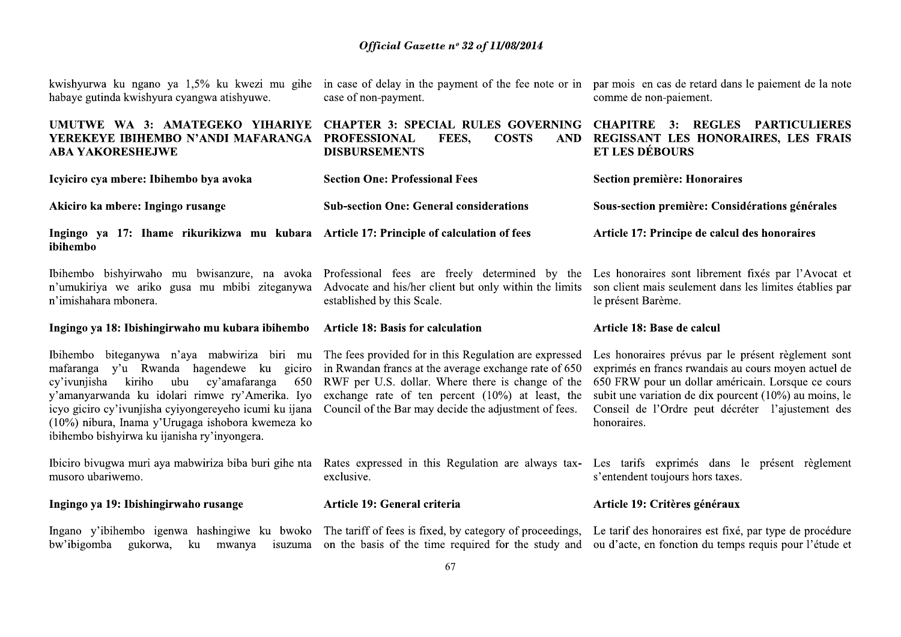| Official Gazette nº 32 of 11/08/2014                                                                                     |                                                                      |
|--------------------------------------------------------------------------------------------------------------------------|----------------------------------------------------------------------|
| case of non-payment.                                                                                                     | comme de nor                                                         |
| <b>CHAPTER 3: SPECIAL RULES GOVERNING</b><br><b>PROFESSIONAL</b><br>FEES.<br><b>COSTS</b><br>AND<br><b>DISBURSEMENTS</b> | <b>CHAPITRE</b><br><b>REGISSANT</b><br><b>ET LES DEB</b>             |
|                                                                                                                          | in case of delay in the payment of the fee note or in par mois en or |

|                                                                                                                                                                                                                                                                                                                                                                                                                                                                                                                                                                        | Official Gazette nº 32 of 11/08/2014                        |                                                                                                                                                                                                                                                                                                 |
|------------------------------------------------------------------------------------------------------------------------------------------------------------------------------------------------------------------------------------------------------------------------------------------------------------------------------------------------------------------------------------------------------------------------------------------------------------------------------------------------------------------------------------------------------------------------|-------------------------------------------------------------|-------------------------------------------------------------------------------------------------------------------------------------------------------------------------------------------------------------------------------------------------------------------------------------------------|
| kwishyurwa ku ngano ya 1,5% ku kwezi mu gihe in case of delay in the payment of the fee note or in par mois en cas de retard dans le paiement de la note<br>habaye gutinda kwishyura cyangwa atishyuwe.                                                                                                                                                                                                                                                                                                                                                                | case of non-payment.                                        | comme de non-paiement.                                                                                                                                                                                                                                                                          |
| UMUTWE WA 3: AMATEGEKO YIHARIYE CHAPTER 3: SPECIAL RULES GOVERNING CHAPITRE 3: REGLES PARTICULIERES<br>YEREKEYE IBIHEMBO N'ANDI MAFARANGA PROFESSIONAL<br><b>ABA YAKORESHEJWE</b>                                                                                                                                                                                                                                                                                                                                                                                      | <b>COSTS</b><br>FEES,<br><b>AND</b><br><b>DISBURSEMENTS</b> | REGISSANT LES HONORAIRES, LES FRAIS<br><b>ET LES DÉBOURS</b>                                                                                                                                                                                                                                    |
| Icyiciro cya mbere: Ibihembo bya avoka                                                                                                                                                                                                                                                                                                                                                                                                                                                                                                                                 | <b>Section One: Professional Fees</b>                       | <b>Section première: Honoraires</b>                                                                                                                                                                                                                                                             |
| Akiciro ka mbere: Ingingo rusange                                                                                                                                                                                                                                                                                                                                                                                                                                                                                                                                      | <b>Sub-section One: General considerations</b>              | Sous-section première: Considérations générales                                                                                                                                                                                                                                                 |
| Ingingo ya 17: Ihame rikurikizwa mu kubara Article 17: Principle of calculation of fees<br>ibihembo                                                                                                                                                                                                                                                                                                                                                                                                                                                                    |                                                             | Article 17: Principe de calcul des honoraires                                                                                                                                                                                                                                                   |
| Ibihembo bishyirwaho mu bwisanzure, na avoka Professional fees are freely determined by the Les honoraires sont librement fixés par l'Avocat et<br>n'umukiriya we ariko gusa mu mbibi ziteganywa Advocate and his/her client but only within the limits son client mais seulement dans les limites établies par<br>n'imishahara mbonera.                                                                                                                                                                                                                               | established by this Scale.                                  | le présent Barème.                                                                                                                                                                                                                                                                              |
| Ingingo ya 18: Ibishingirwaho mu kubara ibihembo Article 18: Basis for calculation                                                                                                                                                                                                                                                                                                                                                                                                                                                                                     |                                                             | Article 18: Base de calcul                                                                                                                                                                                                                                                                      |
| Ibihembo biteganywa n'aya mabwiriza biri mu The fees provided for in this Regulation are expressed<br>mafaranga y'u Rwanda hagendewe ku giciro in Rwandan francs at the average exchange rate of 650<br>cy'ivunjisha kiriho ubu cy'amafaranga<br>y'amanyarwanda ku idolari rimwe ry'Amerika. Iyo exchange rate of ten percent (10%) at least, the<br>icyo giciro cy'ivunjisha cyiyongereyeho icumi ku ijana Council of the Bar may decide the adjustment of fees.<br>(10%) nibura, Inama y'Urugaga ishobora kwemeza ko<br>ibihembo bishyirwa ku ijanisha ry'inyongera. | 650 RWF per U.S. dollar. Where there is change of the       | Les honoraires prévus par le présent règlement sont<br>exprimés en francs rwandais au cours moyen actuel de<br>650 FRW pour un dollar américain. Lorsque ce cours<br>subit une variation de dix pourcent (10%) au moins, le<br>Conseil de l'Ordre peut décréter l'ajustement des<br>honoraires. |
| Ibiciro bivugwa muri aya mabwiriza biba buri gihe nta Rates expressed in this Regulation are always tax- Les tarifs exprimés dans le présent règlement<br>musoro ubariwemo.                                                                                                                                                                                                                                                                                                                                                                                            | exclusive.                                                  | s'entendent toujours hors taxes.                                                                                                                                                                                                                                                                |
| Ingingo ya 19: Ibishingirwaho rusange                                                                                                                                                                                                                                                                                                                                                                                                                                                                                                                                  | Article 19: General criteria                                | Article 19: Critères généraux                                                                                                                                                                                                                                                                   |
| Ingano y'ibihembo igenwa hashingiwe ku bwoko The tariff of fees is fixed, by category of proceedings,<br>bw'ibigomba gukorwa, ku mwanya isuzuma on the basis of the time required for the study and                                                                                                                                                                                                                                                                                                                                                                    |                                                             | Le tarif des honoraires est fixé, par type de procédure<br>ou d'acte, en fonction du temps requis pour l'étude et                                                                                                                                                                               |
|                                                                                                                                                                                                                                                                                                                                                                                                                                                                                                                                                                        | 67                                                          |                                                                                                                                                                                                                                                                                                 |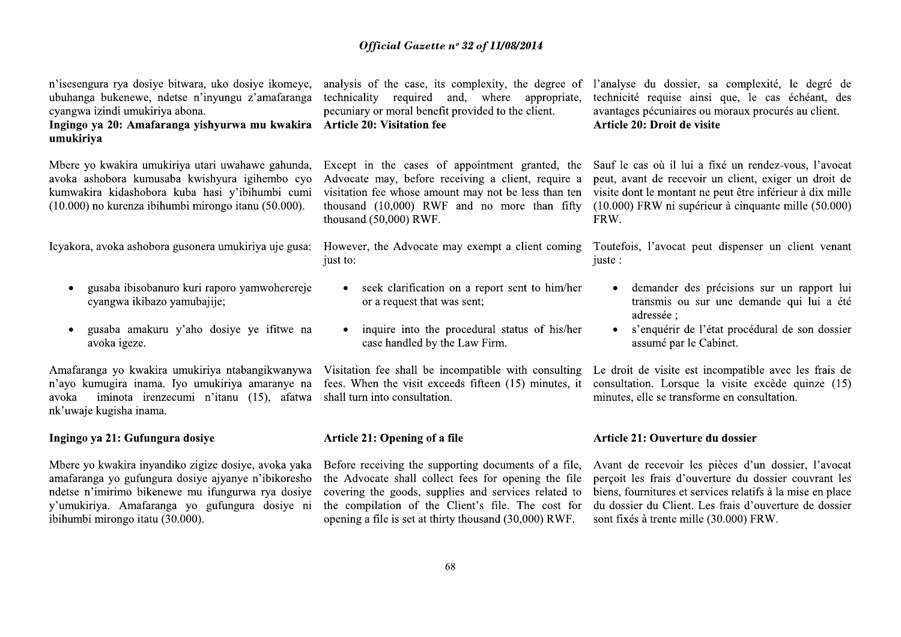n'isesengura rya dosiye bitwara, uko dosiye ikomeye, ubuhanga bukenewe, ndetse n'inyungu z'amafaranga cyangwa izindi umukiriya abona.

Ingingo va 20: Amafaranga vishyurwa mu kwakira Article 20: Visitation fee umukiriya

Mbere yo kwakira umukiriya utari uwahawe gahunda, avoka ashobora kumusaba kwishyura igihembo cyo kumwakira kidashobora kuba hasi y'ibihumbi cumi  $(10.000)$  no kurenza ibihumbi mirongo itanu  $(50.000)$ .

Icyakora, avoka ashobora gusonera umukiriya uje gusa:

- gusaba ibisobanuro kuri raporo yamwoherereje  $\bullet$ cyangwa ikibazo yamubajije:
- gusaba amakuru y'aho dosiye ye ifitwe na  $\bullet$ avoka igeze.

Amafaranga yo kwakira umukiriya ntabangikwanywa n'ayo kumugira inama. Iyo umukiriya amaranye na iminota irenzecumi n'itanu (15), afatwa avoka nk'uwaje kugisha inama.

## Ingingo ya 21: Gufungura dosiye

Mbere yo kwakira inyandiko zigize dosiye, avoka yaka amafaranga yo gufungura dosiye ajyanye n'ibikoresho ndetse n'imirimo bikenewe mu ifungurwa rya dosiye v'umukiriya. Amafaranga yo gufungura dosiye ni ibihumbi mirongo itatu (30.000).

technicality required and, where appropriate, pecuniary or moral benefit provided to the client.

Advocate may, before receiving a client, require a visitation fee whose amount may not be less than ten thousand (10,000) RWF and no more than fifty thousand  $(50,000)$  RWF.

just to:

- seek clarification on a report sent to him/her  $\bullet$ or a request that was sent;
- inquire into the procedural status of his/her case handled by the Law Firm.

Visitation fee shall be incompatible with consulting Le droit de visite est incompatible avec les frais de shall turn into consultation.

## Article 21: Opening of a file

Before receiving the supporting documents of a file, the Advocate shall collect fees for opening the file covering the goods, supplies and services related to the compilation of the Client's file. The cost for opening a file is set at thirty thousand (30,000) RWF.

analysis of the case, its complexity, the degree of l'analyse du dossier, sa complexité, le degré de technicité requise ainsi que, le cas échéant, des avantages pécuniaires ou moraux procurés au client. Article 20: Droit de visite

Except in the cases of appointment granted, the Sauf le cas où il lui a fixé un rendez-vous, l'avocat peut, avant de recevoir un client, exiger un droit de visite dont le montant ne peut être inférieur à dix mille  $(10.000)$  FRW ni supérieur à cinquante mille  $(50.000)$ FRW.

However, the Advocate may exempt a client coming Toutefois, l'avocat peut dispenser un client venant iuste:

- demander des précisions sur un rapport lui transmis ou sur une demande qui lui a été adressée :
- s'enquérir de l'état procédural de son dossier  $\bullet$ assumé par le Cabinet.

fees. When the visit exceeds fifteen (15) minutes, it consultation. Lorsque la visite excède quinze (15) minutes, elle se transforme en consultation.

## Article 21: Ouverture du dossier

Avant de recevoir les pièces d'un dossier, l'avocat perçoit les frais d'ouverture du dossier couvrant les biens, fournitures et services relatifs à la mise en place du dossier du Client. Les frais d'ouverture de dossier sont fixés à trente mille (30.000) FRW.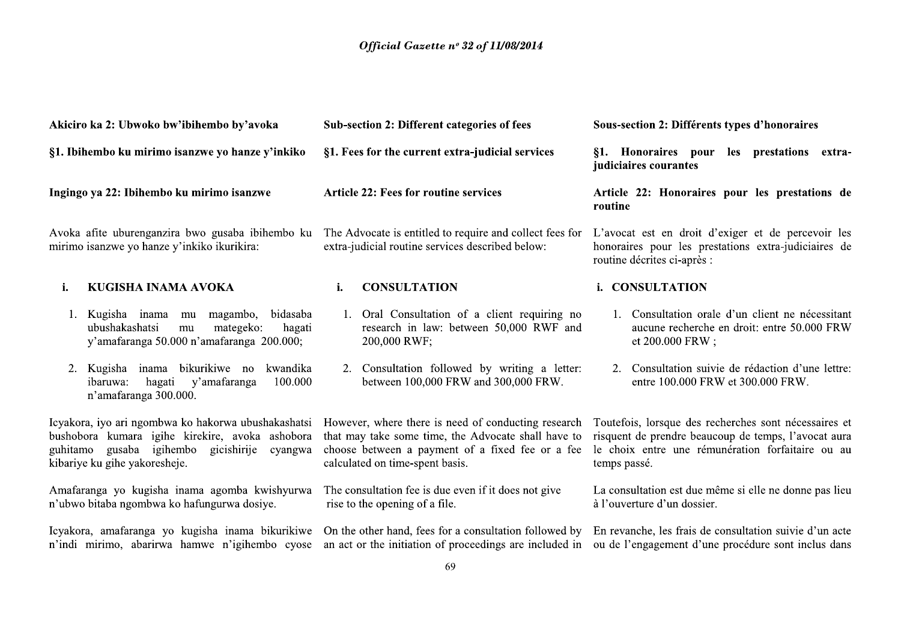| Akiciro ka 2: Ubwoko bw'ibihembo by'avoka                                                                                                                                                  | <b>Sub-section 2: Different categories of fees</b>                                                                                                                                                | Sous-section 2: Différents types d'honoraires                                                                                                                                      |  |
|--------------------------------------------------------------------------------------------------------------------------------------------------------------------------------------------|---------------------------------------------------------------------------------------------------------------------------------------------------------------------------------------------------|------------------------------------------------------------------------------------------------------------------------------------------------------------------------------------|--|
| §1. Ibihembo ku mirimo isanzwe yo hanze y'inkiko                                                                                                                                           | §1. Fees for the current extra-judicial services                                                                                                                                                  | §1. Honoraires pour<br>les prestations extra-<br>judiciaires courantes                                                                                                             |  |
| Ingingo ya 22: Ibihembo ku mirimo isanzwe                                                                                                                                                  | <b>Article 22: Fees for routine services</b>                                                                                                                                                      | Article 22: Honoraires pour les prestations de<br>routine                                                                                                                          |  |
| Avoka afite uburenganzira bwo gusaba ibihembo ku<br>mirimo isanzwe yo hanze y'inkiko ikurikira:                                                                                            | The Advocate is entitled to require and collect fees for<br>extra-judicial routine services described below:                                                                                      | L'avocat est en droit d'exiger et de percevoir les<br>honoraires pour les prestations extra-judiciaires de<br>routine décrites ci-après :                                          |  |
| KUGISHA INAMA AVOKA<br>i.                                                                                                                                                                  | <b>CONSULTATION</b><br>i.                                                                                                                                                                         | i. CONSULTATION                                                                                                                                                                    |  |
| 1. Kugisha inama mu magambo,<br>bidasaba<br>ubushakashatsi<br>mategeko:<br>hagati<br>mu<br>y'amafaranga 50.000 n'amafaranga 200.000;                                                       | 1. Oral Consultation of a client requiring no<br>research in law: between 50,000 RWF and<br>200,000 RWF;                                                                                          | 1. Consultation orale d'un client ne nécessitant<br>aucune recherche en droit: entre 50.000 FRW<br>et 200.000 FRW;                                                                 |  |
| bikurikiwe no<br>kwandika<br>2. Kugisha<br>inama<br>100.000<br>hagati<br>y'amafaranga<br><i>ibaruwa:</i><br>n'amafaranga 300.000.                                                          | 2. Consultation followed by writing a letter:<br>between 100,000 FRW and 300,000 FRW.                                                                                                             | 2. Consultation suivie de rédaction d'une lettre:<br>entre 100.000 FRW et 300.000 FRW.                                                                                             |  |
| Icyakora, iyo ari ngombwa ko hakorwa ubushakashatsi<br>bushobora kumara igihe kirekire, avoka ashobora<br>guhitamo gusaba igihembo gicishirije<br>cyangwa<br>kibariye ku gihe yakoresheje. | However, where there is need of conducting research<br>that may take some time, the Advocate shall have to<br>choose between a payment of a fixed fee or a fee<br>calculated on time-spent basis. | Toutefois, lorsque des recherches sont nécessaires et<br>risquent de prendre beaucoup de temps, l'avocat aura<br>le choix entre une rémunération forfaitaire ou au<br>temps passé. |  |
| Amafaranga yo kugisha inama agomba kwishyurwa<br>n'ubwo bitaba ngombwa ko hafungurwa dosiye.                                                                                               | The consultation fee is due even if it does not give<br>rise to the opening of a file.                                                                                                            | La consultation est due même si elle ne donne pas lieu<br>à l'ouverture d'un dossier.                                                                                              |  |
| Icyakora, amafaranga yo kugisha inama bikurikiwe<br>n'indi mirimo, abarirwa hamwe n'igihembo cyose                                                                                         | On the other hand, fees for a consultation followed by<br>an act or the initiation of proceedings are included in                                                                                 | En revanche, les frais de consultation suivie d'un acte<br>ou de l'engagement d'une procédure sont inclus dans                                                                     |  |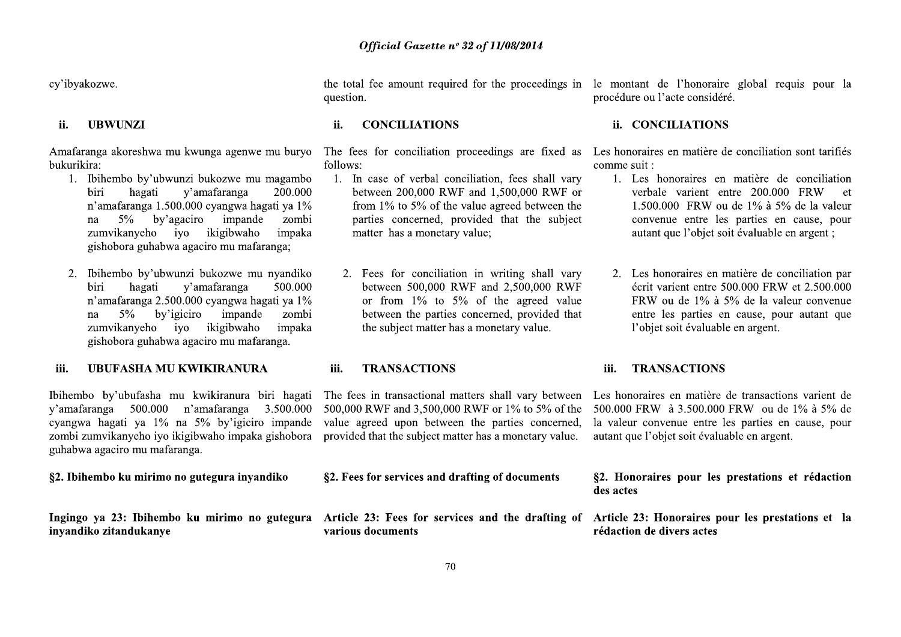cy'ibyakozwe.

## **UBWUNZI** ii.

Amafaranga akoreshwa mu kwunga agenwe mu buryo bukurikira:

- 1. Ibihembo by'ubwunzi bukozwe mu magambo v'amafaranga biri hagati 200.000 n'amafaranga 1.500.000 cyangwa hagati ya 1% by'agaciro impande  $5\%$ zombi na zumvikanyeho iyo ikigibwaho impaka gishobora guhabwa agaciro mu mafaranga;
- Ibihembo by'ubwunzi bukozwe mu nyandiko  $2.$ hagati 500.000 biri v'amafaranga n'amafaranga 2.500.000 cyangwa hagati ya 1%  $5\%$  by igiciro impande zombi na zumvikanyeho iyo ikigibwaho impaka gishobora guhabwa agaciro mu mafaranga.

## iii. **UBUFASHA MU KWIKIRANURA**

Ibihembo by'ubufasha mu kwikiranura biri hagati y'amafaranga 500.000 n'amafaranga 3.500.000 cyangwa hagati ya 1% na 5% by'igiciro impande zombi zumvikanyeho iyo ikigibwaho impaka gishobora guhabwa agaciro mu mafaranga.

## §2. Ibihembo ku mirimo no gutegura inyandiko

Ingingo ya 23: Ibihembo ku mirimo no gutegura inyandiko zitandukanye

question.

## **CONCILIATIONS** ii.

follows:

- 1. In case of verbal conciliation, fees shall vary between 200,000 RWF and 1,500,000 RWF or from  $1\%$  to 5% of the value agreed between the parties concerned, provided that the subject matter has a monetary value:
	- 2. Fees for conciliation in writing shall vary between 500,000 RWF and 2,500,000 RWF or from  $1\%$  to  $5\%$  of the agreed value between the parties concerned, provided that the subject matter has a monetary value.

## iii. **TRANSACTIONS**

The fees in transactional matters shall vary between 500,000 RWF and 3,500,000 RWF or 1% to 5% of the value agreed upon between the parties concerned, provided that the subject matter has a monetary value.

|                   |  | §2. Fees for services and drafting of documents |  |                                                   |  |
|-------------------|--|-------------------------------------------------|--|---------------------------------------------------|--|
| various documents |  |                                                 |  | Article 23: Fees for services and the drafting of |  |

the total fee amount required for the proceedings in le montant de l'honoraire global requis pour la procédure ou l'acte considéré.

## ii. CONCILIATIONS

The fees for conciliation proceedings are fixed as Les honoraires en matière de conciliation sont tarifiés comme suit :

- 1. Les honoraires en matière de conciliation verbale varient entre 200.000 FRW  $et$ 1.500.000 FRW ou de  $1\%$  à  $5\%$  de la valeur convenue entre les parties en cause, pour autant que l'objet soit évaluable en argent ;
- Les honoraires en matière de conciliation par 2. écrit varient entre  $500,000$  FRW et  $2,500,000$ FRW ou de 1% à 5% de la valeur convenue entre les parties en cause, pour autant que l'objet soit évaluable en argent.

## iii. **TRANSACTIONS**

Les honoraires en matière de transactions varient de 500,000 FRW à 3.500,000 FRW ou de 1% à 5% de la valeur convenue entre les parties en cause, pour autant que l'objet soit évaluable en argent.

§2. Honoraires pour les prestations et rédaction des actes

Article 23: Honoraires pour les prestations et la rédaction de divers actes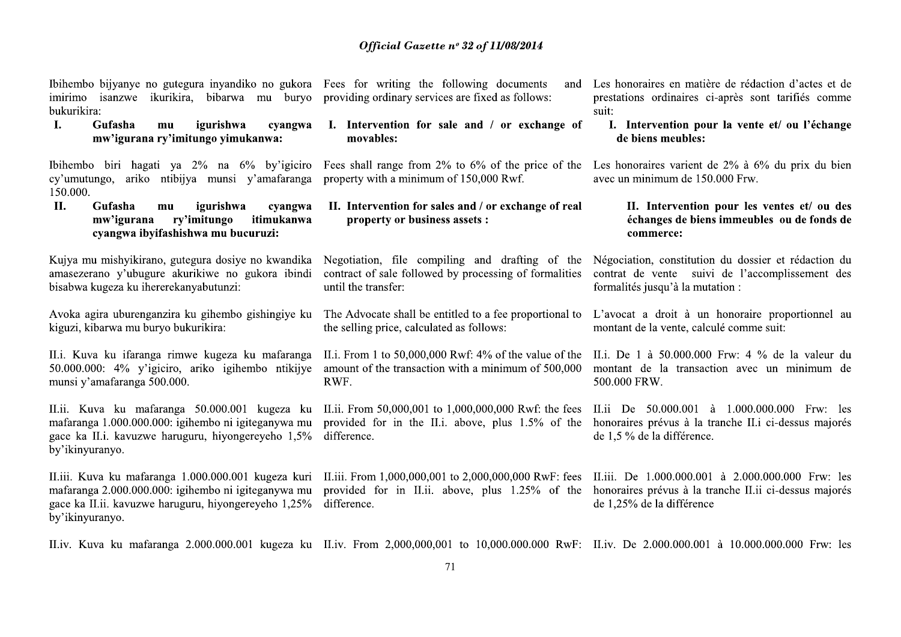Ibihembo bijyanye no gutegura inyandiko no gukora Fees for writing the following documents bukurikira:

 $\mathbf{I}$ . Gufasha igurishwa  $mu$ cvangwa mw'igurana ry'imitungo yimukanwa:

Ibihembo biri hagati ya  $2\%$  na  $6\%$  by igiciro cy'umutungo, ariko ntibijya munsi y'amafaranga 150.000.

**Gufasha**  $\Pi$ . igurishwa  $mu$ cyangwa mw'igurana rv'imitungo itimukanwa cyangwa ibyifashishwa mu bucuruzi:

Kujya mu mishyikirano, gutegura dosiye no kwandika amasezerano y'ubugure akurikiwe no gukora ibindi bisabwa kugeza ku ihererekanyabutunzi:

Avoka agira uburenganzira ku gihembo gishingiye ku kiguzi, kibarwa mu buryo bukurikira:

II.i. Kuva ku ifaranga rimwe kugeza ku mafaranga 50.000.000: 4% y'igiciro, ariko igihembo ntikijye munsi y'amafaranga 500.000.

II.ii. Kuva ku mafaranga 50.000.001 kugeza ku mafaranga 1.000.000.000: igihembo ni igiteganywa mu gace ka II.i. kavuzwe haruguru, hiyongereyeho 1,5% by'ikinyuranyo.

II.iii. Kuva ku mafaranga 1.000.000.001 kugeza kuri mafaranga 2.000.000.000: igihembo ni igiteganywa mu gace ka II.ii. kavuzwe haruguru, hiyongereyeho 1,25% by'ikinyuranyo.

imirimo isanzwe ikurikira, bibarwa mu buryo providing ordinary services are fixed as follows:

I. Intervention for sale and / or exchange of movables:

property with a minimum of 150,000 Rwf.

II. Intervention for sales and / or exchange of real property or business assets :

contract of sale followed by processing of formalities until the transfer:

the selling price, calculated as follows:

RWF.

provided for in the II.i. above, plus 1.5% of the difference.

II.iii. From 1,000,000,001 to 2,000,000,000 RwF: fees II.iii. De 1.000.000.001 à 2.000.000.000 Frw: les difference.

and Les honoraires en matière de rédaction d'actes et de prestations ordinaires ci-après sont tarifiés comme suit:

> I. Intervention pour la vente et/ ou l'échange de biens meubles:

Fees shall range from 2% to 6% of the price of the Les honoraires varient de 2% à 6% du prix du bien avec un minimum de 150.000 Frw.

> II. Intervention pour les ventes et/ ou des échanges de biens immeubles ou de fonds de commerce:

Negotiation, file compiling and drafting of the Négociation, constitution du dossier et rédaction du contrat de vente suivi de l'accomplissement des formalités jusqu'à la mutation :

The Advocate shall be entitled to a fee proportional to L'avocat a droit à un honoraire proportionnel au montant de la vente, calculé comme suit:

II.i. From 1 to 50,000,000 Rwf: 4% of the value of the II.i. De 1 à 50,000,000 Frw: 4 % de la valeur du amount of the transaction with a minimum of 500,000 montant de la transaction avec un minimum de 500.000 FRW.

II.ii. From 50,000,001 to 1,000,000,000 Rwf: the fees II.ii De 50,000,001 à 1,000,000,000 Frw: les honoraires prévus à la tranche II i ci-dessus majorés de 1,5 % de la différence.

provided for in II.ii. above, plus 1.25% of the honoraires prévus à la tranche II.ii ci-dessus majorés de 1,25% de la différence

II.iv. Kuva ku mafaranga 2.000.000.001 kugeza ku II.iv. From 2,000,000,001 to 10,000.000.000 RwF: II.iv. De 2.000.000.001 à 10.000.000.000 Frw: les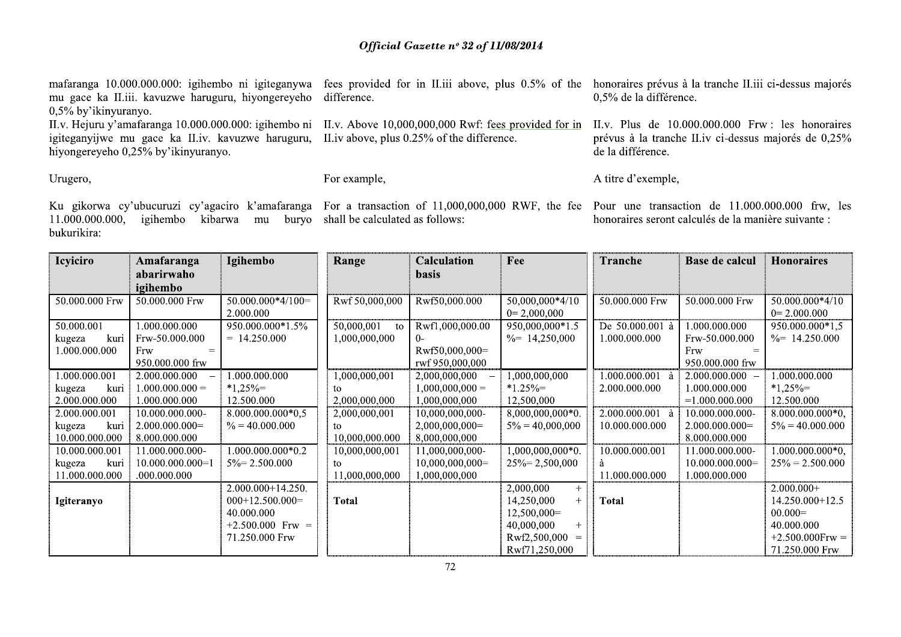mafaranga 10.000.000.000: igihembo ni igiteganywa mu gace ka II.iii. kavuzwe haruguru, hiyongereyeho difference. 0,5% by'ikinyuranyo.

igiteganyijwe mu gace ka II.iv. kavuzwe haruguru, hiyongereyeho 0,25% by'ikinyuranyo.

II.v. Hejuru y'amafaranga 10.000.000.000: igihembo ni II.v. Above 10,000,000,000 Rwf: fees provided for in II.v. Plus de 10.000.000.000 Frw: les honoraires II.iv above, plus 0.25% of the difference.

fees provided for in II.iii above, plus 0.5% of the honoraires prévus à la tranche II.iii ci-dessus majorés 0,5% de la différence.

> prévus à la tranche II.iv ci-dessus majorés de 0,25% de la différence.

Urugero,

bukurikira:

 $11.000.000.000$ .

# For example,

Ku gikorwa cy'ubucuruzi cy'agaciro k'amafaranga For a transaction of 11,000,000,000 RWF, the fee Pour une transaction de 11.000.000.000 frw, les igihembo kibarwa mu buryo shall be calculated as follows:

honoraires seront calculés de la manière suivante :

A titre d'exemple,

| <b>Icyiciro</b> | Amafaranga         | Igihembo              | Range            | <b>Calculation</b> | Fee                        | <b>Tranche</b>   | Base de calcul    | <b>Honoraires</b>          |
|-----------------|--------------------|-----------------------|------------------|--------------------|----------------------------|------------------|-------------------|----------------------------|
|                 | abarirwaho         |                       |                  | <b>basis</b>       |                            |                  |                   |                            |
|                 | igihembo           |                       |                  |                    |                            |                  |                   |                            |
| 50.000.000 Frw  | 50.000.000 Frw     | $50.000.000*4/100=$   | Rwf 50,000,000   | Rwf50,000.000      | 50,000,000*4/10            | 50.000.000 Frw   | 50.000.000 Frw    | $50.000.000*4/10$          |
|                 |                    | 2.000.000             |                  |                    | $0=2,000,000$              |                  |                   | $0=2.000.000$              |
| 50.000.001      | .000.000.000       | 950.000.000*1.5%      | 50,000,001<br>to | Rwf1,000,000.00    | 950,000,000*1.5            | De 50.000.001 à  | 000.000.000.      | 950.000.000*1.5            |
| kuri<br>kugeza  | Frw-50.000.000     | $= 14.250.000$        | 000,000,000,000  | $0 -$              | $\frac{9}{6}$ = 14,250,000 | 1.000.000.000    | Frw-50.000.000    | $\frac{9}{6}$ = 14.250.000 |
| 1.000.000.000   | Frw                |                       |                  | Rwf50,000,000=     |                            |                  | Frw               |                            |
|                 | 950,000,000 frw    |                       |                  | rwf 950,000,000    |                            |                  | 950,000,000 frw   |                            |
| .000.000.001    | 2.000.000.000      | 000.000.000           | 000,000,001      | 2,000,000,000      | 1,000,000,000              | $.000.000.001$ à | 2.000.000.000     | .000.000.000               |
| kuri<br>kugeza  | $1.000.000.000 =$  | $*1,25\% =$           | tο               | $1,000,000,000 =$  | $*1.25\% =$                | 2.000.000.000    | 1.000.000.000     | $*1,25\% =$                |
| 2.000.000.000   | 1.000.000.000      | 12.500.000            | 2,000,000,000    | 1,000,000,000      | 12,500,000                 |                  | $=1.000.000.000$  | 12.500.000                 |
| 2.000.000.001   | 10.000.000.000-    | 8.000.000.000*0,5     | 2,000,000,001    | 10,000,000,000-    | $8,000,000,000*0.$         | 2.000.000.001 à  | 10.000.000.000-   | $8.000.000.000*0,$         |
| kuri<br>kugeza  | $2.000.000.000=$   | $\% = 40.000.000$     | tο               | $2,000,000,000 =$  | $5\% = 40,000,000$         | 10.000.000.000   | $2.000.000.000=$  | $5\% = 40.000.000$         |
| 10.000.000.000  | 8.000.000.000      |                       | 10,000,000.000   | 8,000,000,000      |                            |                  | 8.000.000.000     |                            |
| 10.000.000.001  | 11.000.000.000-    | 1.000.000.000*0.2     | 10,000,000,001   | 11,000,000,000-    | 1,000,000,000*0.           | 10.000.000.001   | 11.000.000.000-   | $.000.000.000*0,$          |
| kuri<br>kugeza  | $10.000.000.000=1$ | $5\% = 2.500.000$     | to               | $10,000,000,000=$  | $25\% = 2,500,000$         | å                | $10.000.000.000=$ | $25\% = 2.500.000$         |
| 11.000.000.000  | .000.000.000       |                       | 11.000.000.000   | 1,000,000,000      |                            | 11.000.000.000   | 1.000.000.000     |                            |
|                 |                    | $2.000.000 + 14.250.$ |                  |                    | 2,000,000<br>$+$           |                  |                   | $2.000.000+$               |
| Igiteranyo      |                    | $000+12.500.000=$     | <b>Total</b>     |                    | 14,250,000<br>$+$          | <b>Total</b>     |                   | 14.250.000+12.5            |
|                 |                    | 40.000.000            |                  |                    | $12,500,000=$              |                  |                   | $00.000 =$                 |
|                 |                    | $+2.500.000$ Frw =    |                  |                    | 40,000,000<br>$+$          |                  |                   | 40.000.000                 |
|                 |                    | 71.250.000 Frw        |                  |                    | Rwf2,500,000<br>$=$        |                  |                   | $+2.500.000$ Frw =         |
|                 |                    |                       |                  |                    | Rwf71,250,000              |                  |                   | 71.250.000 Frw             |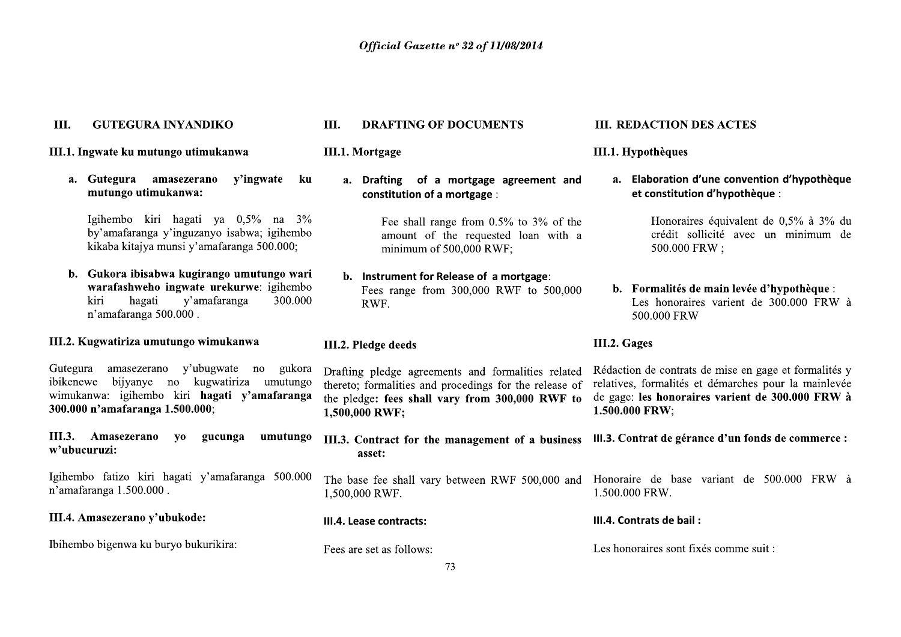## III. **GUTEGURA INYANDIKO**

## III.1. Ingwate ku mutungo utimukanwa

ku a. Gutegura amasezerano v'ingwate mutungo utimukanwa:

Igihembo kiri hagati ya 0,5% na 3% by'amafaranga y'inguzanyo isabwa; igihembo kikaba kitajya munsi y'amafaranga 500.000;

b. Gukora ibisabwa kugirango umutungo wari warafashweho ingwate urekurwe: igihembo kiri hagati y'amafaranga 300.000 n'amafaranga 500.000.

# III.2. Kugwatiriza umutungo wimukanwa

Gutegura amasezerano y'ubugwate no gukora ibikenewe bijyanye no kugwatiriza umutungo wimukanwa: igihembo kiri hagati v'amafaranga 300.000 n'amafaranga 1.500.000;

III.3. Amasezerano **VO** gucunga umutungo w'ubucuruzi:

Igihembo fatizo kiri hagati y'amafaranga 500.000 n'amafaranga 1.500.000.

III.4. Amasezerano y'ubukode:

Ibihembo bigenwa ku buryo bukurikira:

## III. **DRAFTING OF DOCUMENTS**

**III.1. Mortgage** 

a. Drafting of a mortgage agreement and constitution of a mortgage :

> Fee shall range from  $0.5\%$  to  $3\%$  of the amount of the requested loan with a minimum of 500,000 RWF;

b. Instrument for Release of a mortgage: Fees range from 300,000 RWF to 500,000 RWF.

## III.2. Pledge deeds

Drafting pledge agreements and formalities related thereto; formalities and procedings for the release of the pledge: fees shall vary from 300,000 RWF to 1,500,000 RWF;

III.3. Contract for the management of a business asset:

1,500,000 RWF.

III.4. Lease contracts:

Fees are set as follows:

## **III. REDACTION DES ACTES**

## III.1. Hypothèques

a. Elaboration d'une convention d'hypothèque et constitution d'hypothèque :

> Honoraires équivalent de 0.5% à 3% du crédit sollicité avec un minimum de 500.000 FRW:

b. Formalités de main levée d'hypothèque : Les honoraires varient de 300.000 FRW à 500,000 FRW

## III.2. Gages

Rédaction de contrats de mise en gage et formalités y relatives, formalités et démarches pour la mainlevée de gage: les honoraires varient de 300.000 FRW à 1.500.000 FRW;

III.3. Contrat de gérance d'un fonds de commerce :

The base fee shall vary between RWF 500,000 and Honoraire de base variant de 500.000 FRW à 1.500.000 FRW.

## III.4. Contrats de bail:

Les honoraires sont fixés comme suit :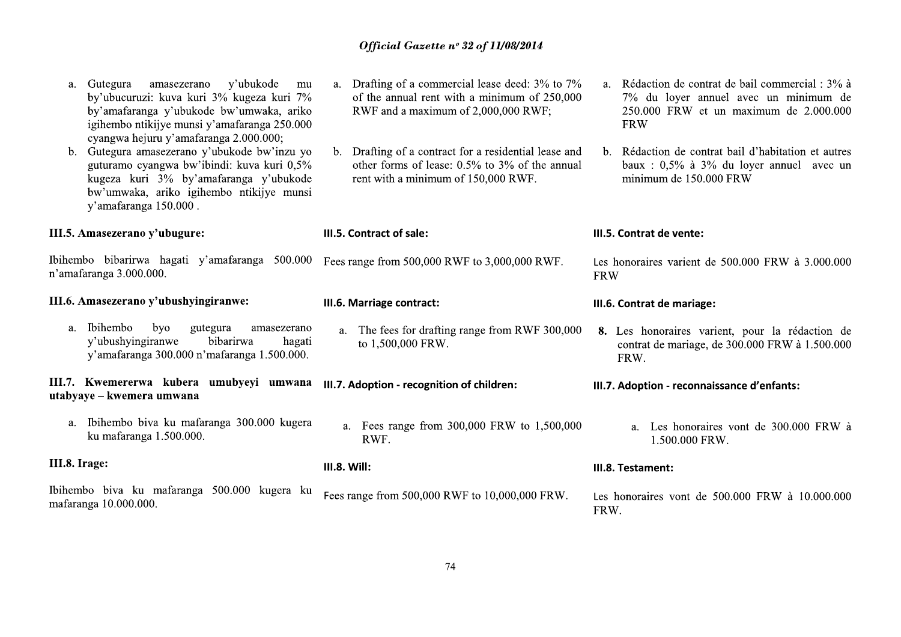| a.<br>$\mathbf{b}$ . | y'ubukode<br>Gutegura<br>amasezerano<br>mu<br>by'ubucuruzi: kuva kuri 3% kugeza kuri 7%<br>by'amafaranga y'ubukode bw'umwaka, ariko<br>igihembo ntikijye munsi y'amafaranga 250.000<br>cyangwa hejuru y'amafaranga 2.000.000;<br>Gutegura amasezerano y'ubukode bw'inzu yo<br>guturamo cyangwa bw'ibindi: kuva kuri 0,5%<br>kugeza kuri 3% by'amafaranga y'ubukode<br>bw'umwaka, ariko igihembo ntikijye munsi<br>y'amafaranga 150.000. | a. Drafting of a commercial lease deed: 3% to 7%<br>of the annual rent with a minimum of 250,000<br>RWF and a maximum of 2,000,000 RWF;<br>b. Drafting of a contract for a residential lease and<br>other forms of lease: $0.5\%$ to $3\%$ of the annual<br>rent with a minimum of 150,000 RWF. | a. Rédaction de contrat de bail commercial : 3% à<br>7% du loyer annuel avec un minimum de<br>250.000 FRW et un maximum de 2.000.000<br><b>FRW</b><br>b. Rédaction de contrat bail d'habitation et autres<br>baux : $0,5\%$ à $3\%$ du loyer annuel avec un<br>minimum de 150.000 FRW |
|----------------------|-----------------------------------------------------------------------------------------------------------------------------------------------------------------------------------------------------------------------------------------------------------------------------------------------------------------------------------------------------------------------------------------------------------------------------------------|-------------------------------------------------------------------------------------------------------------------------------------------------------------------------------------------------------------------------------------------------------------------------------------------------|---------------------------------------------------------------------------------------------------------------------------------------------------------------------------------------------------------------------------------------------------------------------------------------|
|                      | III.5. Amasezerano y'ubugure:                                                                                                                                                                                                                                                                                                                                                                                                           | III.5. Contract of sale:                                                                                                                                                                                                                                                                        | III.5. Contrat de vente:                                                                                                                                                                                                                                                              |
|                      | Ibihembo bibarirwa hagati y'amafaranga 500.000<br>n'amafaranga 3.000.000.                                                                                                                                                                                                                                                                                                                                                               | Fees range from 500,000 RWF to 3,000,000 RWF.                                                                                                                                                                                                                                                   | Les honoraires varient de $500,000$ FRW à $3,000,000$<br><b>FRW</b>                                                                                                                                                                                                                   |
|                      | III.6. Amasezerano y'ubushyingiranwe:                                                                                                                                                                                                                                                                                                                                                                                                   | III.6. Marriage contract:                                                                                                                                                                                                                                                                       | III.6. Contrat de mariage:                                                                                                                                                                                                                                                            |
| $a_{\cdot}$          | <b>Ibihembo</b><br>byo<br>gutegura<br>amasezerano<br>y'ubushyingiranwe<br>bibarirwa<br>hagati<br>y'amafaranga 300.000 n'mafaranga 1.500.000.                                                                                                                                                                                                                                                                                            | The fees for drafting range from RWF 300,000<br>a.<br>to 1,500,000 FRW.                                                                                                                                                                                                                         | 8. Les honoraires varient, pour la rédaction de<br>contrat de mariage, de 300.000 FRW à 1.500.000<br>FRW.                                                                                                                                                                             |
|                      | III.7. Kwemererwa kubera umubyeyi umwana<br>utabyaye - kwemera umwana                                                                                                                                                                                                                                                                                                                                                                   | III.7. Adoption - recognition of children:                                                                                                                                                                                                                                                      | III.7. Adoption - reconnaissance d'enfants:                                                                                                                                                                                                                                           |
| a.                   | Ibihembo biya ku mafaranga 300.000 kugera<br>ku mafaranga 1.500.000.                                                                                                                                                                                                                                                                                                                                                                    | Fees range from 300,000 FRW to 1,500,000<br>a.<br>RWF.                                                                                                                                                                                                                                          | a. Les honoraires vont de 300.000 FRW à<br>1.500.000 FRW.                                                                                                                                                                                                                             |
| III.8. Irage:        |                                                                                                                                                                                                                                                                                                                                                                                                                                         | <b>III.8. Will:</b>                                                                                                                                                                                                                                                                             | III.8. Testament:                                                                                                                                                                                                                                                                     |
|                      | Ibihembo biva ku mafaranga 500.000 kugera ku<br>mafaranga 10.000.000.                                                                                                                                                                                                                                                                                                                                                                   | Fees range from 500,000 RWF to 10,000,000 FRW.                                                                                                                                                                                                                                                  | Les honoraires vont de 500.000 FRW à 10.000.000<br>FRW.                                                                                                                                                                                                                               |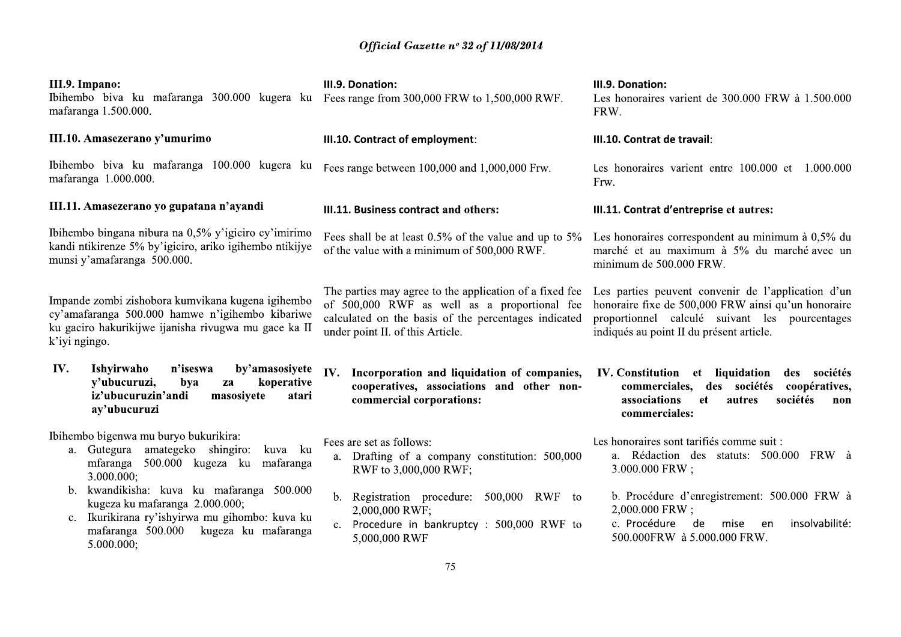| III.9. Impano:<br>Ibihembo biva ku mafaranga 300.000 kugera ku Feesrange from 300,000 FRW to 1,500,000 RWF.<br>mafaranga 1.500.000.                                                                    | III.9. Donation:                                                                                                                                                                                    | III.9. Donation:<br>Les honoraires varient de 300.000 FRW à 1.500.000<br>FRW.                                                                                                                           |
|--------------------------------------------------------------------------------------------------------------------------------------------------------------------------------------------------------|-----------------------------------------------------------------------------------------------------------------------------------------------------------------------------------------------------|---------------------------------------------------------------------------------------------------------------------------------------------------------------------------------------------------------|
| III.10. Amasezerano y'umurimo                                                                                                                                                                          | III.10. Contract of employment:                                                                                                                                                                     | III.10. Contrat de travail:                                                                                                                                                                             |
| Ibihembo biva ku mafaranga 100.000 kugera ku<br>mafaranga 1.000.000.                                                                                                                                   | Fees range between 100,000 and 1,000,000 Frw.                                                                                                                                                       | Les honoraires varient entre 100.000 et<br>1.000.000<br>Frw.                                                                                                                                            |
| III.11. Amasezerano yo gupatana n'ayandi                                                                                                                                                               | III.11. Business contract and others:                                                                                                                                                               | III.11. Contrat d'entreprise et autres:                                                                                                                                                                 |
| Ibihembo bingana nibura na 0,5% y'igiciro cy'imirimo<br>kandi ntikirenze 5% by'igiciro, ariko igihembo ntikijye<br>munsi y'amafaranga 500.000.                                                         | Fees shall be at least $0.5\%$ of the value and up to $5\%$<br>of the value with a minimum of 500,000 RWF.                                                                                          | Les honoraires correspondent au minimum à 0,5% du<br>marché et au maximum à 5% du marché avec un<br>minimum de 500.000 FRW.                                                                             |
| Impande zombi zishobora kumvikana kugena igihembo<br>cy'amafaranga 500.000 hamwe n'igihembo kibariwe<br>ku gaciro hakurikijwe ijanisha rivugwa mu gace ka II<br>k'iyi ngingo.                          | The parties may agree to the application of a fixed fee<br>of 500,000 RWF as well as a proportional fee<br>calculated on the basis of the percentages indicated<br>under point II. of this Article. | Les parties peuvent convenir de l'application d'un<br>honoraire fixe de 500,000 FRW ainsi qu'un honoraire<br>proportionnel calculé suivant les pourcentages<br>indiqués au point II du présent article. |
| IV.<br>Ishyirwaho<br>n'iseswa<br>by'amasosiyete<br>y'ubucuruzi,<br>koperative<br>bya<br>za<br>iz'ubucuruzin'andi<br>masosiyete<br>atari<br>ay'ubucuruzi                                                | IV.<br>Incorporation and liquidation of companies,<br>cooperatives, associations and other non-<br>commercial corporations:                                                                         | IV. Constitution et liquidation<br>des sociétés<br>commerciales, des sociétés<br>coopératives,<br>associations<br>sociétés<br><b>et</b><br>autres<br>non<br>commerciales:                               |
| Ibihembo bigenwa mu buryo bukurikira:<br>a. Gutegura amategeko shingiro:<br>kuva ku<br>mfaranga<br>500.000 kugeza ku<br>mafaranga<br>3.000.000;                                                        | Fees are set as follows:<br>a. Drafting of a company constitution: 500,000<br>RWF to 3,000,000 RWF;                                                                                                 | Les honoraires sont tarifiés comme suit :<br>a. Rédaction des statuts: 500.000 FRW à<br>3.000.000 FRW;                                                                                                  |
| kwandikisha: kuva ku mafaranga 500.000<br>b.<br>kugeza ku mafaranga 2.000.000;<br>Ikurikirana ry'ishyirwa mu gihombo: kuva ku<br>$c_{\cdot}$<br>mafaranga 500.000<br>kugeza ku mafaranga<br>5.000.000; | b. Registration procedure: 500,000 RWF<br>to<br>2,000,000 RWF;<br>c. Procedure in bankruptcy : 500,000 RWF to<br>5,000,000 RWF                                                                      | b. Procédure d'enregistrement: 500.000 FRW à<br>2,000.000 FRW;<br>insolvabilité:<br>c. Procédure<br>de<br>mise<br>en<br>500.000FRW à 5.000.000 FRW.                                                     |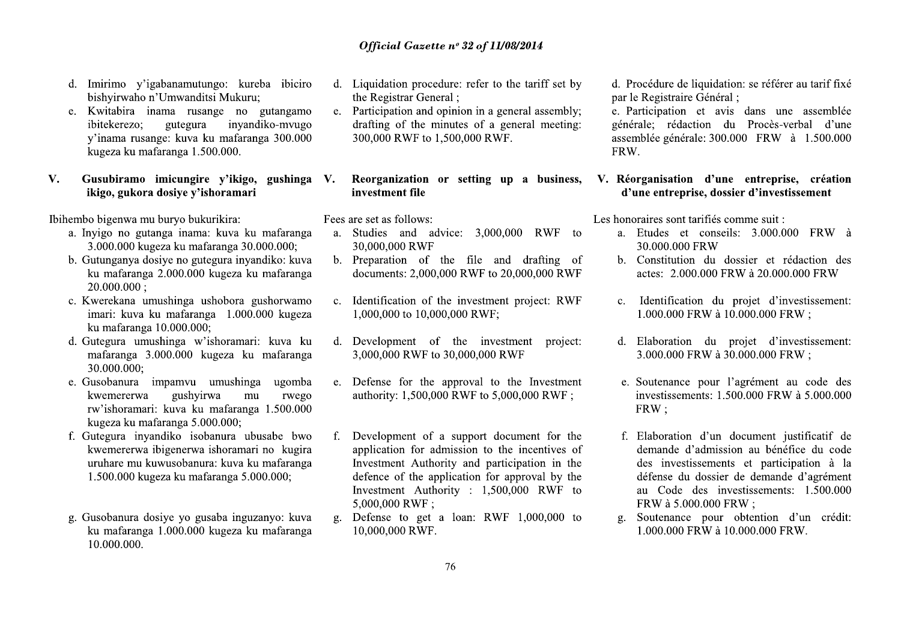- d. Imirimo y'igabanamutungo: kureba ibiciro bishyirwaho n'Umwanditsi Mukuru;
- e. Kwitabira inama rusange no gutangamo gutegura invandiko-mvugo ibitekerezo: v'inama rusange: kuva ku mafaranga 300.000 kugeza ku mafaranga 1.500.000.

## V. Gusubiramo imicungire v'ikigo, gushinga V. ikigo, gukora dosiye y'ishoramari

Ibihembo bigenwa mu buryo bukurikira:

- a. Inyigo no gutanga inama: kuva ku mafaranga 3.000.000 kugeza ku mafaranga 30.000.000:
- b. Gutunganya dosiye no gutegura inyandiko: kuva ku mafaranga 2.000.000 kugeza ku mafaranga  $20.000.000:$
- c. Kwerekana umushinga ushobora gushorwamo imari: kuva ku mafaranga 1.000.000 kugeza ku mafaranga 10.000.000;
- d. Gutegura umushinga w'ishoramari: kuva ku mafaranga 3.000.000 kugeza ku mafaranga 30.000.000:
- e. Gusobanura impamvu umushinga ugomba gushyirwa kwemererwa mu rwego rw'ishoramari: kuva ku mafaranga 1.500.000 kugeza ku mafaranga 5.000.000;
- f. Gutegura inyandiko isobanura ubusabe bwo kwemererwa ibigenerwa ishoramari no kugira uruhare mu kuwusobanura: kuva ku mafaranga 1.500.000 kugeza ku mafaranga 5.000.000;
- g. Gusobanura dosiye yo gusaba inguzanyo: kuva ku mafaranga 1.000.000 kugeza ku mafaranga 10.000.000.
- d. Liquidation procedure: refer to the tariff set by the Registrar General ;
- e. Participation and opinion in a general assembly; drafting of the minutes of a general meeting: 300,000 RWF to 1,500,000 RWF.

## Reorganization or setting up a business, investment file

Fees are set as follows:

- a. Studies and advice: 3,000,000 RWF to 30,000,000 RWF
- b. Preparation of the file and drafting of documents: 2,000,000 RWF to 20,000,000 RWF
- c. Identification of the investment project: RWF 1,000,000 to 10,000,000 RWF;
- d. Development of the investment project: 3,000,000 RWF to 30,000,000 RWF
- e. Defense for the approval to the Investment authority: 1,500,000 RWF to 5,000,000 RWF ;
- f. Development of a support document for the application for admission to the incentives of Investment Authority and participation in the defence of the application for approval by the Investment Authority : 1,500,000 RWF to 5,000,000 RWF:
- Defense to get a loan: RWF 1,000,000 to  $\mathbf{g}$ . 10,000,000 RWF.

d. Procédure de liquidation: se référer au tarif fixé par le Registraire Général ;

e. Participation et avis dans une assemblée générale: rédaction du Procès-verbal d'une assemblée générale: 300.000 FRW à 1.500.000 FRW.

# V. Réorganisation d'une entreprise, création d'une entreprise, dossier d'investissement

Les honoraires sont tarifiés comme suit :

- a. Etudes et conseils: 3.000.000 FRW à 30.000.000 FRW
- b. Constitution du dossier et rédaction des actes: 2.000.000 FRW à 20.000.000 FRW
- c. Identification du projet d'investissement: 1.000.000 FRW à 10.000.000 FRW ;
- d. Elaboration du projet d'investissement: 3.000.000 FRW à 30.000.000 FRW:
- e. Soutenance pour l'agrément au code des investissements: 1.500.000 FRW à 5.000.000 FRW:
- f. Elaboration d'un document justificatif de demande d'admission au bénéfice du code des investissements et participation à la défense du dossier de demande d'agrément au Code des investissements: 1.500.000 FRW à 5.000.000 FRW:
- Soutenance pour obtention d'un crédit:  $\mathfrak{Q}$ . 1.000.000 FRW à 10.000.000 FRW.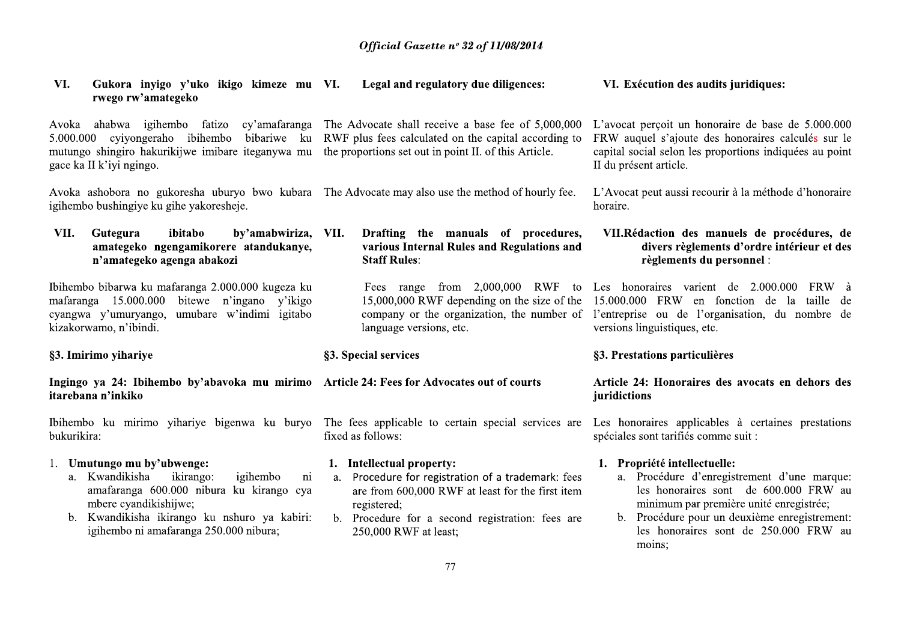| VI.<br>Gukora inyigo y'uko ikigo kimeze mu VI.<br>rwego rw'amategeko                                                                                                                                                                    | Legal and regulatory due diligences:                                                                                                                                                                                                           | VI. Exécution des audits juridiques:                                                                                                                                                                                                                                |
|-----------------------------------------------------------------------------------------------------------------------------------------------------------------------------------------------------------------------------------------|------------------------------------------------------------------------------------------------------------------------------------------------------------------------------------------------------------------------------------------------|---------------------------------------------------------------------------------------------------------------------------------------------------------------------------------------------------------------------------------------------------------------------|
| cyiyongeraho ibihembo<br>5.000.000<br>mutungo shingiro hakurikijwe imibare iteganywa mu<br>gace ka II k'iyi ngingo.                                                                                                                     | Avoka ahabwa igihembo fatizo cy'amafaranga The Advocate shall receive a base fee of 5,000,000<br>bibariwe ku RWF plus fees calculated on the capital according to<br>the proportions set out in point II. of this Article.                     | L'avocat perçoit un honoraire de base de 5.000.000<br>FRW auquel s'ajoute des honoraires calculés sur le<br>capital social selon les proportions indiquées au point<br>II du présent article.                                                                       |
| igihembo bushingiye ku gihe yakoresheje.                                                                                                                                                                                                | Avoka ashobora no gukoresha uburyo bwo kubara The Advocate may also use the method of hourly fee.                                                                                                                                              | L'Avocat peut aussi recourir à la méthode d'honoraire<br>horaire.                                                                                                                                                                                                   |
| VII.<br>Gutegura<br>ibitabo<br>by'amabwiriza, VII.<br>amategeko ngengamikorere atandukanye,<br>n'amategeko agenga abakozi                                                                                                               | Drafting the manuals of procedures,<br>various Internal Rules and Regulations and<br><b>Staff Rules:</b>                                                                                                                                       | VII.Rédaction des manuels de procédures, de<br>divers règlements d'ordre intérieur et des<br>règlements du personnel :                                                                                                                                              |
| Ibihembo bibarwa ku mafaranga 2.000.000 kugeza ku<br>mafaranga 15.000.000<br>bitewe n'ingano y'ikigo<br>cyangwa y'umuryango, umubare w'indimi igitabo<br>kizakorwamo, n'ibindi.                                                         | 15,000,000 RWF depending on the size of the<br>language versions, etc.                                                                                                                                                                         | Fees range from 2,000,000 RWF to Les honoraires varient de 2.000.000 FRW à<br>15.000.000 FRW en fonction de la taille de<br>company or the organization, the number of l'entreprise ou de l'organisation, du nombre de<br>versions linguistiques, etc.              |
|                                                                                                                                                                                                                                         |                                                                                                                                                                                                                                                |                                                                                                                                                                                                                                                                     |
| §3. Imirimo yihariye                                                                                                                                                                                                                    | §3. Special services                                                                                                                                                                                                                           | §3. Prestations particulières                                                                                                                                                                                                                                       |
| Ingingo ya 24: Ibihembo by'abavoka mu mirimo Article 24: Fees for Advocates out of courts<br>itarebana n'inkiko                                                                                                                         |                                                                                                                                                                                                                                                | Article 24: Honoraires des avocats en dehors des<br>juridictions                                                                                                                                                                                                    |
| bukurikira:                                                                                                                                                                                                                             | Ibihembo ku mirimo yihariye bigenwa ku buryo The fees applicable to certain special services are<br>fixed as follows:                                                                                                                          | Les honoraires applicables à certaines prestations<br>spéciales sont tarifiés comme suit :                                                                                                                                                                          |
| 1. Umutungo mu by'ubwenge:<br>a. Kwandikisha<br>igihembo<br>ikirango:<br>amafaranga 600.000 nibura ku kirango cya<br>mbere cyandikishijwe;<br>Kwandikisha ikirango ku nshuro ya kabiri:<br>b.<br>igihembo ni amafaranga 250.000 nibura; | 1. Intellectual property:<br>Procedure for registration of a trademark: fees<br>ni<br>a.<br>are from 600,000 RWF at least for the first item<br>registered;<br>b. Procedure for a second registration: fees are<br>250,000 RWF at least;<br>77 | 1. Propriété intellectuelle:<br>a. Procédure d'enregistrement d'une marque:<br>les honoraires sont de 600.000 FRW au<br>minimum par première unité enregistrée;<br>b. Procédure pour un deuxième enregistrement:<br>les honoraires sont de 250.000 FRW au<br>moins; |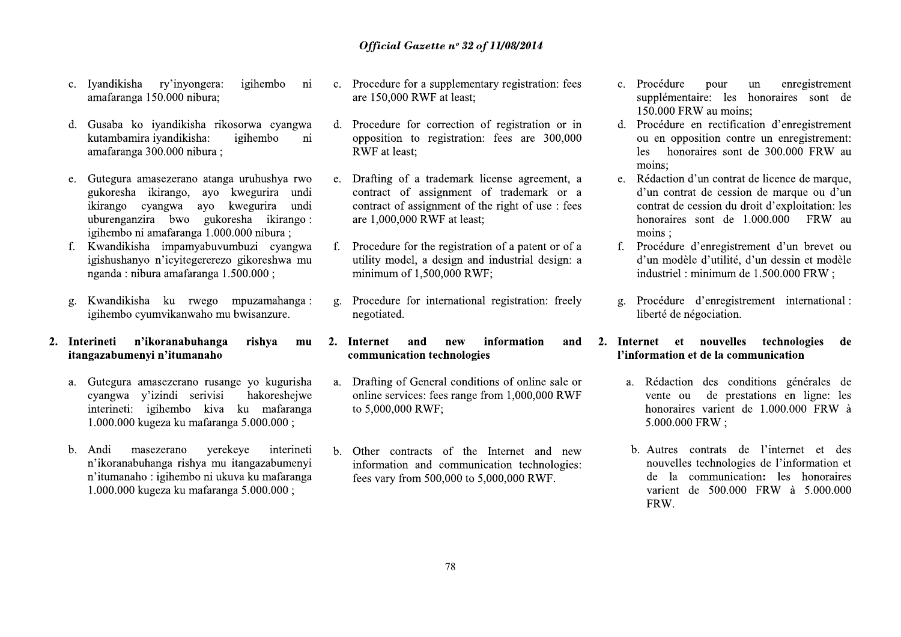- 
- 
- Official Gase<br>
c. Iyandikisha ry'inyongera: igihembo ni c. Procedure for a<br>
amafaranga 150.000 nibura;<br>
d. Gusaba ko iyandikisha rikosorwa cyangwa d. Procedure for c<br>
kutambamira iyandikisha: igihembo ni opposition to i<br>
a **C.** Iyandikisha ry'inyongera: igihembo ni c. Procedure for a amafaranga 150.000 nibura; are 150,000 RW<br>
d. Gusaba ko iyandikisha rikosorwa cyangwa d. Procedure for c<br>
kutambamira iyandikisha: igihembo ni opposition to i<br> c. Iyandikisha ry'inyongera: igihembo ni c. Procedure for a amafaranga 150.000 nibura; are 150,000 RWI<br>
d. Gusaba ko iyandikisha rikosorwa cyangwa d. Procedure for c.<br>
kutambamira iyandikisha: igihembo ni opposition to r<br> 2. Gutegura amasezerano atanga uruhushya rwo<br>
2. Drafting of a t<br>
gukoresha ikirango cyangwa ayo kwegurira undi<br>
uburenganzira bwo gukoresha ikirango:<br>
uburenganzira bwo gukoresha ikirango:<br>
f. Kwandikisha impamyabuvumbuzi
	-
	-
	-
- uburenganzira bwo gukoresha ikirango: are 1,000,000 R<br>
igishushahan imanaranga 1.000.000 nubura;<br>
f. Kwandikisha impamyahuvumbuzi cyangwa f. Procedure for the<br>
igishushanyo n'icyitegererezo gikoreshwa mu utility model, a<br>
- n Tumanano : 1giner<br>1.000.000 kugeza ku Comparent Computer Controllow and the magnitude of the magnitude of the summarized transmission of 1,5<br>
Summarized transmission of the summarized transmission of the summarized transmission of the summarized of the computa **2. Interineti n'ikoranabuhanga rishya mu 2. Internet and itangazabumenyi n'itumanaho communication**<br>
a. Gutegura amasezerano rusange yo kugurisha a. Drafting of Gen<br>
cyangwa y'izindi serivisi hakoreshejwe online services: cyangwa y'izir<br>interineti: igiha<br>1.000.000 kugez:<br>b. Andi maseze:<br>n'ikoranabuhang<br>n'itumanaho : igi<br>1.000.000 kugez: interineti: igiha<br>1.000.000 kugez:<br>b. Andi maseze:<br>n'ikoranabuhang<br>n'itumanaho : igi<br>1.000.000 kugez:  $1.000.000$  kugeza<br>b. Andi maseze:<br>n'ikoranabuhang<br>n'itumanaho : igi $1.000.000$  kugeza b. Andi maseze:<br>n'ikoranabuhang<br>n'itumanaho : igi<br>1.000.000 kugez: visi hakoreshejwe online services: fee<br>kiva ku mafaranga to 5,000,000 RWF;<br>faranga 5.000.000;<br>yerekeye interineti b. Other contracts<br>information and c<br>fees vary from 500<br>faranga 5.000.000;<br>faranga 5.000.000; kiva ku mafaranga to 5,000,000 RWF;<br>
faranga 5.000.000;<br>
yerekeye interineti b. Other contracts<br>
information and c<br>
faranga 5.000.000;<br>
faranga 5.000.000; Franga 5.000.000;<br>
yerekeye interineti b. Other contracts<br>
information and c<br>
in ukuva ku mafaranga fees vary from 500<br>
Franga 5.000.000; yerekeye interineti b. Other contracts<br>
interineti information and c<br>
interinetial information and c<br>
fees vary from 500<br>
faranga 5.000.000;<br>
intering the same of the same of the same of the same of the same of the same of
- 
- **Official Gazette n° 32 of I**<br>igihembo ni c. Procedure for a supplementary<br>are 150,000 RWF at least;<br>orwa cyangwa d. Procedure for correction of<br>gihembo ni opposition to registration:<br>RWF at least; **Official Gazette nº 32 of 11/**<br>
embo ni c. Procedure for a supplementary i<br>
are 150,000 RWF at least;<br>
cyangwa d. Procedure for correction of re<br>
opposition to registration: fee<br>
RWF at least; **Official Gazette nº 32 of 11/08/2014**<br>
bo ni c. Procedure for a supplementary registratio<br>
are 150,000 RWF at least;<br>
cyangwa d. Procedure for correction of registration<br>
o ni opposition to registration: fees are 3<br>
RWF **Official Gazette nº 32 of 11/08/2014**<br>c. Procedure for a supplementary registration<br>are 150,000 RWF at least;<br>d. Procedure for correction of registration<br>opposition to registration: fees are 30<br>RWF at least; **Official Gazette n° 32 of 11/08/2014**<br>
c. Procedure for a supplementary registration: fees c. Proce<br>
are 150,000 RWF at least; supplementary registration: fees c. Proce<br>
d. Procedure for correction of registration or in
- **Official Gasette n° 32 of 11/08/2014**<br>
a: igihembo ni c. Procedure for a supplementary registration: fees<br>
it,<br>
ithus are 150,000 RWF at least;<br>
ithus are 150,000 RWF at least;<br>
ithembo ni opposition to registration: fees Official Gazette  $n^{\circ}$  32 of 11/08/2014<br>
race:<br>
igihembo ni c. Procedure for a supplementary registration: fees<br>
is the supplementary states are 150,000 RWF at least;<br>
it ighembo ni opposition to registration or in d. P are interestinguishes in the same of the same of the same of the same of the same of the same of the same of the same of the same of the same of the same of the same of the same of the same of the same of the same of the s rikosorwa cyangwa d. Procedure for correction of registration or in d. Procedure er<br>
ighlembo ni opposition to registration: fees are 300,000 ou en opposite<br>
ighembo ni opposition d'<br>
NEVE at least;<br>
kores are 300,000 comp mga uruhushya rwo e. Drafting of a trademark license agreement, a e. Rédaction d'<br>
betweentira undic contract of assignment of the right of use : fees<br>
koregurina undic contract of assignment of the right of use : fees<br>
co
	-
	-
	-
	-
- information and communication technolog<br>fees vary from 500,000 to 5,000,000 RWF.<br>78 PUBOLOOD incorne and the proposed in the state of the state of the solution of a procedure of the state of the state of the state of the state of the state of the state of the state of the state of the minimum of 1,500,000 bwisanzure. negotiated.<br> **rishya mu 2. Internet and new**<br> **communication technolo**<br>
ge yo kugurisha a. Drafting of General conce<br>
hakoreshejwe online services: fees rang<br>
ku mafaranga to 5,000,000 RWF;<br>
a 5.000.000 ;<br>
eye 7B@D0>1B0-B<>/B@D1BD01DB-1:1DA 61/>0.-B6>1-1:>..816-B6>1BD@1>j>26D<CO /DD<J-0?/0>.455G555B>4G555G555klm e yo kugurisha<br>
hakoreshejwe online services: fees rang<br>
ku mafaranga to 5,000,000 RWF;<br>
a 5.000.000;<br>
eye interineti b. Other contracts of the<br>
tangazabumenyi information and commu<br>
va ku mafaranga fees vary from 500,000
- 
- 
- $1/00/2014$ <br>
registration: fees<br>
c. Procédure pour un enregistrement<br>
ergistration or in all to-rocedure en rectification d'enregistrement<br>
ergistration or in all to-rocedure en rectification d'enregistrement:<br>
les honora 2%'LK%)\$&)%)( "M%)+)M\$ M)%M 'C j67D0B:D12>6-B6>1
	-
	-
	-
- St;<br>
tion of a patent or of a<br>
mondial existence d'enregistrement d'un brevet ou<br>
di industrial design: a<br>
d'un modèle d'utilité, d'un dessin et modèle<br>
industriel : minimum de 1.500.000 FRW ;<br>
and registration: freely<br>
g.
- -k:-B6>1:D<>1:6B6>1<210-jD<:D JD1BD>8:DI0D<B-B6>1<D1j621DCjD< @>1>0-60D<J-06D1B:D3555555mkl 4555555mkl9 **12. Internet et nouvelles technologies de<br>
12. Information et de la communication**<br>
12. Rédaction des conditions générales de<br>
1000,000 RWF<br>
1000,000 RW is<br>
1000000 FRW is<br>
1000.000 FRW is<br>
12. Autres contrats de l'inform honoraires va<br>
5.000.000 FR<br>
b. Autres contraited b. Autres contraited b. Autres contraited b. Autres contraited b. Autres contraited b. Autres contraited b. Autres contraited b. Autres contraited b. Autres contraited b. A 5.000.000 FR<br>
Princation technologies:<br>
5,000,000 RWF.<br>
The state of the state of the state of the state of the state of the state of the state of the state of the state of the state of the state of the state of the state EXERCISE The Suite of the Autress continued in the continued is the state of the S,000,000 RWF.<br>
S,000,000 RWF.<br>
TRW.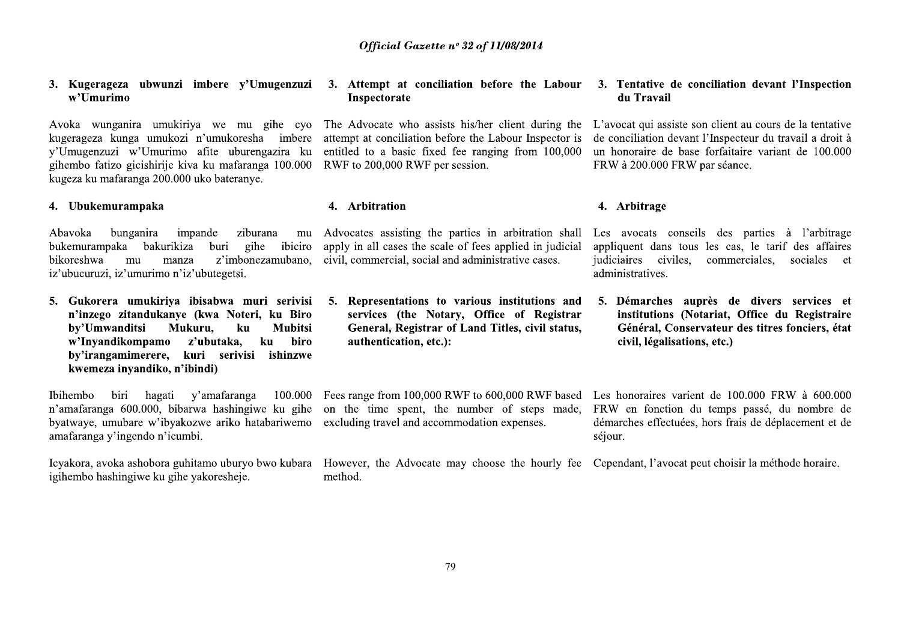## 3. Kugerageza ubwunzi imbere y'Umugenzuzi w'Umurimo

Avoka wunganira umukiriya we mu gihe cyo kugerageza kunga umukozi n'umukoresha imbere v'Umugenzuzi w'Umurimo afite uburengazira ku gihembo fatizo gicishirije kiva ku mafaranga 100.000 kugeza ku mafaranga 200.000 uko bateranye.

## 4. Ubukemurampaka

bunganira Abavoka impande ziburana mu bukemurampaka bakurikiza ibiciro buri gihe z'imbonezamubano, **bikoreshwa** mu manza iz'ubucuruzi, iz'umurimo n'iz'ubutegetsi.

5. Gukorera umukiriya ibisabwa muri serivisi n'inzego zitandukanye (kwa Noteri, ku Biro by'Umwanditsi Mukuru, **Mubitsi**  $k**u**$ w'Invandikompamo z'ubutaka, ku biro bv'irangamimerere, kuri serivisi ishinzwe kwemeza invandiko, n'ibindi)

Ibihembo biri hagati v'amafaranga 100.000 n'amafaranga 600.000, bibarwa hashingiwe ku gihe byatwaye, umubare w'ibyakozwe ariko hatabariwemo amafaranga y'ingendo n'icumbi.

igihembo hashingiwe ku gihe yakoresheje.

## 3. Attempt at conciliation before the Labour Inspectorate

The Advocate who assists his/her client during the L'avocat qui assiste son client au cours de la tentative attempt at conciliation before the Labour Inspector is entitled to a basic fixed fee ranging from 100,000 RWF to 200,000 RWF per session.

## 4. Arbitration

apply in all cases the scale of fees applied in judicial civil, commercial, social and administrative cases.

5. Representations to various institutions and services (the Notary, Office of Registrar General, Registrar of Land Titles, civil status, authentication, etc.):

excluding travel and accommodation expenses.

Icyakora, avoka ashobora guhitamo uburyo bwo kubara However, the Advocate may choose the hourly fee Cependant, l'avocat peut choisir la méthode horaire. method.

## 3. Tentative de conciliation devant l'Inspection du Travail

de conciliation devant l'Inspecteur du travail a droit à un honoraire de base forfaitaire variant de 100.000 FRW à 200.000 FRW par séance.

## 4. Arbitrage

Advocates assisting the parties in arbitration shall Les avocats conseils des parties à l'arbitrage appliquent dans tous les cas, le tarif des affaires commerciales, sociales et judiciaires civiles. administratives.

> 5. Démarches auprès de divers services et institutions (Notariat, Office du Registraire Général, Conservateur des titres fonciers, état civil, légalisations, etc.)

Fees range from 100,000 RWF to 600,000 RWF based Les honoraires varient de 100,000 FRW à 600,000 on the time spent, the number of steps made, FRW en fonction du temps passé, du nombre de démarches effectuées, hors frais de déplacement et de séjour.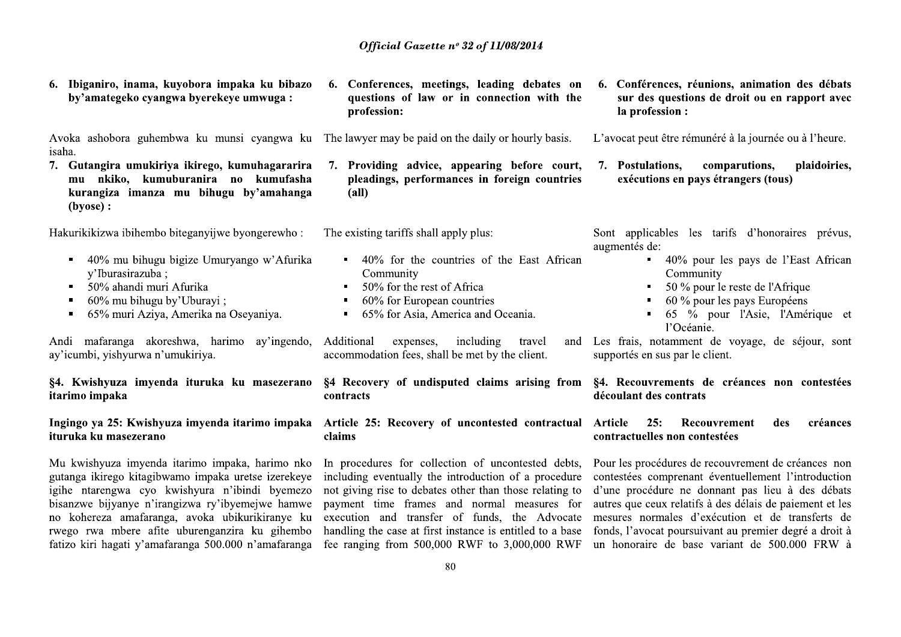Ibiganiro, inama, kuyobora impaka ku bibazo 6. by'amategeko cvangwa byerekeve umwuga:

Avoka ashobora guhembwa ku munsi cyangwa ku The lawyer may be paid on the daily or hourly basis. isaha.

7. Gutangira umukiriya ikirego, kumuhagararira mu nkiko, kumuburanira no kumufasha kurangiza imanza mu bihugu by'amahanga (byose) :

Hakurikikizwa ibihembo biteganyijwe byongerewho:

- 40% mu bihugu bigize Umuryango w'Afurika  $\blacksquare$  . y'Iburasirazuba;
- 50% ahandi muri Afurika  $\blacksquare$
- 60% mu bihugu by'Uburayi;  $\blacksquare$
- 65% muri Aziya, Amerika na Oseyaniya.  $\blacksquare$

Andi mafaranga akoreshwa, harimo ay'ingendo, ay'icumbi, yishyurwa n'umukiriya.

§4. Kwishyuza imyenda ituruka ku masezerano itarimo impaka

# Ingingo ya 25: Kwishyuza imyenda itarimo impaka ituruka ku masezerano

Mu kwishyuza imyenda itarimo impaka, harimo nko gutanga ikirego kitagibwamo impaka uretse izerekeye igihe ntarengwa cyo kwishyura n'ibindi byemezo bisanzwe bijyanye n'irangizwa ry'ibyemejwe hamwe no kohereza amafaranga, avoka ubikurikiranye ku rwego rwa mbere afite uburenganzira ku gihembo fatizo kiri hagati y'amafaranga 500.000 n'amafaranga 6. Conferences, meetings, leading debates on questions of law or in connection with the profession:

7. Providing advice, appearing before court, pleadings, performances in foreign countries  $(a<sub>II</sub>)$ 

The existing tariffs shall apply plus:

- 40% for the countries of the East African  $\blacksquare$ Community
- 50% for the rest of Africa  $\blacksquare$
- 60% for European countries  $\blacksquare$
- 65% for Asia, America and Oceania.

including Additional expenses, travel accommodation fees, shall be met by the client.

§4 Recovery of undisputed claims arising from §4. Recouvrements de créances non contestées contracts

## Article 25: Recovery of uncontested contractual Article claims

In procedures for collection of uncontested debts, including eventually the introduction of a procedure not giving rise to debates other than those relating to payment time frames and normal measures for handling the case at first instance is entitled to a base fee ranging from  $500,000$  RWF to  $3,000,000$  RWF

6. Conférences, réunions, animation des débats sur des questions de droit ou en rapport avec la profession :

L'avocat peut être rémunéré à la journée ou à l'heure.

comparutions, 7. Postulations. plaidoiries. exécutions en pays étrangers (tous)

Sont applicables les tarifs d'honoraires prévus, augmentés de:

- 40% pour les pays de l'East African Community
- 50 % pour le reste de l'Afrique
- 60 % pour les pays Européens
- 65  $\frac{6}{9}$  pour l'Asie, l'Amérique et l'Océanie.

and Les frais, notamment de voyage, de séjour, sont supportés en sus par le client.

# découlant des contrats

## $25:$ Recouvrement créances des contractuelles non contestées

Pour les procédures de recouvrement de créances non contestées comprenant éventuellement l'introduction d'une procédure ne donnant pas lieu à des débats autres que ceux relatifs à des délais de paiement et les execution and transfer of funds, the Advocate mesures normales d'exécution et de transferts de fonds, l'avocat poursuivant au premier degré a droit à un honoraire de base variant de 500.000 FRW à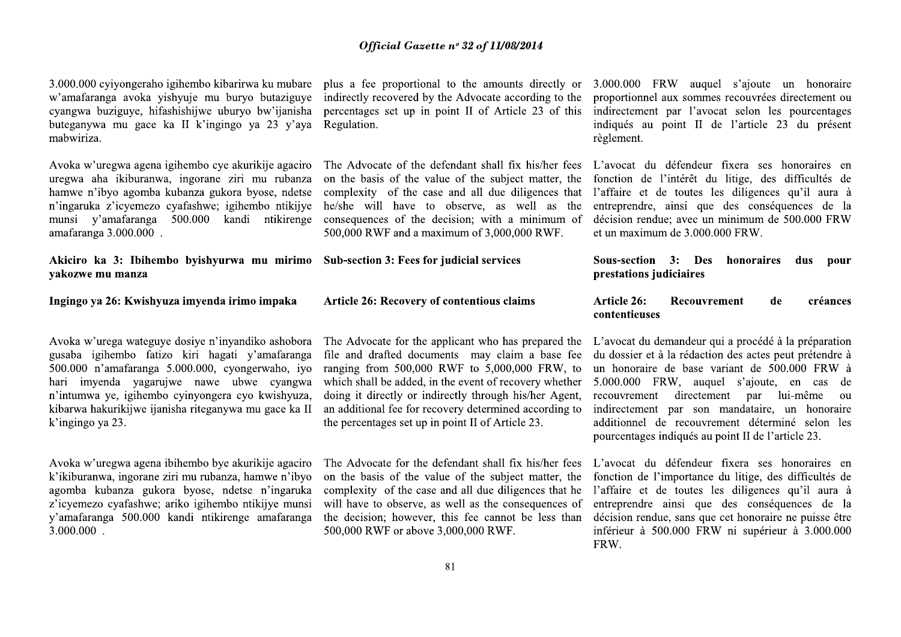3.000.000 cyjyongeraho igihembo kibarirwa ku mubare w'amafaranga avoka yishyuje mu buryo butaziguye cyangwa buziguye, hifashishijwe uburyo bw'ijanisha buteganywa mu gace ka II k'ingingo ya 23 y'aya mabwiriza.

Avoka w'uregwa agena igihembo cye akurikije agaciro uregwa aha ikiburanwa, ingorane ziri mu rubanza hamwe n'ibyo agomba kubanza gukora byose, ndetse n'ingaruka z'icyemezo cyafashwe; igihembo ntikijye munsi y'amafaranga 500.000 kandi ntikirenge amafaranga 3.000.000.

Akiciro ka 3: Ibihembo byishyurwa mu mirimo Sub-section 3: Fees for judicial services vakozwe mu manza

Ingingo ya 26: Kwishyuza imyenda irimo impaka

Avoka w'urega wateguye dosiye n'inyandiko ashobora gusaba igihembo fatizo kiri hagati y'amafaranga 500.000 n'amafaranga 5.000.000, cyongerwaho, iyo hari imyenda yagarujwe nawe ubwe cyangwa n'intumwa ye, igihembo cyinyongera cyo kwishyuza, kibarwa hakurikijwe ijanisha riteganywa mu gace ka II k'ingingo ya 23.

Avoka w'uregwa agena ibihembo bye akurikije agaciro k'ikiburanwa, ingorane ziri mu rubanza, hamwe n'ibyo agomba kubanza gukora byose, ndetse n'ingaruka z'icyemezo cyafashwe; ariko igihembo ntikijye munsi y'amafaranga 500.000 kandi ntikirenge amafaranga  $3.000.000$ .

indirectly recovered by the Advocate according to the Regulation.

The Advocate of the defendant shall fix his/her fees on the basis of the value of the subject matter, the complexity of the case and all due diligences that he/she will have to observe, as well as the consequences of the decision; with a minimum of 500,000 RWF and a maximum of 3,000,000 RWF.

## Article 26: Recovery of contentious claims

file and drafted documents may claim a base fee ranging from  $500,000$  RWF to  $5,000,000$  FRW, to which shall be added, in the event of recovery whether doing it directly or indirectly through his/her Agent, an additional fee for recovery determined according to the percentages set up in point II of Article 23.

on the basis of the value of the subject matter, the complexity of the case and all due diligences that he will have to observe, as well as the consequences of the decision; however, this fee cannot be less than 500,000 RWF or above 3,000,000 RWF.

plus a fee proportional to the amounts directly or 3.000.000 FRW auguel s'ajoute un honoraire proportionnel aux sommes recouvrées directement ou percentages set up in point II of Article 23 of this indirectement par l'avocat selon les pourcentages indiqués au point II de l'article 23 du présent règlement.

> L'avocat du défendeur fixera ses honoraires en fonction de l'intérêt du litige, des difficultés de l'affaire et de toutes les diligences qu'il aura à entreprendre, ainsi que des conséquences de la décision rendue; avec un minimum de 500.000 FRW et un maximum de 3.000.000 FRW.

Sous-section 3: Des honoraires dus **pour** prestations judiciaires

## Article 26: Recouvrement créances de contentieuses

The Advocate for the applicant who has prepared the L'avocat du demandeur qui a procédé à la préparation du dossier et à la rédaction des actes peut prétendre à un honoraire de base variant de 500.000 FRW à 5.000.000 FRW, auquel s'ajoute, en cas de recouvrement directement par lui-même ou indirectement par son mandataire, un honoraire additionnel de recouvrement déterminé selon les pourcentages indiqués au point II de l'article 23.

The Advocate for the defendant shall fix his/her fees L'avocat du défendeur fixera ses honoraires en fonction de l'importance du litige, des difficultés de l'affaire et de toutes les diligences qu'il aura à entreprendre ainsi que des conséquences de la décision rendue, sans que cet honoraire ne puisse être inférieur à 500.000 FRW ni supérieur à 3.000.000 FRW.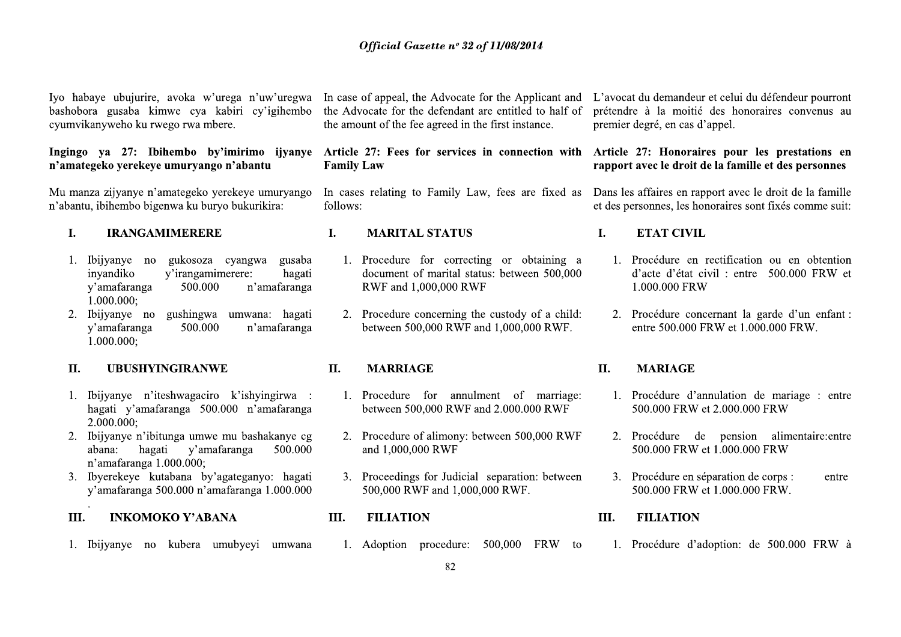Iyo habaye ubujurire, ayoka w'urega n'uw'uregwa bashobora gusaba kimwe cya kabiri cy'igihembo cyumvikanyweho ku rwego rwa mbere.

## Ingingo va 27: Ibihembo by'imirimo ijvanye n'amategeko yerekeye umuryango n'abantu

Mu manza zijyanye n'amategeko yerekeye umuryango n'abantu, ibihembo bigenwa ku buryo bukurikira:

## $\mathbf{I}$ . **IRANGAMIMERERE**

- gukosoza cyangwa 1. Ibiivanve no gusaba invandiko y'irangamimerere: hagati n'amafaranga v'amafaranga 500.000  $1.000.000$ ;
- 2. Ibijyanye no gushingwa umwana: hagati y'amafaranga n'amafaranga 500.000  $1.000.000;$

## $II.$ **UBUSHYINGIRANWE**

- 1. Ibijyanye n'iteshwagaciro k'ishyingirwa : hagati y'amafaranga 500.000 n'amafaranga  $2.000.000:$
- 2. Ibijyanye n'ibitunga umwe mu bashakanye cg abana: hagati y'amafaranga 500.000 n'amafaranga 1.000.000:
- 3. Ibyerekeye kutabana by'agateganyo: hagati y'amafaranga 500.000 n'amafaranga 1.000.000
- III. **INKOMOKO Y'ABANA**
- 1. Ibijyanye no kubera umubyeyi umwana

the Advocate for the defendant are entitled to half of the amount of the fee agreed in the first instance.

Article 27: Fees for services in connection with Article 27: Honoraires pour les prestations en **Family Law** 

follows:

## **MARITAL STATUS**

- 1. Procedure for correcting or obtaining a document of marital status: between 500,000 RWF and 1,000,000 RWF
- 2. Procedure concerning the custody of a child: between 500,000 RWF and 1,000,000 RWF.

## II. **MARRIAGE**

L.

- 1. Procedure for annulment of marriage: between 500,000 RWF and 2.000.000 RWF
- 2. Procedure of alimony: between 500,000 RWF and 1,000,000 RWF
- 3. Proceedings for Judicial separation: between 500,000 RWF and 1,000,000 RWF.
- III. **FILIATION** 
	- 1. Adoption procedure: 500,000 FRW to

In case of appeal, the Advocate for the Applicant and L'avocat du demandeur et celui du défendeur pourront prétendre à la moitié des honoraires convenus au premier degré, en cas d'appel.

# rapport avec le droit de la famille et des personnes

In cases relating to Family Law, fees are fixed as Dans les affaires en rapport avec le droit de la famille et des personnes, les honoraires sont fixés comme suit:

## L. **ETAT CIVIL**

- 1. Procédure en rectification ou en obtention d'acte d'état civil : entre 500.000 FRW et 1.000.000 FRW
- 2. Procédure concernant la garde d'un enfant : entre 500.000 FRW et 1.000.000 FRW.

## **II. MARIAGE**

- 1. Procédure d'annulation de mariage : entre 500,000 FRW et 2,000,000 FRW
- 2. Procédure de pension alimentaire: entre 500.000 FRW et 1.000.000 FRW
- $3.$ Procédure en séparation de corps : entre 500.000 FRW et 1.000.000 FRW.

## III. **FILIATION**

1. Procédure d'adoption: de 500.000 FRW à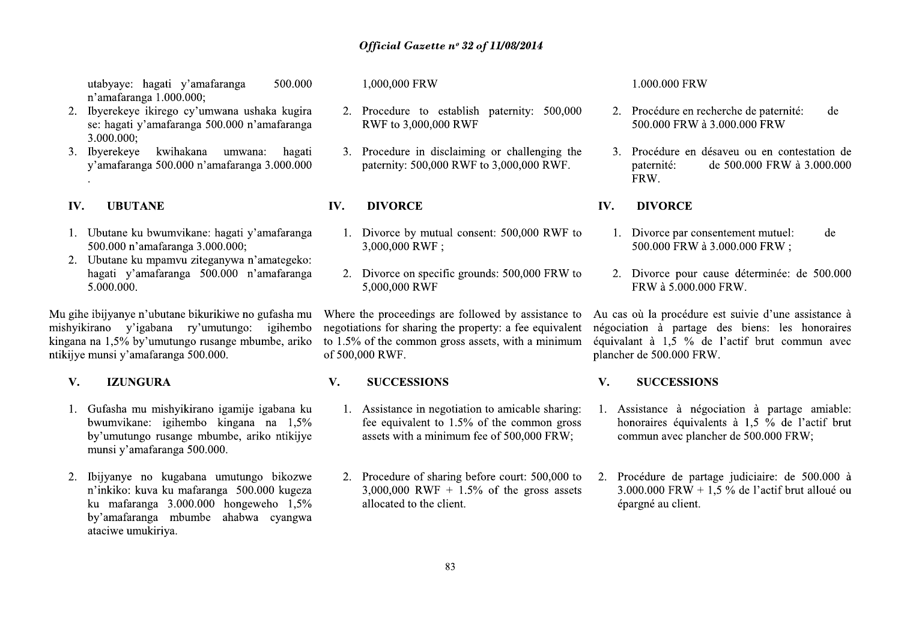utabyaye: hagati y'amafaranga 500.000 n'amafaranga 1.000.000;

- 2. Ibyerekeye ikirego cy'umwana ushaka kugira se: hagati y'amafaranga 500.000 n'amafaranga  $3.000.000:$
- 3. Ibverekeve kwihakana umwana: hagati y'amafaranga 500.000 n'amafaranga 3.000.000

## IV. **UBUTANE**

- 1. Ubutane ku bwumvikane: hagati y'amafaranga 500.000 n'amafaranga 3.000.000:
- 2. Ubutane ku mpamvu ziteganywa n'amategeko: hagati y'amafaranga 500.000 n'amafaranga 5.000.000.

Mu gihe ibijyanye n'ubutane bikurikiwe no gufasha mu mishyikirano y'igabana ry'umutungo: igihembo kingana na 1,5% by'umutungo rusange mbumbe, ariko ntikijye munsi y'amafaranga 500.000.

## $\mathbf{V}$ . **IZUNGURA**

- 1. Gufasha mu mishyikirano igamije igabana ku bwumvikane: igihembo kingana na 1,5% by'umutungo rusange mbumbe, ariko ntikijye munsi y'amafaranga 500.000.
- 2. Ibijyanye no kugabana umutungo bikozwe n'inkiko: kuva ku mafaranga 500.000 kugeza ku mafaranga  $3.000.000$  hongeweho  $1,5\%$ by'amafaranga mbumbe ahabwa cyangwa ataciwe umukiriya.

1,000,000 FRW

- 2. Procedure to establish paternity: 500,000 RWF to 3,000,000 RWF
- 3. Procedure in disclaiming or challenging the paternity: 500,000 RWF to 3,000,000 RWF.

## IV. **DIVORCE**

- 1. Divorce by mutual consent: 500,000 RWF to 3,000,000 RWF:
- 2. Divorce on specific grounds: 500,000 FRW to 5,000,000 RWF

Where the proceedings are followed by assistance to negotiations for sharing the property: a fee equivalent to  $1.5\%$  of the common gross assets, with a minimum of 500,000 RWF.

## $V_{\bullet}$ **SUCCESSIONS**

- 1. Assistance in negotiation to amicable sharing: fee equivalent to  $1.5\%$  of the common gross assets with a minimum fee of 500,000 FRW;
- 2. Procedure of sharing before court: 500,000 to 3,000,000 RWF + 1.5% of the gross assets allocated to the client.

## 1.000.000 FRW

- 2. Procédure en recherche de paternité: de 500.000 FRW à 3.000.000 FRW
- 3. Procédure en désaveu ou en contestation de paternité: de 500.000 FRW à 3.000.000 FRW.

## IV. **DIVORCE**

- 1. Divorce par consentement mutuel: de 500.000 FRW à 3.000.000 FRW:
- 2. Divorce pour cause déterminée: de 500.000 FRW à 5.000.000 FRW.

Au cas où la procédure est suivie d'une assistance à négociation à partage des biens: les honoraires équivalant à 1,5 % de l'actif brut commun avec plancher de 500.000 FRW.

## $V_{\cdot}$ **SUCCESSIONS**

- 1. Assistance à négociation à partage amiable: honoraires équivalents à 1.5 % de l'actif brut commun avec plancher de 500.000 FRW;
- 2. Procédure de partage judiciaire: de 500.000 à  $3.000.000$  FRW + 1.5 % de l'actif brut alloué ou épargné au client.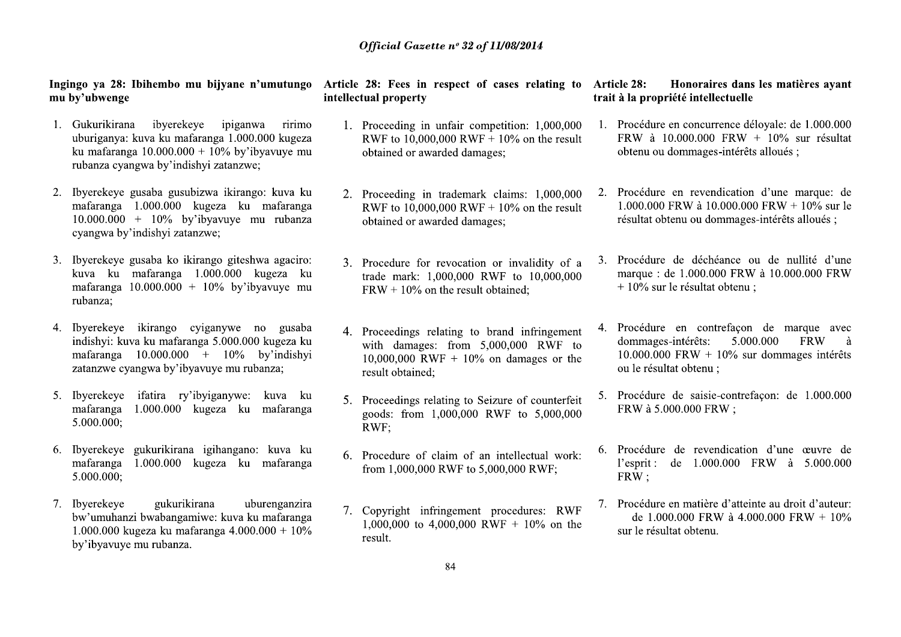- **11 Official Gase**<br> **11 Official Gase**<br> **11 Official Gase**<br> **11 Official Property**<br> **11 Onkurikirana** ibyerekeye ipiganwa ririno<br> **11 Proceeding** in<br> **11 Developediate**<br> **11 Developediate**<br> **11 Developed**
- -./012134243565 4789392989 4:4;56<5 3434=> 17134;5685?21@521=5A5356;5-.BBB.BBB21;9C5 DEFGHIHJHKLHFMNONNNONNNFPFMNQFRSTURSHVESWFGEF JERHKXHFYSHKLZHFRSTUK[U\]SUFXH^HKXZW\_ **11289286; Instruction Solution Control in the control in the property**<br>
1. Gukurikirana ibyerekeye ipiganwa ririno 1. Proceeding in<br>
uburiganya: kuva ku mafaranga 1.000.000 kugeza RWF to 10,00<br>
ku mafaranga 10.000.000 +
	-
- douriganya: kuva ku mafaranga 1.000.000 kugeza<br>
ku mafaranga 10.000.000 + 10% by'ibyavuye mu<br>
2. Byerekeye gusaba gusubizwa ikirango: kuva ku<br>
mafaranga 1.000.000 + 10% by'ibyavuye mu rubanza<br>
10.000.000 + 10% by'ibyavuye mafaranga 1.000.000 kugeza ku mafaranga RWF to  $10,000$  (10.000.000 + 10% by ibyavuye mu rubanza;<br>
3. Ibyerekeye gusaba ko ikirango giteshwa agaciro:<br>
kuva ku mafaranga 1.000.000 kugeza ku mafaranga 10.000.000 + 10% by ib kuva ku mafaranga 1.000.000 kugeza ku trade mark: 1<br>
inafaranga 10.000.000 + 10% by'ibyavuye mu FRW + 10% o<br>
indishyi: kuva ku mafaranga 5.000.000 kugeza ku with damage<br>
inafaranga 10.000.000 + 10% by'indishyi 10,000,000 Wa ikirango: kuva ku<br>
geza ku mafaranga RWF to 10,000,0<br>
yavuye mu rubanza botained or awar<br>
we;<br>
mgo giteshwa agaciro: 3. Procedure for r<br>
10% by'ibyavuye mu FRW + 10% on t<br>
ganywe no gusaba 4. Proceedings rela<br>
4. Procee
	-
	-
- 5.000.000;<br>7. Ibyerekeye gukuri<br>bw'umuhanzi bwabang<br>1.000.000 kugeza ku m<br>by'ibyavuye mu rubanz 1. Byerekeye ikirango cyiganywe no gusaba<br>
indishyi kuva ku mafaranga 5.000.000 kugeza ku mafaranga 1.000.000 kugeza ku mafaranga<br>
mafaranga 1.000.000 kugeza ku mafaranga goods: from<br>
mafaranga 1.000.000 kugeza ku mafaran 5. Ibyerekeye ifatira ry'ibyiganywe: kuva ku mafaranga 1.000.000 kugeza ku mafaranga 1.000.000 RWF;<br>
6. Ibyerekeye gukurikirana igihangano: kuva ku mafaranga 1.000.000 kugeza ku mafaranga 6. Procedure of from 1,000,00<br>
5.0 gihangano: kuva ku<br>geza ku mafaranga from 1,000,000 H<br>na uburenganzira<br>we: kuva ku mafaranga 7. Copyright infrition<br>nga 4.000.000 + 10% 1,000,000 to 4,0<br>result.

- **Official Gazette n° 32 of 1**<br> **e n'umutungo** Article 28: Fees in respect of intellectual property<br>
anwa ririmo 1. Proceeding in unfair comp<br>  $\begin{array}{ll}\n 000.000 \text{ kugeza} & \text{RWF to } 10,000,000 \text{ RWF +}\n \end{array}$ <br>
y'ibyavuye mu obtain **Official Gazette nº 32 of 11/**<br> **umutungo** Article 28: Fees in respect of cantified intellectual property<br>
a rivimo 1. Proceeding in unfair compet<br>
1. Proceeding in unfair compet<br>
1. Proceeding in unfair compet<br>
200 kuge **Official Gazette nº 32 of 11/08/2014**<br> **autungo** Article 28: Fees in respect of cases relat<br>
intellectual property<br>
ririmo 1. Proceeding in unfair competition: 1,0<br>
length and RWF to 10,000,000 RWF + 10% on the<br>
vuye mu *Official Gazette nº 32 of 11/08/2014*<br>Article 28: Fees in respect of cases relati<br>intellectual property<br>1. Proceeding in unfair competition: 1,00<br>RWF to 10,000,000 RWF + 10% on the<br>obtained or awarded damages; *Official Gazette nº 32 of 11/08/2014*<br>
Article 28: Fees in respect of cases relating to Article 28:<br>
intellectual property trait à la prop<br>
1. Proceeding in unfair competition: 1,000,000 1. Procédur<br>
RWF to 10,000,000 RW **Dijyane n'umutungo** Article 28: Fees in respect of cases relating to Article 28: Honom<br>
intellectual property<br>
intellectual property<br>
intellectual property<br>
intellectual property<br>
1. Proceeding in unfair competition: 1,0 **Example 19**<br>
intellectual property<br>
intellectual property<br>
intellectual property<br>
trait à la propriété in<br>
intellectual property<br>
contextual property<br>
contextual properties<br>
2. Proceeding in unfair competition: 1,000,000
	- **n'umutungo Article 28: Fees in respect c**<br> **intellectual property**<br>
	mwa ririmo<br>
	00.000 kugeza RWF to 10,000,000 RWI<br>
	obtained or awarded dam<br>
	we;<br>
	mgo: kuva ku 2. Proceeding in trademar<br>
	mu mafaranga RWF to 10,000,000 RWI mwa ririmo 1. Proceeding in unfair co<br>
	00.000 kugeza RWF to 10,000,000 RW<br>
	we;<br>
	mgo: kuva ku 2. Proceeding in trademar<br>
	mu rubanza RWF to 10,000,000 RW<br>
	mu rubanza RWF to 10,000,000 RW<br>
	obtained or awarded dam<br>
	shwa agacir
		-
- ga 1.000.000 kugeza<br>
zatanzwe; butanied or awarded damages; butanical control of the statement of a varied damages;<br>
zatanzwe; a ku mafaranga RWF to 10,000,000 RWF + 10% on the result<br>
statement control of a statement cont 2622 ku malaranga RWF to 10,000,000 RWF + 10% on the result<br>
2000.000 FRW<br>
3. Procedure for revocation or invalidity of a 3. Procédure de do<br>
100% by'ibyavuye mu<br>
23. Procedure for revocation or invalidity of a 3. Procédur 0.000 kugeza ku trade mark: 1,000,000 RWF to 10,000,000 marque : de 1.00<br>
in FRW + 10% on the result obtained;<br>
mywe no gusaba<br>
6.000.000 kugeza ku with damages: from 5,000,000 RWF to dommages-intére<br>
in 0% by indishyi in mywe no guassari and infringement to brand infringement to the dominages interest on the dominages interest in 10% by indishyi and the content interest in the content of content of the content of the content of the content
- Exercise the Musician Contract of the Musician Contract of the Musician Contract of the Musician Contract of the Musician Contract of the Musician Contract Contract Contract Contract Contract Contract Contract Contract Con m./staryto: kuva ku starting 5. Proceedings relating to Seizure of counterfeit 5. Procédure de sa goods: from 1,000,000 RWF to 5,000,000 FRW à 5.000.000 RWF;<br>hangano: kuva ku starting 6. Procedure of claim of an intellect
	-
	- from 1,000,000 RWF to 5,000,000 RWF;<br>7. Copyright infringement procedures: R<br>1,000,000 to 4,000,000 RWF + 10% on<br>result.<br>84

- of 11/08/2014<br>
of cases relating to Article 28: Honoraires dans les matières ayant<br>
trait à la propriété intellectuelle<br>
ompetition: 1,000,000 1. Procédure en concurrence déloyale: de 1.000.000<br>
FF + 10% on the result<br>
ob of 11/08/2014<br>
of cases relating to Article 28: Honoraires dans les matières ayant<br>
trait à la propriété intellectuelle<br>
ompetition: 1,000,000 1. Procédure en concurrence déloyale: de 1.000.000<br>
FF + 10% on the result<br>
ob ases relating to Article 28: Honoraires deltarity in the trait à la propriété intellecture<br>tition: 1,000,000 1. Procédure en concurrence 10% on the result FRW à 10.000.000 FR<br>s; obtenu ou dommages-int<br>laims: 1,000,000 2.
	-
- orcess relating to Article 28: Honoraires dans les matières ayant<br>
trait à la propriété intellectuelle<br>
mpetition: 1,000,000 I. Procédure en concurrence déloyale: de 1.000.000<br>
FRW à 10.000.000 FRW + 10% sur résultat<br>
obt tition: 1,000,000 1. Procédure en concurrenc<br>
10% on the result<br>
FRW à 10.000.000 FR<br>
s;<br>
botenu ou dommages-int<br>
10% on the result<br>
1.000.000 FRW à 10.000<br>
s;<br>
r invalidity of a 3. Procédure de déchéanc<br>
F to 10,000,000
- F + 10% on the result<br>
dages;<br>
dotenu ou dommages-intérêts alloués;<br>
k claims: 1,000,000 2. Procédure en revendication d'une marque: de<br>
f + 10% on the result<br>
1.000.000 FRW à 10.000.000 FRW + 10% sur le<br>
résultat obtenu 10% on the result<br>
10% on the result<br>
1.000.000 FRW à 10.000<br>
10% on the result<br>
1.000.000 FRW à 10.000<br>
résultat obtenu ou domm<br>
10% on the resultat obtenu ou domm<br>
10% sur le déchéanc<br>
10% sur le résultat obte<br>
10% sur F + 10% on the result<br>
ages;<br>
résultat obtenu ou dommages-intérêts alloués ;<br>
résultat obtenu ou dommages-intérêts alloués ;<br>
RWF to 10,000,000<br>
marque : de 1.000.000 FRW à 10.000.000 FRW<br>
t obtained;<br>
brand infringement<br> RWF to 10,000,000 marque : de 1.000.000 FRW à 10.000.000 FRW<br>
tobtained; + 10% sur le résultat obtenu ;<br>
5,000,000 RWF to dommages-intérêts: 5.000.000 FRW à<br>
6 on damages or the 10.000.000 FRW + 10% sur dommages intérêts<br> % on damages or the dommages-intérêts:<br>
% on damages or the dommages-intérêts:<br>
% on damages or the  $10.000.000$  FRW +<br>
ou le résultat obtenu<br>
Seizure of counterfeit 5. Procédure de saisi<br>  $\mu$  FRW à 5.000.000 F<br>
an intel % b brand infringement 4. Procédure en contrefaçon de marque avec 5,000,000 RWF to dommages intérêts: 5.000,000 FRW + 10% sur dommages intérêts ou le résultat obtenu ;<br>Seizure of counterfeit 5. Procédure de saisie-contref
	-
	-
- Seizure of counterfeit 5. Procédure de saisie-contrefaçon: de 1.000.000<br>
RWF to 5,000,000 FRW à 5.000.000 FRW;<br>
an intellectual work: 6. Procédure de revendication d'une œuvre de<br>
1.8,000,000 RWF;<br>
1. Procédure en matière an intellectual work:  $\begin{array}{ccc}\n 6. & \text{Procédure} & \text{de} & \text{reve} \\
 1' \text{esprit}: & \text{de} & 1.00 \\
 \text{FRW}; & & & \text{FRW} \\
 \text{at procedures:} & \text{RWF} & \begin{array}{c}\n 7. & \text{Procédure en matiè} \\
 4.000.000 & \text{FRW} \\
 \text{sur le résultats obten}\n \end{array}\n \end{array}$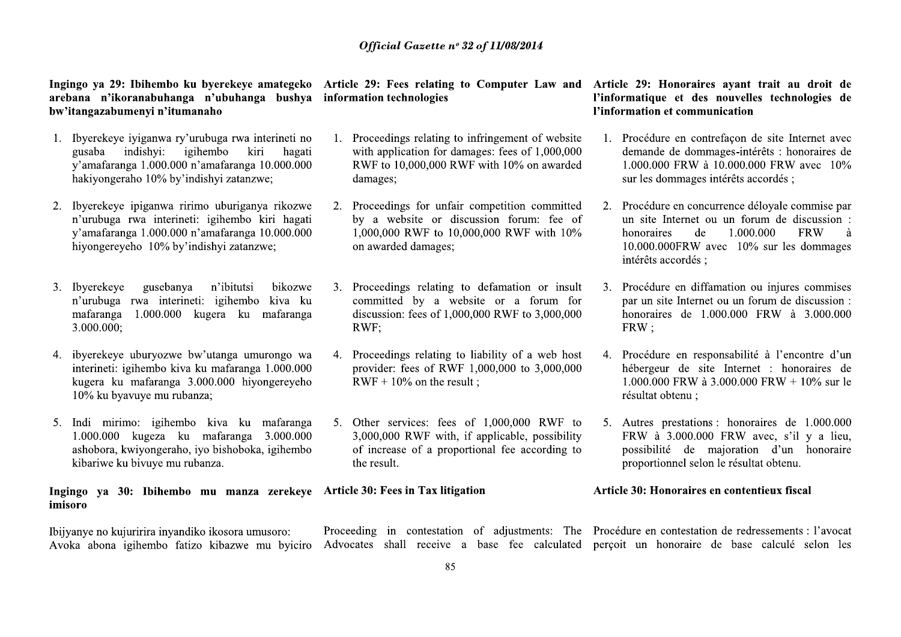- Official Gase<br> **Example 18 Amelonia** 19 Amelonia in the presence of the seedset<br> **Example 18 Amelonia in the properties**<br>
1. Hyerekeye iyiganwa ry'urubuga rwa interineti no<br>
1. Proceedings relation<br>
1. Hyerekeye iyiganwa r
- >?@ABCDEDFDCDGHCHIJKLJGECMNENBNIJGELJGHKODEHKDOHGKPG QRSTUT VWXVSYZV[ VQVY\]U^ \_V`V YTQTaV CMJbJcJEJKIJGdefffefffGKMJbJcJEJKIJGdfefffefffG gJFHCPKIDEJgPGdfhGBCMHKiHjgCHGkJOJKkLDl matik and n'ikoranabuhanga n'ubuhanga bushya information technolo bov'itangazabumenyi n'itunanabuhanga hubuhanga bushya information technolo bov'itangazabumenyi n'urununga rwa interineti no 1. Proceedings rel gusaba indish gusaba indishyi:<br>
y'amafaranga 1.000<br>
hakiyongeraho 10%<br>
2. Ibyerekeye ipiganw<br>
n'urubuga rwa int<br>
y'amafaranga 1.000<br>
hiyongereyeho 10%<br>
hiyongereyeho 10%<br>
3. Ibyerekeye guset<br>
n'urubuga rwa in<br>
mafaranga 1.000.(<br>
3.000.0 ramataranga 1.000.000 n'amafaranga 10.000.000 RWF to 10,000,<br>
hakiyongeraho 10% by'indishyi zatanzwe; damages;<br>
2. Ibyerekeye ipiganwa ririmo uburiganya rikozwe 2. Proceedings for<br>
n'urubuga rwa interineti: igihembo kiva k
	-
	-
- x<sup>2</sup>amafaranga 1.000.000 n'amafaranga 10.000.000 1,000,000 RWF<br>
hiyongereyeho 10% by'indishyi zatanzwe; on awarded dam<br>
3. Ibyerekeye gusebanya n'ibitutsi bikozwe 3. Proceedings rel<br>
n'urubuga rwa interineti: igihembo kiv ?@nWXV]V`V]^[VQVY\]U^\_VyT\_R]TuT`TWQT >?vvv?vvv\_RQ\qT\_R]TuT`TWQTr?vvv?vvv TSY^U^`T{\_pVZ^WQ\`TY^{VZ^UVSY^U^\_T{VQVY\]U^ \_VUT`Vp\\_RUVyRZ\]R`RUTWqT? interineti: igihembo kiva ku mafaranga 1.000.000 provider: fees o kugera ku mafaranga 3.000.000 hiyongereyeho RWF + 10% on 10% ku byavuye mu rubanza;<br>5. Indi mirimo: igihembo kiva ku mafaranga 5. Other services: 1.000.000 5. Indi mirimo: igihembo kiva ku mafaranga 5. Other services:<br>
1.000.000 kugeza ku mafaranga 3.000.000 3,000,000 RWF<br>
ashobora, kwiyongeraho, iyo bishoboka, igihembo of increase of a<br>
kibariwe ku bivuye mu rubanza.<br> **Ingin** a;<br>
kiva ku mafaranga 5. Other services: f<br>
mafaranga 3.000.000 3,000,000 RWF w<br>
bishoboka, igihembo of increase of a p<br>
the result.<br>
nu manza zerekeye Article 30: Fees in Tax<br>
ikosora umusoro: Proceeding in contesta<br>
kiba

Ingingo ya 30: Ibihemb<br>imisoro<br>Ibijyanye no kujuririra inyan<br>Avoka abona igihembo fa

- **Official Gazette n° 32 of 1**<br>
eye amategeko Article 29: Fees relating to Cor<br>
anga bushya information technologies<br>
va interineti no 1. Proceedings relating to infring<br>
kiri hagati with application for damages:<br>
no 10 00 **Official Gazette n° 32 of 11/**<br> **Compared Article 29: Fees relating to Compare bushy<br>
<b>Compare is a formation technologies**<br> **Compare is a formation technologies**<br> **Compare is a formation for demays:** for 0.000 0.000 RWF **Official Gazette nº 32 of 11/08/2014**<br> **ategeko** Article 29: Fees relating to Computer La<br>
bushya information technologies<br>
rineti no 1. Proceedings relating to infringement of v<br>
hagati with application for damages: fee *Official Gazette nº 32 of 11/08/2014*<br>
Article 29: Fees relating to Computer Law<br>
information technologies<br>
1. Proceedings relating to infringement of w<br>
with application for damages: fees of 1,00<br>
RWF to 10 000 000 RWF *Official Gazette nº 32 of 11/08/2014*<br>
Article 29: Fees relating to Computer Law and Article 29: 1<br>
information technologies<br>
l'information<br>
1. Proceedings relating to infringement of website<br>
1. Proceedings relating to Official Gazette n° 32 of 11/08/2014<br>
Superckeye amategeko Article 29: Fees relating to Computer Law and Article 29: Honorain<br>
n'ubuhanga bushya information technologies<br>
habo<br>
buga rwa interineti no<br>
l. Procedings relati **Official Gazetta**<br> **Official Gazetta**<br> **original of the CP:** Fees relation<br> **original of the CP:** Fees relation<br>
buga rwa interineti no<br>
buga rwa interineti no<br>
higher both in the proceedings relation<br>
mafaranga 10.000.0 >?@`^\\XVWQS`\TaVWQa^VWu`VWQ\]\Wa^up\USVa\ pVaYTooVTaV^Wu^`XT]TQ\S[u\\S^u>{vvv{vvv a^>v{vvv{vvvpVaY>vz^WTpT`X\X XT]TQ\Sw erekeye amategeko Article 29: Fees relating to Computer Law and Article 29: Honoraid computer differement of the computer different computer different computer different computer of the lot of the age of the control of th
	- kiri hagati with application for dam<br>
	anga 10.000.000 RWF to 10,000,000 RWI<br>
	itanzwe; damages;<br>
	riganya rikozwe 2. Proceedings for unfair<br>
	imbo kiri hagati by a website or discussion<br>
	atanzwe; 0.000,000 1,000,000 RWF to 10 refaranga 10.000.000 RWF to 10,000,000 RWF with 10% on awarded 1.000.000 FRW<br>
	sur les dommages;<br>
	uburiganya rikozwe and by a website or discussion forum: fee of unsite line<br>
	afaranga 10.000.000 pm avarded damages;<br>
	vi zata
		-
		-
- x?@`^\\XVWQS`\TaVWQa^VTUVVaZ^uTp\UY^Sa o`^yVX\`[u\\S^u>{vvv{vvva^r{vvv{vvv >vz^WaY\`\SRaw tutsi bikozwe 3. Proceedings relating to<br>
embo kiva ku<br>
ku mafaranga discussion: fees of 1,000<br>
RWF;<br>
a umurongo wa 4. Proceedings relating to<br>
ranga 1.000.000 provider: fees of RWF<br>
hiyongereyeho RWF + 10% on the resul<br>
k 2020 igihembo kiva ku committed by a website or a forum for par un site Inter discussion: fees of 1,000,000 RWF to 3,000,000 honoraries de<br>
2020 anorarization and the procedure of 1,000,000 and the procedure of the proced )\*%}~"%%\*\* kiva ku mafaranga 5. Other services: fees of 1,000,000 RWF to 5. Autres prestation<br>
mafaranga 3.000,000 3,000,000 RWF with, if applicable, possibility FRW à 3.000.<br>
obishoboka, igihembo of increase of a proportional fee ac

- of 11/08/2014<br>
Computer Law and Article 29: Honoraires ayant trait au droit de<br>
l'informatique et des nouvelles technologies de<br>
l'information et communication<br>
firingement of website<br>
1. Procédure en contrefaçon de site
- **Computer Law and Article 29: Honoraires ayant trait au droit de**<br> **Pinformatique et des nouvelles technologies de**<br> **Pinformatique et des nouvelles technologies de**<br> **Pinformation et communication**<br> **SEC**<br> **COVACTIVE EX Computer Law and Article 29: Honoraires ayant trait au droit de<br>
l'informatique et des nouvelles technologies de<br>
diffunce information et communication<br>
diffunce in contrelaçon de site Internet avec<br>
ges: fees of 1,000,0** rith 10% on awarded<br>
sur les dommages intérêts accordés ;<br>
appetition committed<br>
2. Procédure en concurrence déloyale commise par<br>
ion forum: fee of<br>
un site Internet ou un forum de discussion :<br>
10.000.000 FRW a<br>
10.000.
	-
	-
- 0,000 RWF with 10%<br>
10.000.000FRW avec 10% sur les dommages<br>
intérêts accordés ;<br>
defamation or insult<br>
3. Procédure en diffamation ou injures commises<br>
tie or a forum for<br>
par un site Internet ou un forum de discussion : 2000, The or a forum for par un site Internet ou un forum de discussion :<br>
2000,000 kWF to 3,000,000 kmV;<br>
4. Procédure en responsabilité à l'encontre d'un<br>
3.000,000 to 3,000,000 hébergeur de site Internet : honoraires de 00,000 to 3,000,000<br>  $\mu$  hébergeur de site Internet : honoraires de<br>
1.000.000 FRW à 3.000.000 FRW + 10% sur le<br>
résultat obtenu ;<br>
1,000,000 RWF to 5. Autres prestations : honoraires de 1.000.000<br>
applicable, possibility résultat obtenu ;<br>
1,000,000 RWF to 5. Autres prestations<br>
applicable, possibility FRW à 3.000.000<br>
onal fee according to possibilité de r<br>
proportionnel selor<br> **Article 30: Honoraires**<br>
of adjustments: The Procédure en co <sup>2</sup> 1,000,000 RWF to 5. Autres prestations : honoraires de 1.000.000 applicable, possibility FRW à 3.000.000 FRW avec, s'il y a lieu, possibilité de majoration d'un honoraire proportionnel selon le résultat obtenu.<br> **Arti**

ticle 30: Fees in Tax litigation<br>
oceeding in contestation of adjustments:<br>
vocates shall receive a base fee calcul<br>
85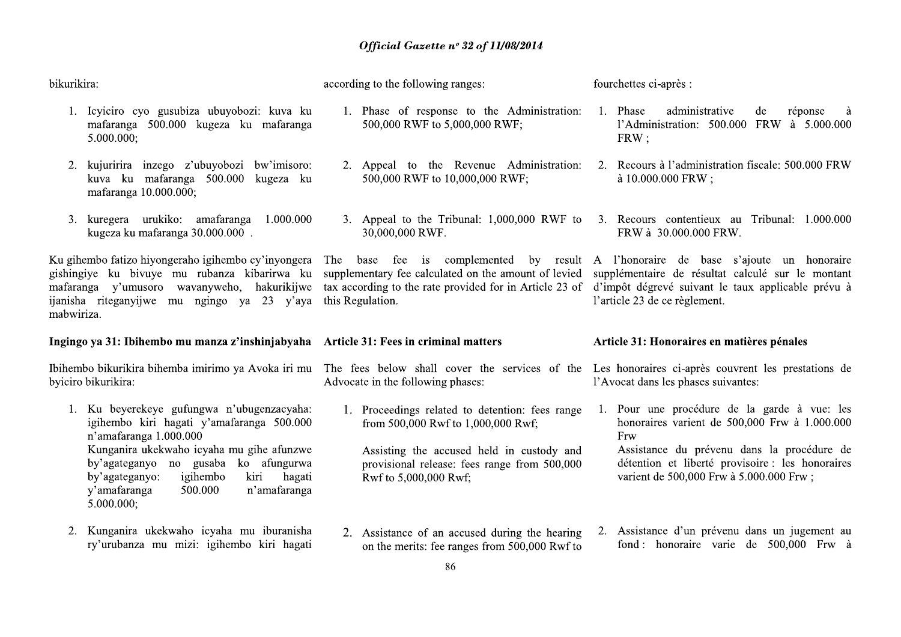according to the following ranges:

## bikurikira:

1. Icyiciro cyo gusubiza ubuyobozi: kuva ku mafaranga 500.000 kugeza ku mafaranga 5.000.000:

- 2. kujuririra inzego z'ubuvobozi bw'imisoro: kuva ku mafaranga 500.000 kugeza ku mafaranga 10.000.000;
- 3. kuregera urukiko: amafaranga 1.000.000 kugeza ku mafaranga 30.000.000.

Ku gihembo fatizo hiyongeraho igihembo cy'inyongera gishingiye ku biyuye mu rubanza kibarirwa ku mafaranga y'umusoro wayanyweho, hakurikijwe ijanisha riteganyijwe mu ngingo ya 23 y'aya mabwiriza.

## Ingingo ya 31: Ibihembo mu manza z'inshinjabyaha Article 31: Fees in criminal matters

Ibihembo bikurikira bihemba imirimo ya Avoka iri mu The fees below shall cover the services of the Les honoraires ci-après couvrent les prestations de byiciro bikurikira:

- 1. Ku beyerekeye gufungwa n'ubugenzacyaha: igihembo kiri hagati y'amafaranga 500.000 n'amafaranga 1.000.000 Kunganira ukekwaho icyaha mu gihe afunzwe by'agateganyo no gusaba ko afungurwa by'agateganyo: hagati igihembo kiri v'amafaranga 500.000 n'amafaranga  $5.000.000$ ;
- 2. Kunganira ukekwaho icyaha mu iburanisha ry'urubanza mu mizi: igihembo kiri hagati
- 1. Phase of response to the Administration: 1. Phase 500,000 RWF to 5,000,000 RWF:
- 500,000 RWF to 10,000,000 RWF:
- 3. Appeal to the Tribunal:  $1,000,000$  RWF to 30,000,000 RWF.

The base fee is complemented by result A l'honoraire de base s'ajoute un honoraire supplementary fee calculated on the amount of levied this Regulation.

Advocate in the following phases:

1. Proceedings related to detention: fees range from 500,000 Rwf to 1,000,000 Rwf;

Assisting the accused held in custody and provisional release: fees range from 500,000 Rwf to 5,000,000 Rwf;

- fourchettes ci-après :
	- administrative de réponse  $\lambda$ l'Administration: 500.000 FRW à 5.000.000  $FRW$ ;
- 2. Appeal to the Revenue Administration: 2. Recours à l'administration fiscale: 500.000 FRW à 10.000.000 FRW:
	- 3. Recours contentieux au Tribunal: 1.000.000 FRW à 30.000.000 FRW.

supplémentaire de résultat calculé sur le montant tax according to the rate provided for in Article 23 of d'impôt dégrevé suivant le taux applicable prévu à l'article 23 de ce règlement.

## Article 31: Honoraires en matières pénales

l'Avocat dans les phases suivantes:

1. Pour une procédure de la garde à vue: les honoraires varient de  $500,000$  Frw à  $1,000,000$ Frw

Assistance du prévenu dans la procédure de détention et liberté provisoire : les honoraires varient de 500,000 Frw à 5.000.000 Frw;

2. Assistance d'un prévenu dans un jugement au 2. Assistance of an accused during the hearing fond: honoraire varie de 500,000 Frw à on the merits: fee ranges from 500,000 Rwf to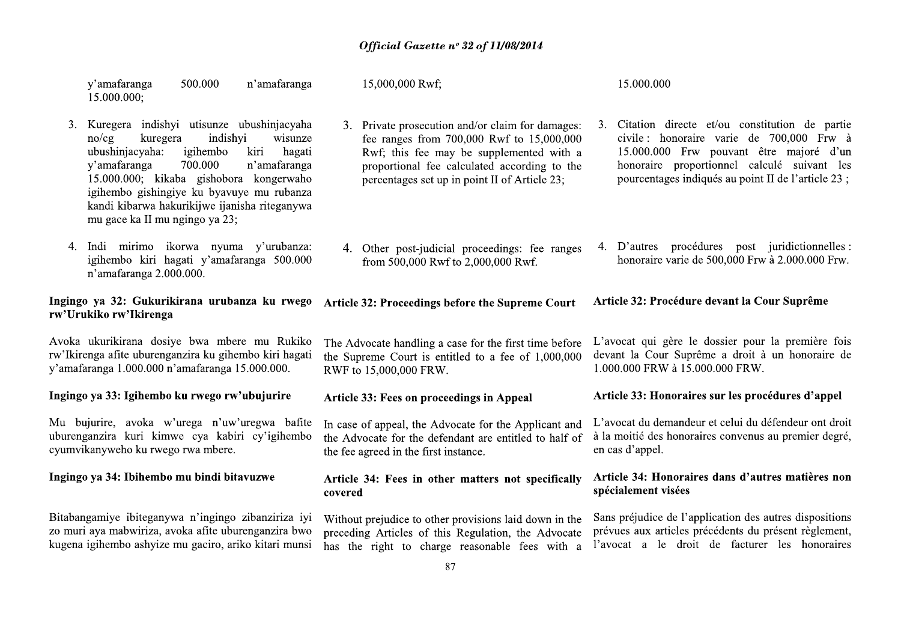|    | y'amafaranga<br>500.000<br>n'amafaranga<br>15.000.000;                                                                                                                                                                                                                                                                                                          | 15,000,000 Rwf;                                                                                                                                                                                                                            | 15.000.000                                                                                                                                                                                                                                       |
|----|-----------------------------------------------------------------------------------------------------------------------------------------------------------------------------------------------------------------------------------------------------------------------------------------------------------------------------------------------------------------|--------------------------------------------------------------------------------------------------------------------------------------------------------------------------------------------------------------------------------------------|--------------------------------------------------------------------------------------------------------------------------------------------------------------------------------------------------------------------------------------------------|
|    | 3. Kuregera indishyi utisunze ubushinjacyaha<br>indishyi<br>wisunze<br>no/cg<br>kuregera<br>ubushinjacyaha:<br>igihembo<br>kiri<br>hagati<br>y'amafaranga<br>700.000<br>n'amafaranga<br>15.000.000; kikaba gishobora kongerwaho<br>igihembo gishingiye ku byavuye mu rubanza<br>kandi kibarwa hakurikijwe ijanisha riteganywa<br>mu gace ka II mu ngingo ya 23; | 3. Private prosecution and/or claim for damages:<br>fee ranges from 700,000 Rwf to 15,000,000<br>Rwf; this fee may be supplemented with a<br>proportional fee calculated according to the<br>percentages set up in point II of Article 23; | Citation directe et/ou constitution de partie<br>3.<br>civile: honoraire varie de 700,000 Frw à<br>15.000.000 Frw pouvant être majoré d'un<br>honoraire proportionnel calculé suivant les<br>pourcentages indiqués au point II de l'article 23 ; |
| 4. | Indi mirimo ikorwa nyuma y'urubanza:<br>igihembo kiri hagati y'amafaranga 500.000<br>n'amafaranga 2.000.000.                                                                                                                                                                                                                                                    | 4. Other post-judicial proceedings: fee ranges<br>from 500,000 Rwf to 2,000,000 Rwf.                                                                                                                                                       | 4. D'autres procédures post juridictionnelles :<br>honoraire varie de 500,000 Frw à 2.000.000 Frw.                                                                                                                                               |
|    | Ingingo ya 32: Gukurikirana urubanza ku rwego<br>rw'Urukiko rw'Ikirenga                                                                                                                                                                                                                                                                                         | Article 32: Proceedings before the Supreme Court                                                                                                                                                                                           | Article 32: Procédure devant la Cour Suprême                                                                                                                                                                                                     |
|    | Avoka ukurikirana dosiye bwa mbere mu Rukiko<br>rw'Ikirenga afite uburenganzira ku gihembo kiri hagati<br>y'amafaranga 1.000.000 n'amafaranga 15.000.000.                                                                                                                                                                                                       | The Advocate handling a case for the first time before<br>the Supreme Court is entitled to a fee of 1,000,000<br>RWF to 15,000,000 FRW.                                                                                                    | L'avocat qui gère le dossier pour la première fois<br>devant la Cour Suprême a droit à un honoraire de<br>1.000.000 FRW à 15.000.000 FRW.                                                                                                        |
|    | Ingingo ya 33: Igihembo ku rwego rw'ubujurire                                                                                                                                                                                                                                                                                                                   | <b>Article 33: Fees on proceedings in Appeal</b>                                                                                                                                                                                           | Article 33: Honoraires sur les procédures d'appel                                                                                                                                                                                                |
|    | Mu bujurire, avoka w'urega n'uw'uregwa bafite<br>uburenganzira kuri kimwe cya kabiri cy'igihembo<br>cyumvikanyweho ku rwego rwa mbere.                                                                                                                                                                                                                          | In case of appeal, the Advocate for the Applicant and<br>the Advocate for the defendant are entitled to half of<br>the fee agreed in the first instance.                                                                                   | L'avocat du demandeur et celui du défendeur ont droit<br>à la moitié des honoraires convenus au premier degré,<br>en cas d'appel.                                                                                                                |
|    | Ingingo ya 34: Ibihembo mu bindi bitavuzwe                                                                                                                                                                                                                                                                                                                      | Article 34: Fees in other matters not specifically<br>covered                                                                                                                                                                              | Article 34: Honoraires dans d'autres matières non<br>spécialement visées                                                                                                                                                                         |
|    | Bitabangamiye ibiteganywa n'ingingo zibanziriza iyi<br>zo muri aya mabwiriza, avoka afite uburenganzira bwo<br>kugena igihembo ashyize mu gaciro, ariko kitari munsi                                                                                                                                                                                            | Without prejudice to other provisions laid down in the<br>preceding Articles of this Regulation, the Advocate<br>has the right to charge reasonable fees with a                                                                            | Sans préjudice de l'application des autres dispositions<br>prévues aux articles précédents du présent règlement,<br>l'avocat a le droit de facturer les honoraires                                                                               |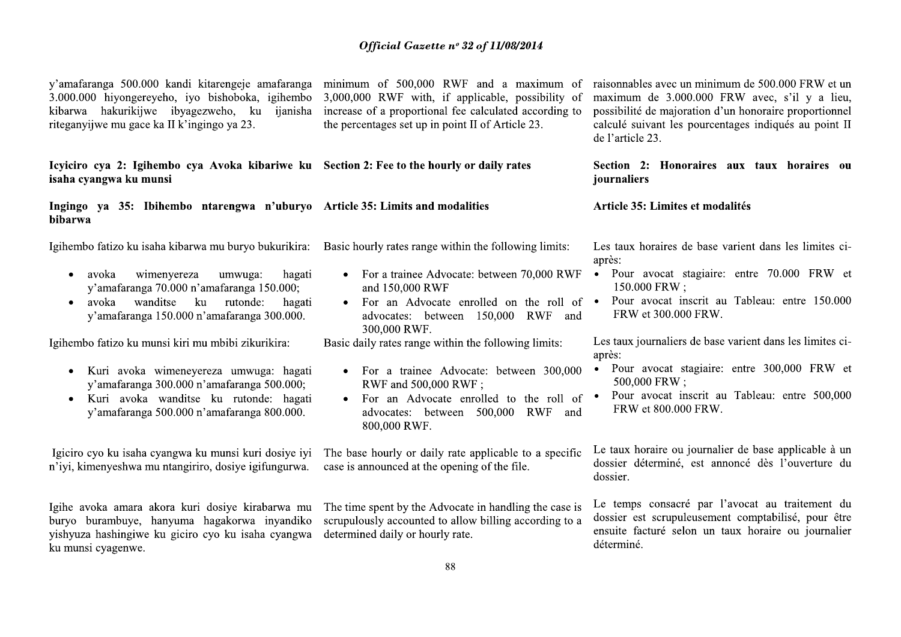| y'amafaranga 500.000 kandi kitarengeje amafaranga<br>3.000.000 hiyongereyeho, iyo bishoboka, igihembo<br>hakurikijwe ibyagezweho, ku ijanisha<br>kibarwa<br>riteganyijwe mu gace ka II k'ingingo ya 23.                                               | minimum of 500,000 RWF and a maximum of<br>3,000,000 RWF with, if applicable, possibility of<br>increase of a proportional fee calculated according to<br>the percentages set up in point II of Article 23.                                     | raisonnables avec un minimum de 500.000 FRW et un<br>maximum de 3.000.000 FRW avec, s'il y a lieu,<br>possibilité de majoration d'un honoraire proportionnel<br>calculé suivant les pourcentages indiqués au point II<br>de l'article 23. |
|-------------------------------------------------------------------------------------------------------------------------------------------------------------------------------------------------------------------------------------------------------|-------------------------------------------------------------------------------------------------------------------------------------------------------------------------------------------------------------------------------------------------|-------------------------------------------------------------------------------------------------------------------------------------------------------------------------------------------------------------------------------------------|
| Icyliciro cya 2: Igihembo cya Avoka kibariwe ku Section 2: Fee to the hourly or daily rates<br>isaha cyangwa ku munsi                                                                                                                                 |                                                                                                                                                                                                                                                 | Section 2: Honoraires aux taux horaires ou<br>journaliers                                                                                                                                                                                 |
| Ingingo ya 35: Ibihembo ntarengwa n'uburyo Article 35: Limits and modalities<br><b>bibarwa</b>                                                                                                                                                        |                                                                                                                                                                                                                                                 | Article 35: Limites et modalités                                                                                                                                                                                                          |
| Igihembo fatizo ku isaha kibarwa mu buryo bukurikira:<br>wimenyereza<br>umwuga:<br>hagati<br>avoka<br>y'amafaranga 70.000 n'amafaranga 150.000;<br>avoka wanditse<br>ku rutonde:<br>hagati<br>$\bullet$<br>y'amafaranga 150.000 n'amafaranga 300.000. | Basic hourly rates range within the following limits:<br>• For a trainee Advocate: between 70,000 RWF<br>and 150,000 RWF<br>For an Advocate enrolled on the roll of •<br>$\bullet$<br>advocates: between 150,000 RWF<br>and<br>300,000 RWF.     | Les taux horaires de base varient dans les limites ci-<br>après:<br>Pour avocat stagiaire: entre 70.000 FRW et<br>$\bullet$<br>$150.000$ FRW :<br>Pour avocat inscrit au Tableau: entre 150.000<br>FRW et 300.000 FRW.                    |
| Igihembo fatizo ku munsi kiri mu mbibi zikurikira:<br>Kuri avoka wimeneyereza umwuga: hagati<br>y'amafaranga 300.000 n'amafaranga 500.000;<br>Kuri avoka wanditse ku rutonde: hagati<br>$\bullet$<br>y'amafaranga 500.000 n'amafaranga 800.000.       | Basic daily rates range within the following limits:<br>• For a trainee Advocate: between 300,000<br>RWF and 500,000 RWF;<br>For an Advocate enrolled to the roll of •<br>$\bullet$<br>advocates: between 500,000<br>RWF<br>and<br>800,000 RWF. | Les taux journaliers de base varient dans les limites ci-<br>après:<br>Pour avocat stagiaire: entre 300,000 FRW et<br>$\bullet$<br>500,000 FRW;<br>Pour avocat inscrit au Tableau: entre 500,000<br>FRW et 800.000 FRW.                   |

Igiciro cyo ku isaha cyangwa ku munsi kuri dosiye iyi n'iyi, kimenyeshwa mu ntangiriro, dosiye igifungurwa.

Igihe avoka amara akora kuri dosiye kirabarwa mu buryo burambuye, hanyuma hagakorwa inyandiko yishyuza hashingiwe ku giciro cyo ku isaha cyangwa ku munsi cyagenwe.

The base hourly or daily rate applicable to a specific case is announced at the opening of the file.

The time spent by the Advocate in handling the case is scrupulously accounted to allow billing according to a determined daily or hourly rate.

Le taux horaire ou journalier de base applicable à un dossier déterminé, est annoncé dès l'ouverture du dossier.

Le temps consacré par l'avocat au traitement du dossier est scrupuleusement comptabilisé, pour être ensuite facturé selon un taux horaire ou journalier déterminé.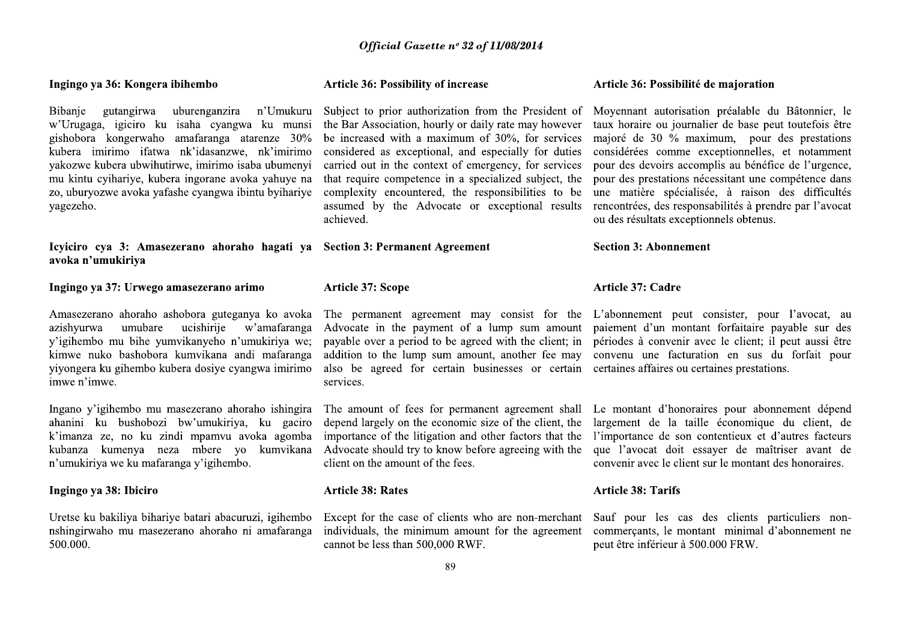## Ingingo ya 36: Kongera ibihembo

Bibanje gutangirwa uburenganzira n'Umukuru w'Urugaga, igiciro ku isaha cyangwa ku munsi gishobora kongerwaho amafaranga atarenze 30% kubera imirimo ifatwa nk'idasanzwe, nk'imirimo vakozwe kubera ubwihutirwe, imirimo isaba ubumenyi mu kintu cyihariye, kubera ingorane avoka yahuye na zo, uburyozwe avoka yafashe cyangwa ibintu byihariye vagezeho.

Icviciro cya 3: Amasezerano ahoraho hagati ya Section 3: Permanent Agreement avoka n'umukiriya

## Ingingo ya 37: Urwego amasezerano arimo

Amasezerano ahoraho ashobora guteganya ko avoka ucishirije azishvurwa umubare w'amafaranga y'igihembo mu bihe yumvikanyeho n'umukiriya we; kimwe nuko bashobora kumvikana andi mafaranga yiyongera ku gihembo kubera dosiye cyangwa imirimo imwe n'imwe.

Ingano y'igihembo mu masezerano ahoraho ishingira ahanini ku bushobozi bw'umukiriya, ku gaciro k'imanza ze, no ku zindi mpamvu avoka agomba kubanza kumenya neza mbere yo kumvikana n'umukiriya we ku mafaranga y'igihembo.

## Ingingo ya 38: Ibiciro

Uretse ku bakiliya bihariye batari abacuruzi, igihembo nshingirwaho mu masezerano ahoraho ni amafaranga 500.000.

## **Article 36: Possibility of increase**

Subject to prior authorization from the President of Moyennant autorisation préalable du Bâtonnier, le considered as exceptional, and especially for duties carried out in the context of emergency, for services that require competence in a specialized subject, the assumed by the Advocate or exceptional results achieved.

**Article 37: Scope** 

addition to the lump sum amount, another fee may also be agreed for certain businesses or certain certaines affaires ou certaines prestations. services.

The amount of fees for permanent agreement shall depend largely on the economic size of the client, the importance of the litigation and other factors that the Advocate should try to know before agreeing with the client on the amount of the fees.

## **Article 38: Rates**

Except for the case of clients who are non-merchant individuals, the minimum amount for the agreement cannot be less than 500,000 RWF.

## Article 36: Possibilité de majoration

the Bar Association, hourly or daily rate may however taux horaire ou journalier de base peut toutefois être be increased with a maximum of 30%, for services maioré de 30 % maximum, pour des prestations considérées comme exceptionnelles, et notamment pour des devoirs accomplis au bénéfice de l'urgence. pour des prestations nécessitant une compétence dans complexity encountered, the responsibilities to be une matière spécialisée, à raison des difficultés rencontrées, des responsabilités à prendre par l'avocat ou des résultats exceptionnels obtenus.

## **Section 3: Abonnement**

## Article 37: Cadre

The permanent agreement may consist for the L'abonnement peut consister, pour l'avocat, au Advocate in the payment of a lump sum amount paiement d'un montant forfaitaire payable sur des payable over a period to be agreed with the client; in périodes à convenir avec le client; il peut aussi être convenu une facturation en sus du forfait pour

> Le montant d'honoraires pour abonnement dépend largement de la taille économique du client, de l'importance de son contentieux et d'autres facteurs que l'avocat doit essaver de maîtriser avant de convenir avec le client sur le montant des honoraires.

## **Article 38: Tarifs**

Sauf pour les cas des clients particuliers noncommercants, le montant minimal d'abonnement ne peut être inférieur à 500.000 FRW.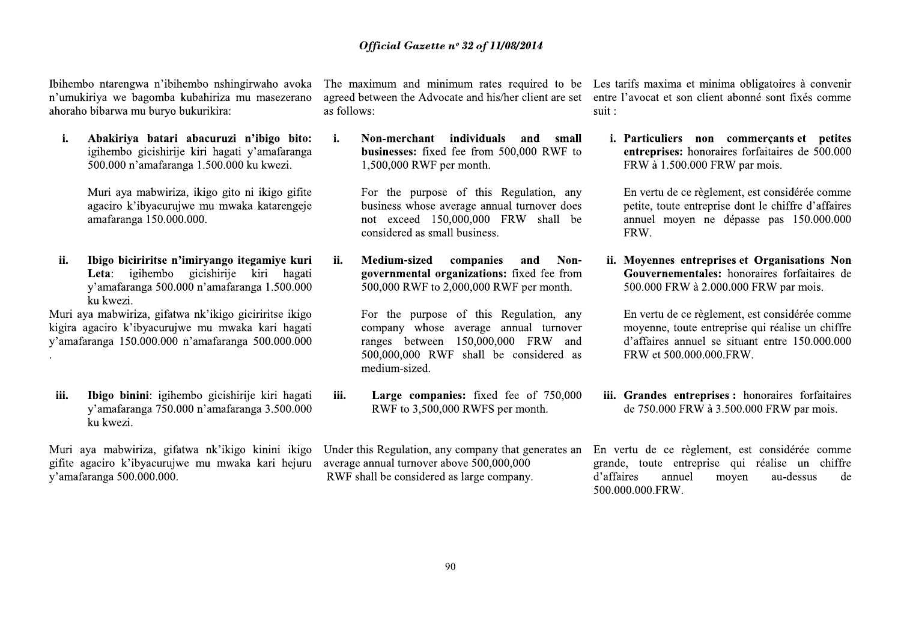Ibihembo ntarengwa n'ibihembo nshingirwaho avoka n'umukiriya we bagomba kubahiriza mu masezerano ahoraho bibarwa mu buryo bukurikira:

 $\mathbf{i}$ . Abakiriya batari abacuruzi n'ibigo bito: igihembo gicishirije kiri hagati y'amafaranga 500.000 n'amafaranga 1.500.000 ku kwezi.

> Muri aya mabwiriza, ikigo gito ni ikigo gifite agaciro k'ibyacurujwe mu mwaka katarengeje amafaranga 150.000.000.

Ibigo biciriritse n'imiryango itegamiye kuri ii. Leta: igihembo gicishirije kiri hagati y'amafaranga 500.000 n'amafaranga 1.500.000 ku kwezi.

Muri aya mabwiriza, gifatwa nk'ikigo giciriritse ikigo kigira agaciro k'ibyacurujwe mu mwaka kari hagati y'amafaranga 150.000.000 n'amafaranga 500.000.000

Ibigo binini: igihembo gicishirije kiri hagati iii. y'amafaranga 750.000 n'amafaranga 3.500.000 ku kwezi.

Muri aya mabwiriza, gifatwa nk'ikigo kinini ikigo gifite agaciro k'ibyacuruiwe mu mwaka kari hejuru y'amafaranga 500.000.000.

as follows:

 $\mathbf{i}$ . Non-merchant individuals small and businesses: fixed fee from 500,000 RWF to 1,500,000 RWF per month.

> For the purpose of this Regulation, any business whose average annual turnover does not exceed 150,000,000 FRW shall be considered as small business.

companies ii. Medium-sized and Nongovernmental organizations: fixed fee from 500,000 RWF to 2,000,000 RWF per month.

> For the purpose of this Regulation, any company whose average annual turnover ranges between 150,000,000 FRW and 500,000,000 RWF shall be considered as medium-sized.

iii. Large companies: fixed fee of 750,000 RWF to 3,500,000 RWFS per month.

average annual turnover above 500,000,000 RWF shall be considered as large company.

The maximum and minimum rates required to be Les tarifs maxima et minima obligatoires à convenir agreed between the Advocate and his/her client are set entre l'avocat et son client abonné sont fixés comme suit:

> *i.* Particuliers non commercants et petites entreprises: honoraires forfaitaires de 500.000 FRW à 1.500.000 FRW par mois.

En vertu de ce règlement, est considérée comme petite, toute entreprise dont le chiffre d'affaires annuel moyen ne dépasse pas 150.000.000 FRW.

ii. Movennes entreprises et Organisations Non Gouvernementales: honoraires forfaitaires de 500.000 FRW à 2.000.000 FRW par mois.

En vertu de ce règlement, est considérée comme moyenne, toute entreprise qui réalise un chiffre d'affaires annuel se situant entre 150.000.000 FRW et 500.000.000.FRW.

iii. Grandes entreprises : honoraires forfaitaires de 750.000 FRW à 3.500.000 FRW par mois.

Under this Regulation, any company that generates an En vertu de ce règlement, est considérée comme grande, toute entreprise qui réalise un chiffre d'affaires moyen au-dessus annuel de 500.000.000.FRW.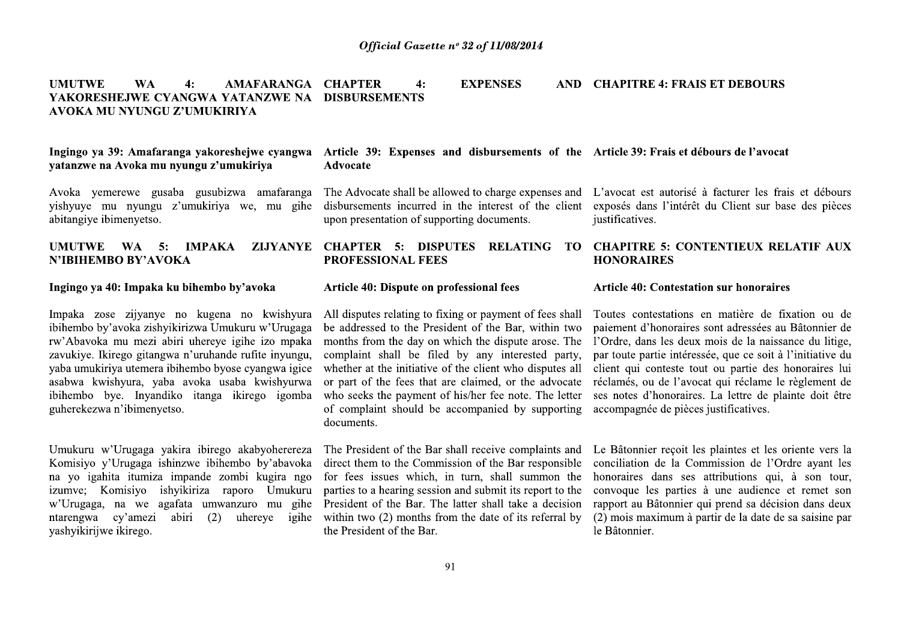**Official Gazette nº 32 of 1**<br> **AFARANGA CHAPTER 4: EXPEI<br>
FANZWE NA DISBURSEMENTS<br>
YA<br>
ejwe cyangwa Article 39: Expenses and disbu<br>
kiriva Advocate** Official Gazette nº 32 of 11/<br>
ARANGA CHAPTER 4: EXPENS<br>
ZWE NA DISBURSEMENTS<br>
2. expangwa Article 39: Expenses and disburs<br>
Advocate Official Gazette nº 32 of 11/08/2014<br>
RANGA CHAPTER 4: EXPENSES<br>
WE NA DISBURSEMENTS<br>
expenses and disbursements<br>
Advocate Official Gase<br>
UMUTWE WA 4: AMAFARANGA CHAPTER 4:<br>
YAKORESHEJWE CYANGWA YATANZWE NA DISBURSEMENTS<br>
AVOKA MU NYUNGU Z'UMUKIRIYA<br>
Ingingo ya 39: Amafaranga yakoreshejwe cyangwa Article 39: Expense<br>
yatanzwe na Avoka mu nyung UMUTWE WA<br>YAKORESHEJWE CY<br>AVOKA MU NYUNGU<br>Ingingo ya 39: Amafar<br>yatanzwe na Avoka mu<br>Avoka yemerewe gus<br>yishyuye mu nyungu<br>abitangiye ibimenyetso. Official Gaze<br>
UMUTWE WA 4: AMAFARANGA CHAPTER 4:<br>
YAKORESHEJWE CYANGWA YATANZWE NA DISBURSEMENTS<br>
AVOKA MU NYUNGU Z'UMUKIRIYA<br>
Ingingo ya 39: Amafaranga yakoreshejwe cyangwa Article 39: Expense<br>
yatanzwe na Avoka mu nyung UMUTWE WA 4: AMAFARANGA CHAPTER 4:<br>
YAKORESHEJWE CYANGWA YATANZWE NA DISBURSEMENTS<br>
AVOKA MU NYUNGU Z'UMUKIRIYA<br>
Ingingo ya 39: Amafaranga yakoreshejwe eyangwa Article 39: Expense<br>
yatanzwe na Avoka mu nyungu z'umukiriya M Official Gazett<br> **AMAFARANGA CHAPTER** 4:<br>
A YATANZWE NA DISBURSEMENTS<br>
UKIRIYA<br>
koreshejwe cyangwa Article 39: Expenses<br>
12'umukiriya Advocate<br>
13'umukiriya amafaranga The Advocate shall be al<br>
subizwa amafaranga The Advoc Official Gazett<br>
AMAFARANGA CHAPTER 4:<br>
VA YATANZWE NA DISBURSEMENTS<br>
UKIRIYA<br>
koreshejwe cyangwa Article 39: Expenses<br>
12'umukiriya Advocate<br>
subizwa amafaranga The Advocate shall be al<br>
subizwa amafaranga The Advocate sh

Ingingo ya 39: Amafaranga yakoreshejwe cyangwa Article 39: Expense<br>
yatanzwe na Avoka mu nyungu z'umukiriya Advocate<br>
Avoka yemerewe gusaba gusubizwa amafaranga The Advocate shall be<br>
yishyuye mu nyungu z'umukiriya we, mu xatanzwe na Avoka mu nyungu z'umukiriya Advocate<br>
Avoka yemerewe gusaba gusubizwa amafaranga The Advocate<br>
yishyuye mu nyungu z'umukiriya we, mu gihe disbursements<br>
abitangiye ibimenyetso. upon presentat<br>
UMUTWE WA 5: IMPA Avoka yemerewe gusaba gusubizwa amafaranga The Advocate shall be<br>
yishyuye mu nyungu z'umukiriya we, mu gihe dishursements incurrer<br>
abitangiye ibimenyetso.<br> **UMUTWE WA 5:** IMPAKA ZIJYANYE CHAPTER 5: DI<br>
N'IBIHEMBO BY'AVOK ibihembo by'avoka zishyikirizwa Umukuru w'Urugaga be addressed to the P<br>rw'Abavoka mu mezi abiri uhereye igihe izo mpaka months from the day<br>zavukiye. Ikirego gitangwa n'uruhande rufite inyungu, complaint shall be 1<br>yaba u

na yo iganita itumiza im<br>izumve; Komisiyo ishyi<br>w'Urugaga, na we agafa<br>ntarengwa cy'amezi ab:<br>yashyikirijwe ikirego. Umukuru w'Urugaga y<br>Komisiyo y'Urugaga is<br>na yo igahita itumiza<br>izumve; Komisiyo is<br>w'Urugaga, na we ag<br>ntarengwa cy'amezi<br>yashyikirijwe ikirego.

Official Gazette nº 32 of 11/08/2014<br>
CHAPTER 4: EXPENSES<br>
DISBURSEMENTS<br>
Article 39: Expenses and disbursements of Advocate Official Gazette nº 32 of 11/08/2014<br>
CHAPTER 4: EXPENSES AND CHAPITRE<br>
DISBURSEMENTS<br>
Article 39: Expenses and disbursements of the Article 39: Fr<br>
Advocate **Official Gazette n° 32 of 11/08/2014**<br> **AMAFARANGA CHAPTER** 4: **EXPENSES** AND CHAPITRE 4: FRAI<br> **AVATANZWE NA DISBURSEMENTS**<br> **EXPENSES** AND CHAPITRE 4: FRAI<br> **CKIRIYA**<br> **EXPENSES** AND CHAPITRE 4: FRAI<br> **EXPENSES** AND CH of 11/08/2014<br> **AND** CHAPITRE 4: FRAIS ET DEBOURS<br> **AND** CHAPITRE 4: FRAIS ET DEBOURS<br> **AND** CHAPITRE 4: FRAIS ET DEBOURS<br> **AND** is the about the state of the conduct of the conduct of the conduct of the conduct of the co of 11/08/2014<br>
(PENSES AND CHAPITRE 4: FRAIS)<br>
isbursements of the Article 39: Frais et débe<br>
co charge expenses and L'avocat est autorisé à<br>
interest of the client exposés dans l'intérêt d of 11/08/2014<br>
(PENSES AND CHAPITRE 4: FRAIS)<br>
isbursements of the Article 39: Frais et débe<br>
co charge expenses and L'avocat est autorisé à<br>
interest of the client exposés dans l'intérêt d<br>
documents. justificatives. of 11/08/2014<br>
(PENSES AND CHAPITRE 4: FRAIS)<br>
isbursements of the Article 39: Frais et débe<br>
co charge expenses and L'avocat est autorisé à<br>
interest of the client exposés dans l'intérêt d<br>
documents. DELATING TO CHAPITPE TRAIS<br>
SERVIERS AND CHAPITRE 4: FRAIS<br>
SUBDUREMENTS OF A Article 39: Frais et débe<br>
co charge expenses and L'avocat est autorisé à<br>
interest of the client exposés dans l'intérêt d<br>
documents.<br>
RELATING TO CHAPITRE 5: CONTI

Official Gazette n° 32 of 11/08/2014<br>
A VATANZWE NA DISBURSEMENTS<br>
UKIRIYA<br>
UKIRIYA<br>
Koreshcjwe cyangwa Article 39: Expenses and disbursements of the Article 39: Frais et de<br>
12 Tumukiriya<br>
Advocate shall be allowed to cha

Accelerive Cyangwa Article 39: Expenses and disbursements of the Article 39: Frais et de <br>
12 Tarumulting a Advocate Shall be allowed to charge expenses and L'avocat est autorisé<br>
subizwa amafaranga The Advocate shall be a **EXECUTE THE SET AND THE SET AND THE SET AND THE SURVEY CHAPTER SET AND THE SET AND THE SET AND THE SET AND THE SET AND THE SET AND THE SET AND THE SET AND THE SURVEY CHAPTER SET AND THE PROFESSIONAL FEES AND NOR THE SURVE** subiziva amafaranga The Advocate shall be allowed to charge expenses and L'avocat est autorisé<br>
ireiny we, mu gihe dishursements incured in the interest of the client exposés dans l'intérêt<br>
upon presentation of supporting

Ect them to the Commission of the Bar respons<br>fees issues which, in turn, shall summon<br>ties to a hearing session and submit its report to<br>sident of the Bar. The latter shall take a deci<br>hin two (2) months from the date of virego akabyoherereza The President of the Bar<br>ibihembo by'abavoka direct them to the Comm<br>e zombi kugira ngo for fees issues which,<br>a raporo Umukuru parties to a hearing sessic<br>imwanzuro mu gihe President of the Bar. Th<br>(

of 11/08/2014<br>
IPENSES AND CHAPITRE 4: FRAIS ET DEBOURS<br>
isbursements of the Article 39: Frais et débours de l'avocat<br>
o charge expenses and L'avocat est autorisé à facturer les frais et débours<br>
interest of the client exp **EXERCU AND CHAPITRE 4: FRAIS ET DEBOURS**<br> **Subursements of the Article 39: Frais et débours de l'avocat**<br>
o charge expenses and L'avocat est autorisé à facturer les frais et débours<br>
interest of the client exposés dans l'

**isbursements of the Article 39: Frais et débours de l'avocat<br>
o charge expenses and L'avocat est autorisé à facturer les frais et débours<br>
interest of the client exposés dans l'intérêt du Client sur base des pièces<br>
docu** o charge expenses and L'avocat est autorisé à facturer les frais et débours<br>interest of the client exposés dans l'intérêt du Client sur base des pièces<br>documents. justificatives.<br>**RELATING TO CHAPITRE 5: CONTENTIEUX RELATI** o charge expenses and L'avocat est autorisé à facturer les frais et débours<br>interest of the client exposés dans l'intérêt du Client sur base des pièces<br>documents.<br>**RELATING TO CHAPITRE 5: CONTENTIEUX RELATIF AUX**<br>**HONORAIR** payment of fees shall Toutes contestations en the Bar, within two paiement d'honoraires son e dispute arose. The l'Ordre, dans les deux moy interested party, par toute partie intéressée, ient who disputes all client qui co of the Bar, within two paiement d'honoraires sont adressées au Bâtonnier de<br>the dispute arose. The l'Ordre, dans less deux mois de la naissance du litige,<br>any interested party, par toute partie intéressée, que ce soit à l'

eceive complaints and Le Bâtonnier reçoit les joint de la Commentaine de la Commentaine de la Commentaine de la Commentation de la Commentation de la Commentation de la Commentation de la Convoque les parties à le shall ta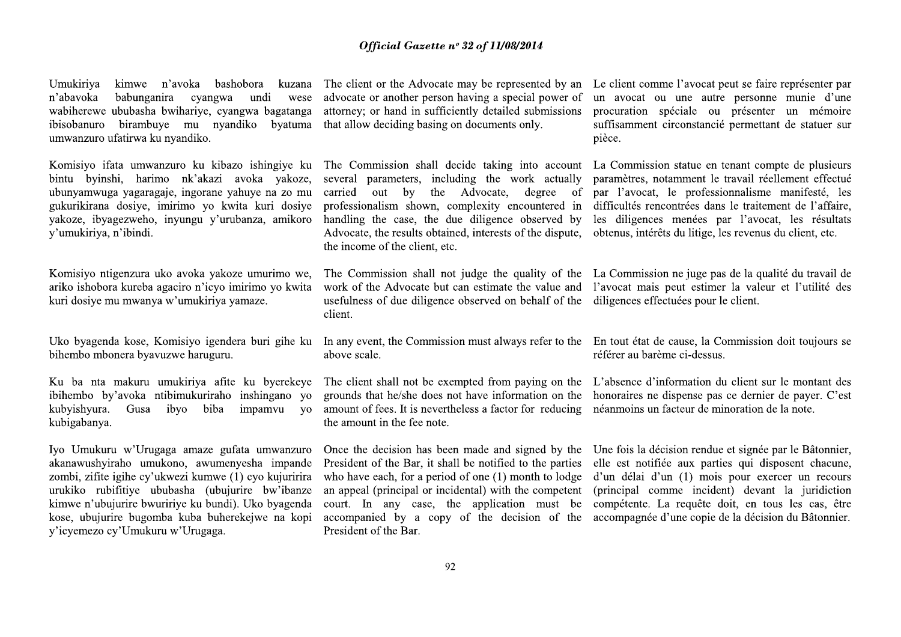Umukiriya kimwe n'avoka bashobora kuzana n'abavoka babunganira cyangwa undi wese wabiherewe ububasha bwihariye, cyangwa bagatanga ibisobanuro birambuye mu nyandiko bvatuma umwanzuro ufatirwa ku nyandiko.

Komisiyo ifata umwanzuro ku kibazo ishingiye ku bintu byinshi, harimo nk'akazi avoka vakoze, ubunyamwuga yagaragaje, ingorane yahuye na zo mu gukurikirana dosiye, imirimo yo kwita kuri dosiye yakoze, ibyagezweho, inyungu y'urubanza, amikoro y'umukiriya, n'ibindi.

Komisiyo ntigenzura uko avoka yakoze umurimo we, ariko ishobora kureba agaciro n'icyo imirimo yo kwita kuri dosiye mu mwanya w'umukiriya yamaze.

Uko byagenda kose, Komisiyo igendera buri gihe ku bihembo mbonera byavuzwe haruguru.

Ku ba nta makuru umukiriya afite ku byerekeye ibihembo by'avoka ntibimukuriraho inshingano yo kubyishyura. Gusa ibyo biba impamvu  $VQ$ kubigabanya.

Iyo Umukuru w'Urugaga amaze gufata umwanzuro akanawushyiraho umukono, awumenyesha impande zombi, zifite igihe cy'ukwezi kumwe (1) cyo kujuririra urukiko rubifitive ububasha (ubujurire bw'ibanze kimwe n'ubujurire bwuririye ku bundi). Uko byagenda kose, ubujurire bugomba kuba buherekejwe na kopi y'icyemezo cy'Umukuru w'Urugaga.

advocate or another person having a special power of attorney; or hand in sufficiently detailed submissions that allow deciding basing on documents only.

several parameters, including the work actually carried out by the Advocate, degree of professionalism shown, complexity encountered in handling the case, the due diligence observed by Advocate, the results obtained, interests of the dispute. the income of the client, etc.

The Commission shall not judge the quality of the La Commission ne juge pas de la qualité du travail de work of the Advocate but can estimate the value and l'avocat mais peut estimer la valeur et l'utilité des usefulness of due diligence observed on behalf of the diligences effectuées pour le client. client.

In any event, the Commission must always refer to the En tout état de cause, la Commission doit toujours se above scale.

grounds that he/she does not have information on the honoraires ne dispense pas ce dernier de payer. C'est amount of fees. It is nevertheless a factor for reducing néanmoins un facteur de minoration de la note. the amount in the fee note.

President of the Bar, it shall be notified to the parties elle est notifiée aux parties qui disposent chacune, who have each, for a period of one (1) month to lodge d'un délai d'un (1) mois pour exercer un recours an appeal (principal or incidental) with the competent court. In any case, the application must be accompanied by a copy of the decision of the accompagnée d'une copie de la décision du Bâtonnier. President of the Bar.

The client or the Advocate may be represented by an Le client comme l'avocat peut se faire représenter par un avocat ou une autre personne munie d'une procuration spéciale ou présenter un mémoire suffisamment circonstancié permettant de statuer sur pièce.

The Commission shall decide taking into account La Commission statue en tenant compte de plusieurs paramètres, notamment le travail réellement effectué par l'avocat, le professionnalisme manifesté, les difficultés rencontrées dans le traitement de l'affaire, les diligences menées par l'avocat, les résultats obtenus, intérêts du litige, les revenus du client, etc.

référer au barème ci-dessus.

The client shall not be exempted from paying on the L'absence d'information du client sur le montant des

Once the decision has been made and signed by the Une fois la décision rendue et signée par le Bâtonnier, (principal comme incident) devant la juridiction compétente. La requête doit, en tous les cas, être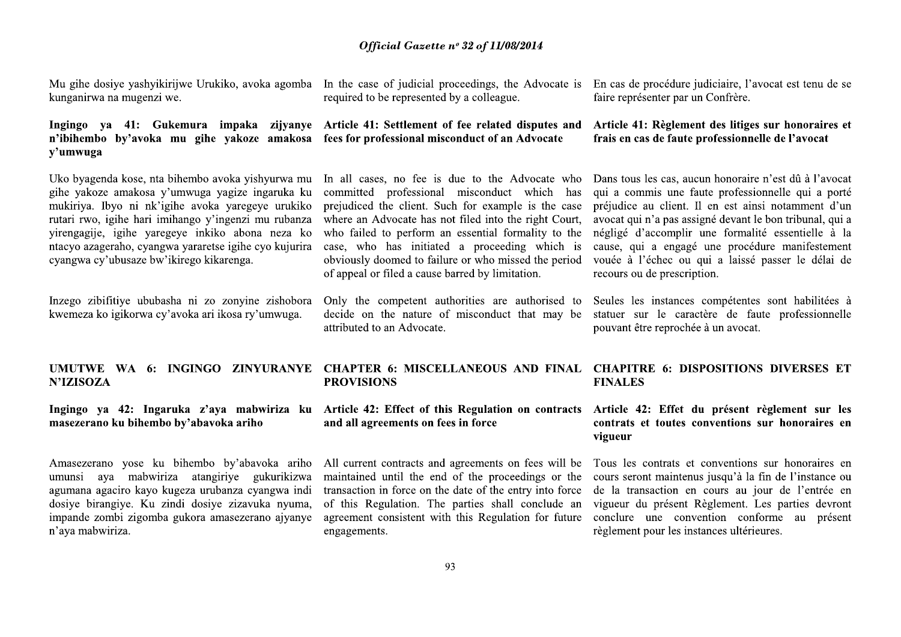Official Gase<br>
Mu gihe dosiye yashyikirijwe Urukiko, avoka agomba In the case of judicia<br>
kunganirwa na mugenzi we.<br> **Ingingo** ya 41: Gukemura impaka zijyanye Article 41: Settlemen<br>
n'ibihembo by'avoka mu gihe yakoze amako *Official Gase*<br>
Mu gihe dosiye yashyikirijwe Urukiko, avoka agomba In the case of judicia<br>
kunganirwa na mugenzi we.<br> **Ingingo ya 41:** Gukemura impaka zijyanye Article 41: Settleme<br>
n'ibihembo by'avoka mu gihe yakoze amak Mu gihe dosiye yashyikirijwe Urukiko, avoka agomba In the case of judicia<br>kunganirwa na mugenzi we.<br>**Ingingo** ya 41: Gukemura impaka zijyanye Article 41: Settlemen<br>i ibihembo by'avoka mu gihe yakoze amakosa fees for profes Uko byagenda kose, nta<br>gihe yakoze amakosa y<br>mukiriya. Ibyo ni nk'ig<br>rutari rwo, igihe hari im<br>yirengagije, igihe yare<br>ntacyo azageraho, cyang<br>cyangwa cy'ubusaze bw'<br>Inzego zibifitiye ububa<br>kwemeza ko igikorwa cy<br>UMUTWE WA Uko byagenda kose, nta bihembo avoka yishyurwa mu In all cases, no fee gihe yakoze amakosa y'umwuga yagize ingaruka ku committed profession mukiriya. Ibyo ni nk'igihe avoka yaregeye unkiko prejudiced the client.<br>
rutari rw rutari rwo, igihe hari im<br>
yirengagije, igihe yare;<br>
ntacyo azageraho, cyang<br>
cyangwa cy'ubusaze bw'<br>
Inzego zibifitiye ububa:<br>
kwemeza ko igikorwa cy<br> **UMUTWE WA 6:**<br>
N'IZISOZA<br>
Ingingo ya 42: Inga<br>
masezerano ku bihemb yirengagije, igihe yare<sub>l</sub><br>ntacyo azageraho, cyang<br>cyangwa cy'ubusaze bw'<br>Inzego zibifitiye ububa:<br>kwemeza ko igikorwa cy<br>**UMUTWE WA 6:<br>N'IZISOZA**<br>Ingingo ya 42: Inga<br>masezerano ku bihembo

umunsi aya mabwiriza<br>agumana agaciro kayo kuge<br>dosiye birangiye. Ku zindi<br>impande zombi zigomba gu<br>n'aya mabwiriza. ntacyo azageraho, cyangwa yararetse igihe cyo kujurira case, who has initi cyangwa cy'ubusaze bw'ikirego kikarenga.<br>
Inzego zibifitiye ububasha ni zo zonyine zishobora Only the competent kwemeza ko igikorwa cy'avoka ari ik Inzego zibifitiye ububasha ni zo zonyine zishobora Only the competent<br>kwemeza ko igikorwa cy'avoka ari ikosa ry'umwuga. decide on the nature<br>attributed to an Advoc<br>**UMUTWE WA 6: INGINGO ZINYURANYE CHAPTER 6: MISC**<br>**N'IZISO** UMUTWE WA 6:<br>
N'IZISOZA<br>
Ingingo ya 42: Inga<br>
masezerano ku bihembo<br>
Amasezerano yose ku<br>
umunsi aya mabwiri<br>
agumana agaciro kayo k<br>
dosiye birangiye. Ku z<br>
impande zombi zigomba<br>
n'aya mabwiriza. UMUTWE WA 6: INGINGO ZINYURANYE CHAPTER 6: MISO N'IZISOZA PROVISIONS PROVISIONS PROVISIONS masezerano ku bihembo by'abavoka ariho and all agreements of masezerano yose ku bihembo by'abavoka ariho and all agreements of Amas Amasezerano yose ku<br>umunsi aya mabwiri<br>agumana agaciro kayo k<br>dosiye birangiye. Ku z<br>impande zombi zigomba<br>n'aya mabwiriza.

**Official Gazette n° 32 of 1**<br>avoka agomba In the case of judicial proceedings<br>required to be represented by a colle<br>aka zijyanye Article 41: Settlement of fee relations are amakosa fees for professional misconduct of **Official Gazette nº 32 of 11/**<br>  $\alpha$  a agomba In the case of judicial proceedings,<br>
required to be represented by a colleagraphy and  $\alpha$  and  $\alpha$  and  $\alpha$  and  $\alpha$  are  $\alpha$  and  $\alpha$  fees for professional misconduct of a *Official Gazette nº 32 of 11/08/2014*<br>agomba In the case of judicial proceedings, the Advo<br>required to be represented by a colleague.<br>zijyanye Article 41: Settlement of fee related disput<br>makosa fees for professional mis *Official Gazette nº 32 of 11/08/2014*<br>In the case of judicial proceedings, the Advocrequired to be represented by a colleague.<br>Article 41: Settlement of fee related dispute fees for professional misconduct of an Advoca

# *Official Gazette nº 32 of 11/08/2014*<br>In the case of judicial proceedings, the Advocate is En cas de pro<br>required to be represented by a colleague.  $\frac{1}{2}$  faire représent<br>Article 41: Settlement of fee related disputes

**Official Gazette n<sup>o</sup> 32 of 11/08/2014**<br>
rukiko, avoka agomba In the case of judicial proceedings, the Advocate is En cas de procédure ju<br>
required to be represented by a colleague.<br> **i** impaka zijyanye Article 41: Settl o, woka agomba In the case of judicial proceedings, the Advocate is Fm cas de procédure judicided by a colleague.<br>
Impaka zijyanye Article 41: Settlement of for crlated disputes and Article 41: Reglemente yakoze amatossa f

current contracts and agreements on rees white<br>intained until the end of the proceedings or<br>saaction in force on the date of the entry into f<br>this Regulation. The parties shall conclude<br>eement consistent with this Regulati vertex igihe cyo kujurira case, who has initiated a proceeding which is cause, qui a engagé<br>
obviously doomed to failure or who missed the period voude à l'échec ou<br>
recours ou de prescript<br>
zo zonyine zishobora Only the c 4v? EXAMPLE Solution and My the competent authorities are authorised to Seules les instances in ikosa ry'umwuga. decide on the nature of misconduct that may be statuer sur le carace artributed to an Advocate.<br>
50 ZINYURANY 4m 2 HAPTER 6: MISCELLANEOUS AND FINAL CHAPITRE 6: DIS<br>
4m 2: EROVISIONS<br>
4m 2: Effect of this Regulation on contracts Article 42: Effect of<br>
4md all agreements on fees in force<br>
4m and all agreements on fees in force<br>
4m

of 11/08/2014<br>
ings, the Advocate is En cas de procédure judiciaire, l'avocat est tenu de se<br>
faire représenter par un Confrère.<br> **related disputes and Article 41: Règlement des litiges sur honoraires et<br>
contra disputes** of 11/08/2014<br>
ings, the Advocate is En cas de procédure judiciaire, l'avocat est tenu de se<br>
colleague.<br> **Colleague and Article 41: Règlement des litiges sur honoraires et<br>
cord and Advocate in the sease of the professio** of 11/08/2014<br>
ings, the Advocate is En cas de procédure judi<br>
colleague. faire représenter par un C<br>
related disputes and Article 41: Règlement et<br>
of an Advocate frais en cas de faute pro<br>
co the Advocate who Dans tous <sup>o</sup><br>
ings, the Advocate is En cas de procédure judiciaire, l'avocat est tenu de se<br>
colleague. faire représenter par un Confrère.<br> **related disputes and Article 41: Règlement des litiges sur honoraires et<br>
co the Advocate** o the Advocate who Dans tous les cas, aucun honoraire n'est dù à l'avocate who has qui a commiss une faute professionnelle qui a porté conduct de viente d'une direct professionnelle qui a porté d'une métal formality to the mantial formality to the négligé d'accomplir un<br>proceeding which is cause, qui a engagé un<br>who missed the period vouée à l'échec ou qui<br>by limitation. The recours ou de prescription<br>es are authorised to Seules les instance

proceeding which is cause, qui a engagé une procédure manifestement<br>who missed the period vouée à l'échec ou qui a laissé passer le délai de<br>by limitation. recours ou de prescription.<br>es are authorised to Seules les instan es are authorised to Seules les instances compétentes sont habilitées à<br>conduct that may be statuer sur le caractère de faute professionnelle<br>pouvant être reprochée à un avocat.<br>**EOUS AND FINAL CHAPITRE 6: DISPOSITIONS DIV** EOUS AND FINAL CHAPITRE 6: DISPOSITIONS DIVERSES ET<br>
FINALES<br>
explacion on contracts Article 42: Effect du présent règlement sur les<br>
orience<br>
orience contracts et conventions sur honoraires en<br>
vigueur<br>
ments on fees will vigueur<br>
ments on fees will be<br>
Tous les contrats et co<br>
ne proceedings or the cours seront maintenus j<br>
of the entry into force de la transaction en co<br>
es shall conclude an vigueur du présent Règ<br>
Regulation for future c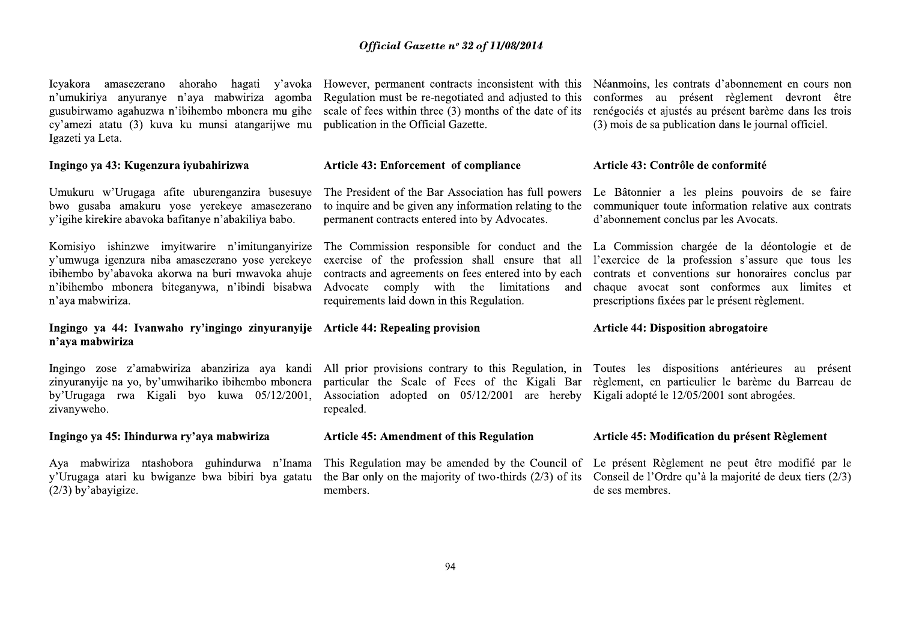Icvakora amasezerano n'umukiriya anyuranye n'aya mabwiriza agomba gusubirwamo agahuzwa n'ibihembo mbonera mu gihe cy'amezi atatu (3) kuva ku munsi atangarijwe mu Igazeti ya Leta.

# Ingingo ya 43: Kugenzura iyubahirizwa

Umukuru w'Urugaga afite uburenganzira busesuye bwo gusaba amakuru yose yerekeye amasezerano y'igihe kirekire abavoka bafitanye n'abakiliya babo.

Komisiyo ishinzwe imvitwarire n'imitunganyirize y'umwuga igenzura niba amasezerano yose yerekeye ibihembo by'abavoka akorwa na buri mwavoka ahuje n'ibihembo mbonera biteganywa, n'ibindi bisabwa n'aya mabwiriza.

# Ingingo va 44: Ivanwaho ry'ingingo zinyuranyije Article 44: Repealing provision n'ava mabwiriza

Ingingo zose z'amabwiriza abanziriza aya kandi zinyuranyije na yo, by'umwihariko ibihembo mbonera by'Urugaga rwa Kigali byo kuwa 05/12/2001, zivanyweho.

# Ingingo ya 45: Ihindurwa ry'aya mabwiriza

Aya mabwiriza ntashobora guhindurwa n'Inama y'Urugaga atari ku bwiganze bwa bibiri bya gatatu  $(2/3)$  by abayigize.

Regulation must be re-negotiated and adjusted to this publication in the Official Gazette.

## Article 43: Enforcement of compliance

The President of the Bar Association has full powers to inquire and be given any information relating to the permanent contracts entered into by Advocates.

The Commission responsible for conduct and the La Commission chargée de la déontologie et de exercise of the profession shall ensure that all contracts and agreements on fees entered into by each Advocate comply with the limitations and requirements laid down in this Regulation.

All prior provisions contrary to this Regulation, in Toutes les dispositions antérieures au présent particular the Scale of Fees of the Kigali Bar règlement, en particulier le barème du Barreau de Association adopted on 05/12/2001 are hereby Kigali adopté le 12/05/2001 sont abrogées. repealed.

## **Article 45: Amendment of this Regulation**

the Bar only on the majority of two-thirds  $(2/3)$  of its members.

ahoraho hagati y'ayoka However, permanent contracts inconsistent with this Néanmoins, les contrats d'abonnement en cours non conformes au présent règlement devront être scale of fees within three (3) months of the date of its renégociés et ajustés au présent barème dans les trois (3) mois de sa publication dans le journal officiel.

## Article 43: Contrôle de conformité

Le Bâtonnier a les pleins pouvoirs de se faire communiquer toute information relative aux contrats d'abonnement conclus par les Avocats.

l'exercice de la profession s'assure que tous les contrats et conventions sur honoraires conclus par chaque avocat sont conformes aux limites et prescriptions fixées par le présent règlement.

## **Article 44: Disposition abrogatoire**

## Article 45: Modification du présent Règlement

This Regulation may be amended by the Council of Le présent Règlement ne peut être modifié par le Conseil de l'Ordre qu'à la majorité de deux tiers (2/3) de ses membres.